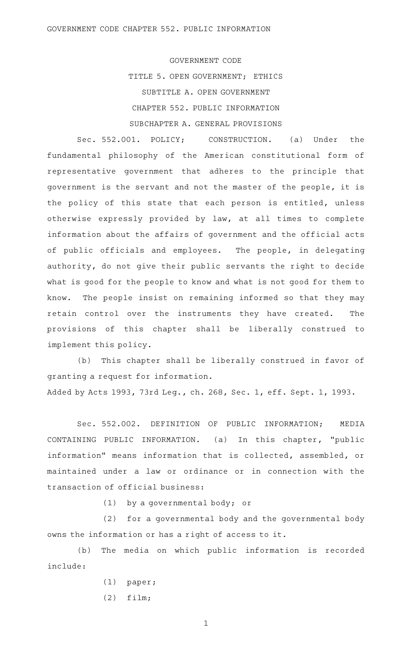GOVERNMENT CODE TITLE 5. OPEN GOVERNMENT; ETHICS SUBTITLE A. OPEN GOVERNMENT CHAPTER 552. PUBLIC INFORMATION SUBCHAPTER A. GENERAL PROVISIONS

Sec. 552.001. POLICY; CONSTRUCTION. (a) Under the fundamental philosophy of the American constitutional form of representative government that adheres to the principle that government is the servant and not the master of the people, it is the policy of this state that each person is entitled, unless otherwise expressly provided by law, at all times to complete information about the affairs of government and the official acts of public officials and employees. The people, in delegating authority, do not give their public servants the right to decide what is good for the people to know and what is not good for them to know. The people insist on remaining informed so that they may retain control over the instruments they have created. The provisions of this chapter shall be liberally construed to implement this policy.

(b) This chapter shall be liberally construed in favor of granting a request for information.

Added by Acts 1993, 73rd Leg., ch. 268, Sec. 1, eff. Sept. 1, 1993.

Sec. 552.002. DEFINITION OF PUBLIC INFORMATION; MEDIA CONTAINING PUBLIC INFORMATION. (a) In this chapter, "public information" means information that is collected, assembled, or maintained under a law or ordinance or in connection with the transaction of official business:

 $(1)$  by a governmental body; or

(2) for a governmental body and the governmental body owns the information or has a right of access to it.

(b) The media on which public information is recorded include:

- $(1)$  paper;
- $(2)$  film;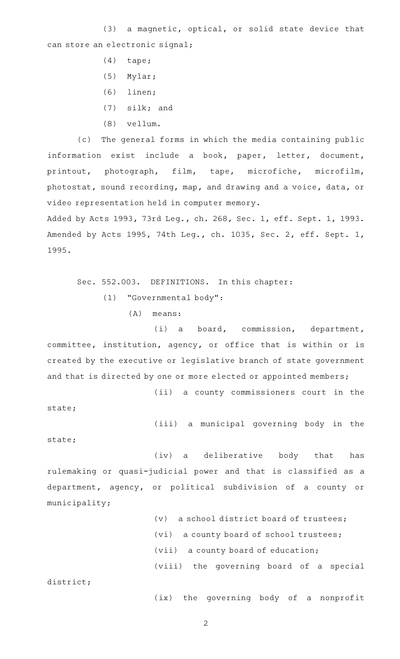$(3)$  a magnetic, optical, or solid state device that can store an electronic signal;

- $(4)$  tape;
- $(5)$  Mylar;
- $(6)$  linen;
- $(7)$  silk; and
- (8) vellum.

(c) The general forms in which the media containing public information exist include a book, paper, letter, document, printout, photograph, film, tape, microfiche, microfilm, photostat, sound recording, map, and drawing and a voice, data, or video representation held in computer memory.

Added by Acts 1993, 73rd Leg., ch. 268, Sec. 1, eff. Sept. 1, 1993. Amended by Acts 1995, 74th Leg., ch. 1035, Sec. 2, eff. Sept. 1, 1995.

Sec. 552.003. DEFINITIONS. In this chapter: (1) "Governmental body":

 $(A)$  means:

(i) a board, commission, department, committee, institution, agency, or office that is within or is created by the executive or legislative branch of state government and that is directed by one or more elected or appointed members;

(ii) a county commissioners court in the

state;

(iii) a municipal governing body in the

state;

(iv) a deliberative body that has rulemaking or quasi-judicial power and that is classified as a department, agency, or political subdivision of a county or municipality;

> (v) a school district board of trustees; (vi) a county board of school trustees; (vii) a county board of education; (viii) the governing board of a special

district;

(ix) the governing body of a nonprofit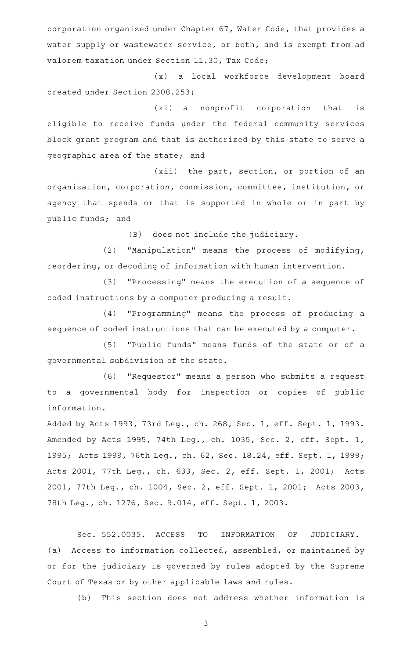corporation organized under Chapter 67, Water Code, that provides a water supply or wastewater service, or both, and is exempt from ad valorem taxation under Section 11.30, Tax Code;

(x) a local workforce development board created under Section 2308.253;

(xi) a nonprofit corporation that is eligible to receive funds under the federal community services block grant program and that is authorized by this state to serve a geographic area of the state; and

 $(xii)$  the part, section, or portion of an organization, corporation, commission, committee, institution, or agency that spends or that is supported in whole or in part by public funds; and

(B) does not include the judiciary.

(2) "Manipulation" means the process of modifying, reordering, or decoding of information with human intervention.

(3) "Processing" means the execution of a sequence of coded instructions by a computer producing a result.

(4) "Programming" means the process of producing a sequence of coded instructions that can be executed by a computer.

(5) "Public funds" means funds of the state or of a governmental subdivision of the state.

(6) "Requestor" means a person who submits a request to a governmental body for inspection or copies of public information.

Added by Acts 1993, 73rd Leg., ch. 268, Sec. 1, eff. Sept. 1, 1993. Amended by Acts 1995, 74th Leg., ch. 1035, Sec. 2, eff. Sept. 1, 1995; Acts 1999, 76th Leg., ch. 62, Sec. 18.24, eff. Sept. 1, 1999; Acts 2001, 77th Leg., ch. 633, Sec. 2, eff. Sept. 1, 2001; Acts 2001, 77th Leg., ch. 1004, Sec. 2, eff. Sept. 1, 2001; Acts 2003, 78th Leg., ch. 1276, Sec. 9.014, eff. Sept. 1, 2003.

Sec. 552.0035. ACCESS TO INFORMATION OF JUDICIARY. (a) Access to information collected, assembled, or maintained by or for the judiciary is governed by rules adopted by the Supreme Court of Texas or by other applicable laws and rules.

(b) This section does not address whether information is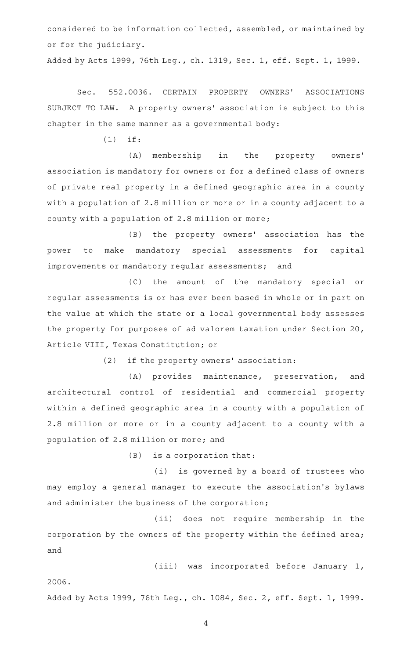considered to be information collected, assembled, or maintained by or for the judiciary.

Added by Acts 1999, 76th Leg., ch. 1319, Sec. 1, eff. Sept. 1, 1999.

Sec. 552.0036. CERTAIN PROPERTY OWNERS' ASSOCIATIONS SUBJECT TO LAW. A property owners' association is subject to this chapter in the same manner as a governmental body:

 $(1)$  if:

(A) membership in the property owners' association is mandatory for owners or for a defined class of owners of private real property in a defined geographic area in a county with a population of 2.8 million or more or in a county adjacent to a county with a population of 2.8 million or more;

(B) the property owners' association has the power to make mandatory special assessments for capital improvements or mandatory regular assessments; and

(C) the amount of the mandatory special or regular assessments is or has ever been based in whole or in part on the value at which the state or a local governmental body assesses the property for purposes of ad valorem taxation under Section 20, Article VIII, Texas Constitution; or

(2) if the property owners' association:

(A) provides maintenance, preservation, and architectural control of residential and commercial property within a defined geographic area in a county with a population of 2.8 million or more or in a county adjacent to a county with a population of 2.8 million or more; and

 $(B)$  is a corporation that:

(i) is governed by a board of trustees who may employ a general manager to execute the association 's bylaws and administer the business of the corporation;

(ii) does not require membership in the corporation by the owners of the property within the defined area; and

(iii) was incorporated before January 1,

2006.

Added by Acts 1999, 76th Leg., ch. 1084, Sec. 2, eff. Sept. 1, 1999.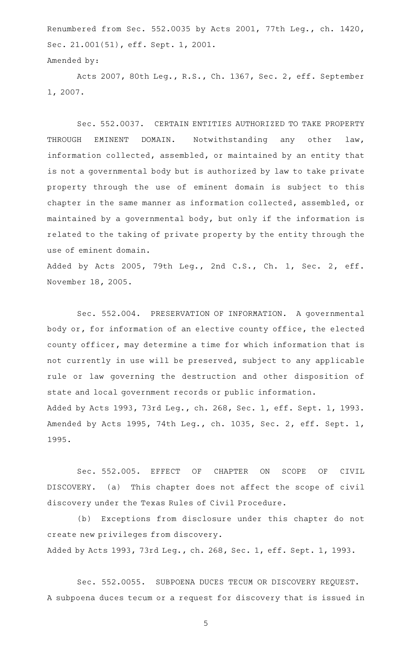Renumbered from Sec. 552.0035 by Acts 2001, 77th Leg., ch. 1420, Sec. 21.001(51), eff. Sept. 1, 2001.

```
Amended by:
```
Acts 2007, 80th Leg., R.S., Ch. 1367, Sec. 2, eff. September 1, 2007.

Sec. 552.0037. CERTAIN ENTITIES AUTHORIZED TO TAKE PROPERTY THROUGH EMINENT DOMAIN. Notwithstanding any other law, information collected, assembled, or maintained by an entity that is not a governmental body but is authorized by law to take private property through the use of eminent domain is subject to this chapter in the same manner as information collected, assembled, or maintained by a governmental body, but only if the information is related to the taking of private property by the entity through the use of eminent domain.

Added by Acts 2005, 79th Leg., 2nd C.S., Ch. 1, Sec. 2, eff. November 18, 2005.

Sec. 552.004. PRESERVATION OF INFORMATION. A governmental body or, for information of an elective county office, the elected county officer, may determine a time for which information that is not currently in use will be preserved, subject to any applicable rule or law governing the destruction and other disposition of state and local government records or public information. Added by Acts 1993, 73rd Leg., ch. 268, Sec. 1, eff. Sept. 1, 1993. Amended by Acts 1995, 74th Leg., ch. 1035, Sec. 2, eff. Sept. 1, 1995.

Sec. 552.005. EFFECT OF CHAPTER ON SCOPE OF CIVIL DISCOVERY. (a) This chapter does not affect the scope of civil discovery under the Texas Rules of Civil Procedure.

(b) Exceptions from disclosure under this chapter do not create new privileges from discovery. Added by Acts 1993, 73rd Leg., ch. 268, Sec. 1, eff. Sept. 1, 1993.

Sec. 552.0055. SUBPOENA DUCES TECUM OR DISCOVERY REQUEST. A subpoena duces tecum or a request for discovery that is issued in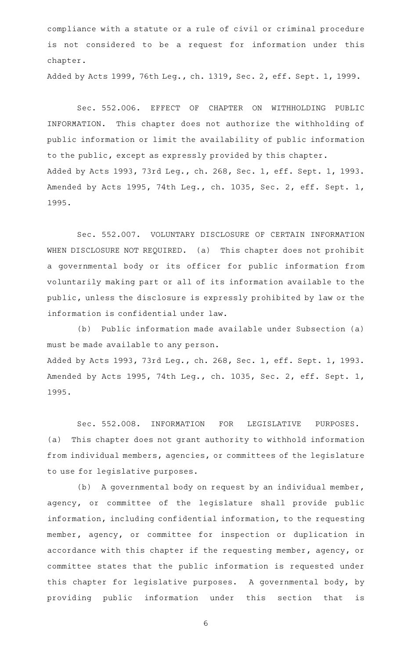compliance with a statute or a rule of civil or criminal procedure is not considered to be a request for information under this chapter.

Added by Acts 1999, 76th Leg., ch. 1319, Sec. 2, eff. Sept. 1, 1999.

Sec. 552.006. EFFECT OF CHAPTER ON WITHHOLDING PUBLIC INFORMATION. This chapter does not authorize the withholding of public information or limit the availability of public information to the public, except as expressly provided by this chapter. Added by Acts 1993, 73rd Leg., ch. 268, Sec. 1, eff. Sept. 1, 1993. Amended by Acts 1995, 74th Leg., ch. 1035, Sec. 2, eff. Sept. 1, 1995.

Sec. 552.007. VOLUNTARY DISCLOSURE OF CERTAIN INFORMATION WHEN DISCLOSURE NOT REQUIRED. (a) This chapter does not prohibit a governmental body or its officer for public information from voluntarily making part or all of its information available to the public, unless the disclosure is expressly prohibited by law or the information is confidential under law.

(b) Public information made available under Subsection (a) must be made available to any person. Added by Acts 1993, 73rd Leg., ch. 268, Sec. 1, eff. Sept. 1, 1993. Amended by Acts 1995, 74th Leg., ch. 1035, Sec. 2, eff. Sept. 1, 1995.

Sec. 552.008. INFORMATION FOR LEGISLATIVE PURPOSES. (a) This chapter does not grant authority to withhold information from individual members, agencies, or committees of the legislature to use for legislative purposes.

(b) A governmental body on request by an individual member, agency, or committee of the legislature shall provide public information, including confidential information, to the requesting member, agency, or committee for inspection or duplication in accordance with this chapter if the requesting member, agency, or committee states that the public information is requested under this chapter for legislative purposes. A governmental body, by providing public information under this section that is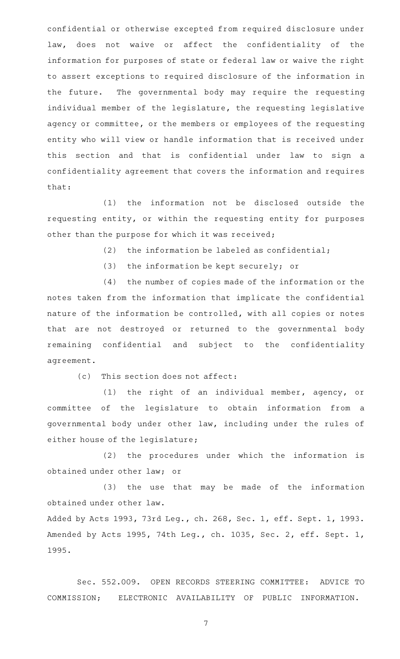confidential or otherwise excepted from required disclosure under law, does not waive or affect the confidentiality of the information for purposes of state or federal law or waive the right to assert exceptions to required disclosure of the information in the future. The governmental body may require the requesting individual member of the legislature, the requesting legislative agency or committee, or the members or employees of the requesting entity who will view or handle information that is received under this section and that is confidential under law to sign a confidentiality agreement that covers the information and requires that:

(1) the information not be disclosed outside the requesting entity, or within the requesting entity for purposes other than the purpose for which it was received;

(2) the information be labeled as confidential;

(3) the information be kept securely; or

(4) the number of copies made of the information or the notes taken from the information that implicate the confidential nature of the information be controlled, with all copies or notes that are not destroyed or returned to the governmental body remaining confidential and subject to the confidentiality agreement.

(c) This section does not affect:

(1) the right of an individual member, agency, or committee of the legislature to obtain information from a governmental body under other law, including under the rules of either house of the legislature;

(2) the procedures under which the information is obtained under other law; or

(3) the use that may be made of the information obtained under other law.

Added by Acts 1993, 73rd Leg., ch. 268, Sec. 1, eff. Sept. 1, 1993. Amended by Acts 1995, 74th Leg., ch. 1035, Sec. 2, eff. Sept. 1, 1995.

Sec. 552.009. OPEN RECORDS STEERING COMMITTEE: ADVICE TO COMMISSION; ELECTRONIC AVAILABILITY OF PUBLIC INFORMATION.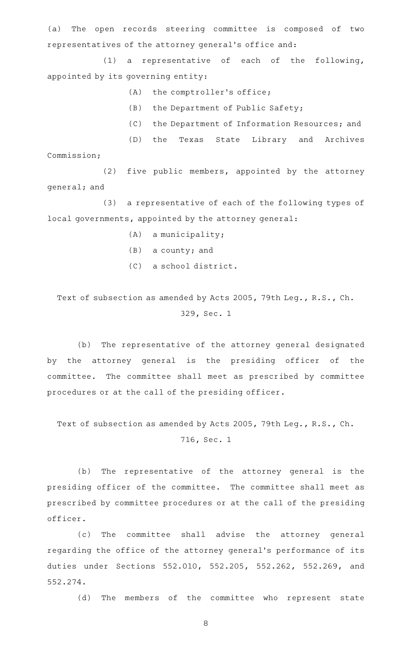(a) The open records steering committee is composed of two representatives of the attorney general 's office and:

(1) a representative of each of the following, appointed by its governing entity:

 $(A)$  the comptroller's office;

- $(B)$  the Department of Public Safety;
- (C) the Department of Information Resources; and

(D) the Texas State Library and Archives Commission;

 $(2)$  five public members, appointed by the attorney general; and

(3) a representative of each of the following types of local governments, appointed by the attorney general:

- $(A)$  a municipality;
- $(B)$  a county; and
- (C) a school district.

Text of subsection as amended by Acts 2005, 79th Leg., R.S., Ch. 329, Sec. 1

(b) The representative of the attorney general designated by the attorney general is the presiding officer of the committee. The committee shall meet as prescribed by committee procedures or at the call of the presiding officer.

Text of subsection as amended by Acts 2005, 79th Leg., R.S., Ch. 716, Sec. 1

(b) The representative of the attorney general is the presiding officer of the committee. The committee shall meet as prescribed by committee procedures or at the call of the presiding officer.

(c) The committee shall advise the attorney general regarding the office of the attorney general 's performance of its duties under Sections 552.010, 552.205, 552.262, 552.269, and 552.274.

(d) The members of the committee who represent state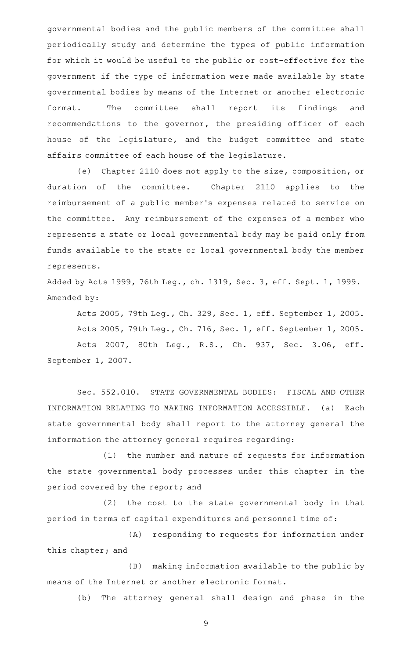governmental bodies and the public members of the committee shall periodically study and determine the types of public information for which it would be useful to the public or cost-effective for the government if the type of information were made available by state governmental bodies by means of the Internet or another electronic format. The committee shall report its findings and recommendations to the governor, the presiding officer of each house of the legislature, and the budget committee and state affairs committee of each house of the legislature.

(e) Chapter 2110 does not apply to the size, composition, or duration of the committee. Chapter 2110 applies to the reimbursement of a public member 's expenses related to service on the committee. Any reimbursement of the expenses of a member who represents a state or local governmental body may be paid only from funds available to the state or local governmental body the member represents.

Added by Acts 1999, 76th Leg., ch. 1319, Sec. 3, eff. Sept. 1, 1999. Amended by:

Acts 2005, 79th Leg., Ch. 329, Sec. 1, eff. September 1, 2005. Acts 2005, 79th Leg., Ch. 716, Sec. 1, eff. September 1, 2005. Acts 2007, 80th Leg., R.S., Ch. 937, Sec. 3.06, eff. September 1, 2007.

Sec. 552.010. STATE GOVERNMENTAL BODIES: FISCAL AND OTHER INFORMATION RELATING TO MAKING INFORMATION ACCESSIBLE. (a) Each state governmental body shall report to the attorney general the information the attorney general requires regarding:

(1) the number and nature of requests for information the state governmental body processes under this chapter in the period covered by the report; and

 $(2)$  the cost to the state governmental body in that period in terms of capital expenditures and personnel time of:

(A) responding to requests for information under this chapter; and

(B) making information available to the public by means of the Internet or another electronic format.

(b) The attorney general shall design and phase in the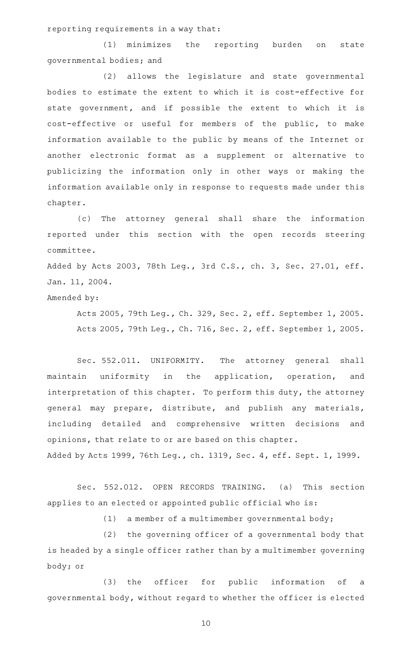reporting requirements in a way that:

(1) minimizes the reporting burden on state governmental bodies; and

(2) allows the legislature and state governmental bodies to estimate the extent to which it is cost-effective for state government, and if possible the extent to which it is cost-effective or useful for members of the public, to make information available to the public by means of the Internet or another electronic format as a supplement or alternative to publicizing the information only in other ways or making the information available only in response to requests made under this chapter.

(c) The attorney general shall share the information reported under this section with the open records steering committee.

Added by Acts 2003, 78th Leg., 3rd C.S., ch. 3, Sec. 27.01, eff. Jan. 11, 2004.

Amended by:

Acts 2005, 79th Leg., Ch. 329, Sec. 2, eff. September 1, 2005. Acts 2005, 79th Leg., Ch. 716, Sec. 2, eff. September 1, 2005.

Sec. 552.011. UNIFORMITY. The attorney general shall maintain uniformity in the application, operation, and interpretation of this chapter. To perform this duty, the attorney general may prepare, distribute, and publish any materials, including detailed and comprehensive written decisions and opinions, that relate to or are based on this chapter. Added by Acts 1999, 76th Leg., ch. 1319, Sec. 4, eff. Sept. 1, 1999.

Sec. 552.012. OPEN RECORDS TRAINING. (a) This section applies to an elected or appointed public official who is:

(1) a member of a multimember governmental body;

 $(2)$  the governing officer of a governmental body that is headed by a single officer rather than by a multimember governing body; or

(3) the officer for public information of a governmental body, without regard to whether the officer is elected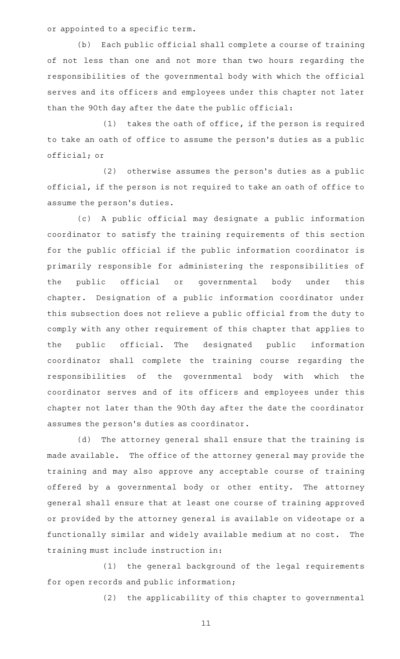or appointed to a specific term.

(b) Each public official shall complete a course of training of not less than one and not more than two hours regarding the responsibilities of the governmental body with which the official serves and its officers and employees under this chapter not later than the 90th day after the date the public official:

 $(1)$  takes the oath of office, if the person is required to take an oath of office to assume the person 's duties as a public official; or

(2) otherwise assumes the person's duties as a public official, if the person is not required to take an oath of office to assume the person's duties.

(c)AAA public official may designate a public information coordinator to satisfy the training requirements of this section for the public official if the public information coordinator is primarily responsible for administering the responsibilities of the public official or governmental body under this chapter. Designation of a public information coordinator under this subsection does not relieve a public official from the duty to comply with any other requirement of this chapter that applies to the public official. The designated public information coordinator shall complete the training course regarding the responsibilities of the governmental body with which the coordinator serves and of its officers and employees under this chapter not later than the 90th day after the date the coordinator assumes the person's duties as coordinator.

(d) The attorney general shall ensure that the training is made available. The office of the attorney general may provide the training and may also approve any acceptable course of training offered by a governmental body or other entity. The attorney general shall ensure that at least one course of training approved or provided by the attorney general is available on videotape or a functionally similar and widely available medium at no cost. The training must include instruction in:

(1) the general background of the legal requirements for open records and public information;

(2) the applicability of this chapter to governmental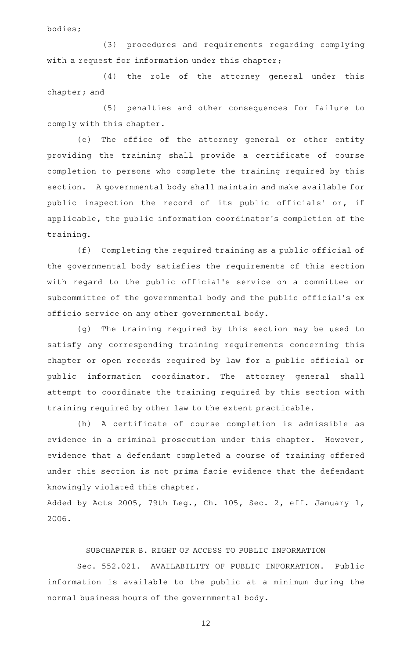bodies;

(3) procedures and requirements regarding complying with a request for information under this chapter;

(4) the role of the attorney general under this chapter; and

(5) penalties and other consequences for failure to comply with this chapter.

(e) The office of the attorney general or other entity providing the training shall provide a certificate of course completion to persons who complete the training required by this section. A governmental body shall maintain and make available for public inspection the record of its public officials' or, if applicable, the public information coordinator 's completion of the training.

(f) Completing the required training as a public official of the governmental body satisfies the requirements of this section with regard to the public official 's service on a committee or subcommittee of the governmental body and the public official 's ex officio service on any other governmental body.

(g) The training required by this section may be used to satisfy any corresponding training requirements concerning this chapter or open records required by law for a public official or public information coordinator. The attorney general shall attempt to coordinate the training required by this section with training required by other law to the extent practicable.

(h) A certificate of course completion is admissible as evidence in a criminal prosecution under this chapter. However, evidence that a defendant completed a course of training offered under this section is not prima facie evidence that the defendant knowingly violated this chapter.

Added by Acts 2005, 79th Leg., Ch. 105, Sec. 2, eff. January 1, 2006.

## SUBCHAPTER B. RIGHT OF ACCESS TO PUBLIC INFORMATION

Sec. 552.021. AVAILABILITY OF PUBLIC INFORMATION. Public information is available to the public at a minimum during the normal business hours of the governmental body.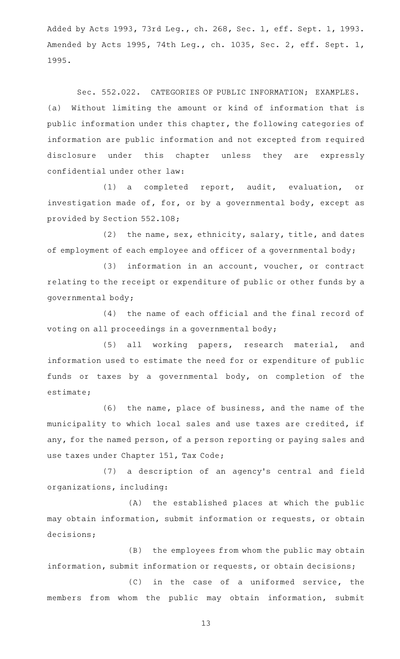Added by Acts 1993, 73rd Leg., ch. 268, Sec. 1, eff. Sept. 1, 1993. Amended by Acts 1995, 74th Leg., ch. 1035, Sec. 2, eff. Sept. 1, 1995.

Sec. 552.022. CATEGORIES OF PUBLIC INFORMATION; EXAMPLES. (a) Without limiting the amount or kind of information that is public information under this chapter, the following categories of information are public information and not excepted from required disclosure under this chapter unless they are expressly confidential under other law:

(1) a completed report, audit, evaluation, or investigation made of, for, or by a governmental body, except as provided by Section 552.108;

 $(2)$  the name, sex, ethnicity, salary, title, and dates of employment of each employee and officer of a governmental body;

 $(3)$  information in an account, voucher, or contract relating to the receipt or expenditure of public or other funds by a governmental body;

(4) the name of each official and the final record of voting on all proceedings in a governmental body;

(5) all working papers, research material, and information used to estimate the need for or expenditure of public funds or taxes by a governmental body, on completion of the estimate;

(6) the name, place of business, and the name of the municipality to which local sales and use taxes are credited, if any, for the named person, of a person reporting or paying sales and use taxes under Chapter 151, Tax Code;

(7) a description of an agency's central and field organizations, including:

(A) the established places at which the public may obtain information, submit information or requests, or obtain decisions;

(B) the employees from whom the public may obtain information, submit information or requests, or obtain decisions;

(C) in the case of a uniformed service, the members from whom the public may obtain information, submit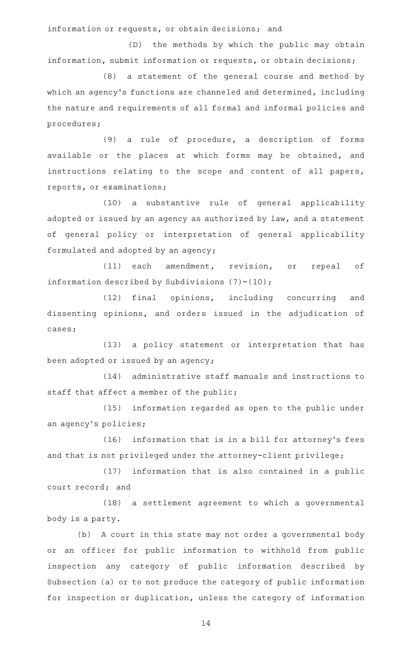information or requests, or obtain decisions; and

(D) the methods by which the public may obtain information, submit information or requests, or obtain decisions;

(8) a statement of the general course and method by which an agency's functions are channeled and determined, including the nature and requirements of all formal and informal policies and procedures;

(9) a rule of procedure, a description of forms available or the places at which forms may be obtained, and instructions relating to the scope and content of all papers, reports, or examinations;

(10) a substantive rule of general applicability adopted or issued by an agency as authorized by law, and a statement of general policy or interpretation of general applicability formulated and adopted by an agency;

(11) each amendment, revision, or repeal of information described by Subdivisions  $(7)-(10)$ ;

(12) final opinions, including concurring and dissenting opinions, and orders issued in the adjudication of cases;

(13) a policy statement or interpretation that has been adopted or issued by an agency;

(14) administrative staff manuals and instructions to staff that affect a member of the public;

(15) information regarded as open to the public under an agency 's policies;

(16) information that is in a bill for attorney's fees and that is not privileged under the attorney-client privilege;

 $(17)$  information that is also contained in a public court record; and

(18) a settlement agreement to which a governmental body is a party.

(b) A court in this state may not order a governmental body or an officer for public information to withhold from public inspection any category of public information described by Subsection (a) or to not produce the category of public information for inspection or duplication, unless the category of information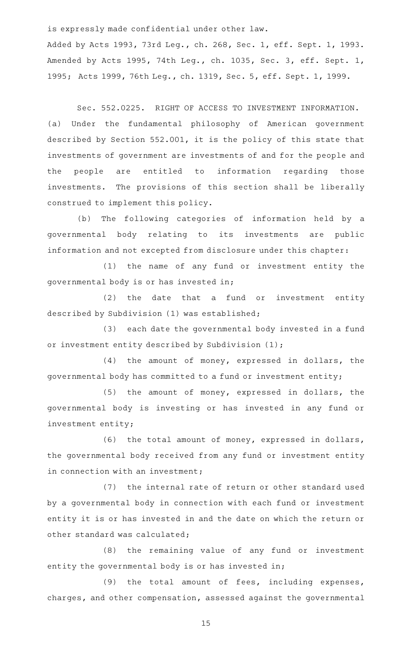is expressly made confidential under other law.

Added by Acts 1993, 73rd Leg., ch. 268, Sec. 1, eff. Sept. 1, 1993. Amended by Acts 1995, 74th Leg., ch. 1035, Sec. 3, eff. Sept. 1, 1995; Acts 1999, 76th Leg., ch. 1319, Sec. 5, eff. Sept. 1, 1999.

Sec. 552.0225. RIGHT OF ACCESS TO INVESTMENT INFORMATION. (a) Under the fundamental philosophy of American government described by Section 552.001, it is the policy of this state that investments of government are investments of and for the people and the people are entitled to information regarding those investments. The provisions of this section shall be liberally construed to implement this policy.

(b) The following categories of information held by a governmental body relating to its investments are public information and not excepted from disclosure under this chapter:

(1) the name of any fund or investment entity the governmental body is or has invested in;

(2) the date that a fund or investment entity described by Subdivision (1) was established;

(3) each date the governmental body invested in a fund or investment entity described by Subdivision (1);

(4) the amount of money, expressed in dollars, the governmental body has committed to a fund or investment entity;

 $(5)$  the amount of money, expressed in dollars, the governmental body is investing or has invested in any fund or investment entity;

(6) the total amount of money, expressed in dollars, the governmental body received from any fund or investment entity in connection with an investment;

(7) the internal rate of return or other standard used by a governmental body in connection with each fund or investment entity it is or has invested in and the date on which the return or other standard was calculated;

(8) the remaining value of any fund or investment entity the governmental body is or has invested in;

(9) the total amount of fees, including expenses, charges, and other compensation, assessed against the governmental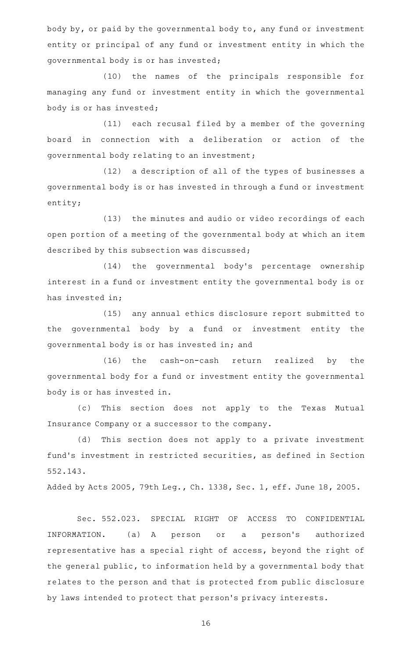body by, or paid by the governmental body to, any fund or investment entity or principal of any fund or investment entity in which the governmental body is or has invested;

(10) the names of the principals responsible for managing any fund or investment entity in which the governmental body is or has invested;

 $(11)$  each recusal filed by a member of the governing board in connection with a deliberation or action of the governmental body relating to an investment;

(12) a description of all of the types of businesses a governmental body is or has invested in through a fund or investment entity;

(13) the minutes and audio or video recordings of each open portion of a meeting of the governmental body at which an item described by this subsection was discussed;

(14) the governmental body's percentage ownership interest in a fund or investment entity the governmental body is or has invested in;

(15) any annual ethics disclosure report submitted to the governmental body by a fund or investment entity the governmental body is or has invested in; and

 $(16)$  the cash-on-cash return realized by the governmental body for a fund or investment entity the governmental body is or has invested in.

(c) This section does not apply to the Texas Mutual Insurance Company or a successor to the company.

(d) This section does not apply to a private investment fund 's investment in restricted securities, as defined in Section 552.143.

Added by Acts 2005, 79th Leg., Ch. 1338, Sec. 1, eff. June 18, 2005.

Sec. 552.023. SPECIAL RIGHT OF ACCESS TO CONFIDENTIAL INFORMATION. (a) A person or a person's authorized representative has a special right of access, beyond the right of the general public, to information held by a governmental body that relates to the person and that is protected from public disclosure by laws intended to protect that person 's privacy interests.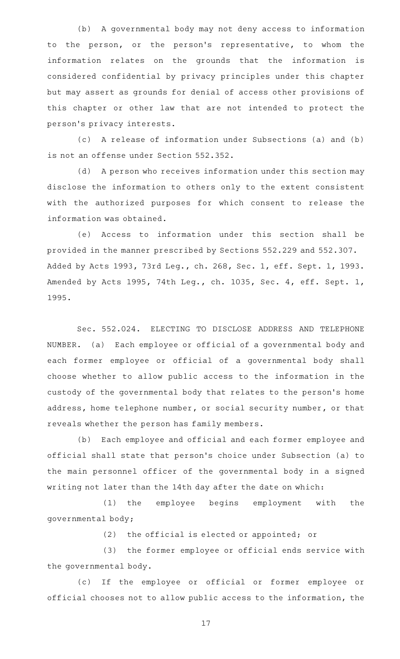(b) A governmental body may not deny access to information to the person, or the person 's representative, to whom the information relates on the grounds that the information is considered confidential by privacy principles under this chapter but may assert as grounds for denial of access other provisions of this chapter or other law that are not intended to protect the person 's privacy interests.

(c) A release of information under Subsections (a) and (b) is not an offense under Section 552.352.

(d) A person who receives information under this section may disclose the information to others only to the extent consistent with the authorized purposes for which consent to release the information was obtained.

(e) Access to information under this section shall be provided in the manner prescribed by Sections 552.229 and 552.307. Added by Acts 1993, 73rd Leg., ch. 268, Sec. 1, eff. Sept. 1, 1993. Amended by Acts 1995, 74th Leg., ch. 1035, Sec. 4, eff. Sept. 1, 1995.

Sec. 552.024. ELECTING TO DISCLOSE ADDRESS AND TELEPHONE NUMBER. (a) Each employee or official of a governmental body and each former employee or official of a governmental body shall choose whether to allow public access to the information in the custody of the governmental body that relates to the person 's home address, home telephone number, or social security number, or that reveals whether the person has family members.

(b) Each employee and official and each former employee and official shall state that person 's choice under Subsection (a) to the main personnel officer of the governmental body in a signed writing not later than the 14th day after the date on which:

(1) the employee begins employment with the governmental body;

(2) the official is elected or appointed; or

(3) the former employee or official ends service with the governmental body.

(c) If the employee or official or former employee or official chooses not to allow public access to the information, the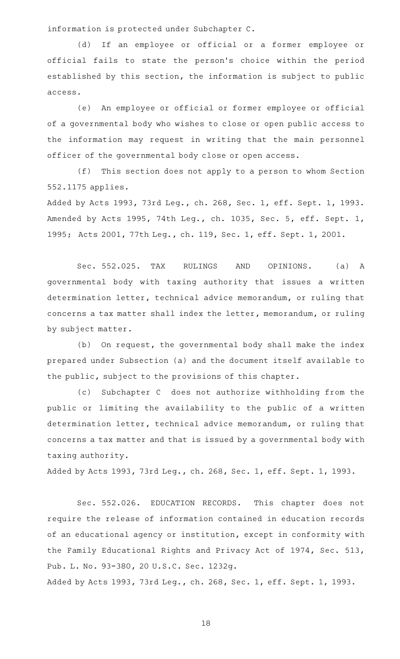information is protected under Subchapter C.

(d) If an employee or official or a former employee or official fails to state the person 's choice within the period established by this section, the information is subject to public access.

(e) An employee or official or former employee or official of a governmental body who wishes to close or open public access to the information may request in writing that the main personnel officer of the governmental body close or open access.

(f) This section does not apply to a person to whom Section 552.1175 applies.

Added by Acts 1993, 73rd Leg., ch. 268, Sec. 1, eff. Sept. 1, 1993. Amended by Acts 1995, 74th Leg., ch. 1035, Sec. 5, eff. Sept. 1, 1995; Acts 2001, 77th Leg., ch. 119, Sec. 1, eff. Sept. 1, 2001.

Sec. 552.025. TAX RULINGS AND OPINIONS. (a) A governmental body with taxing authority that issues a written determination letter, technical advice memorandum, or ruling that concerns a tax matter shall index the letter, memorandum, or ruling by subject matter.

(b) On request, the governmental body shall make the index prepared under Subsection (a) and the document itself available to the public, subject to the provisions of this chapter.

(c) Subchapter C does not authorize withholding from the public or limiting the availability to the public of a written determination letter, technical advice memorandum, or ruling that concerns a tax matter and that is issued by a governmental body with taxing authority.

Added by Acts 1993, 73rd Leg., ch. 268, Sec. 1, eff. Sept. 1, 1993.

Sec. 552.026. EDUCATION RECORDS. This chapter does not require the release of information contained in education records of an educational agency or institution, except in conformity with the Family Educational Rights and Privacy Act of 1974, Sec. 513, Pub. L. No. 93-380, 20 U.S.C. Sec. 1232g.

Added by Acts 1993, 73rd Leg., ch. 268, Sec. 1, eff. Sept. 1, 1993.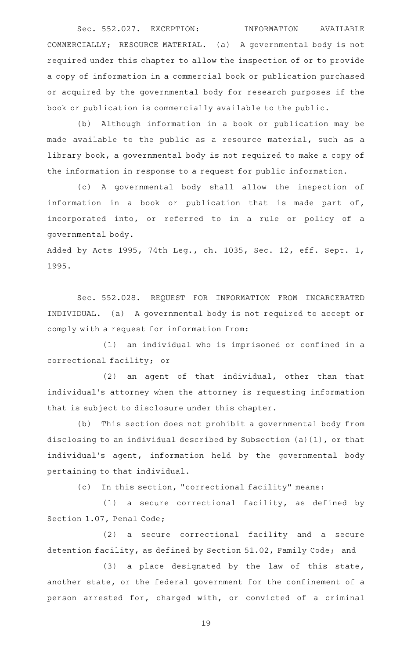Sec. 552.027. EXCEPTION: INFORMATION AVAILABLE COMMERCIALLY; RESOURCE MATERIAL. (a) A governmental body is not required under this chapter to allow the inspection of or to provide a copy of information in a commercial book or publication purchased or acquired by the governmental body for research purposes if the book or publication is commercially available to the public.

(b) Although information in a book or publication may be made available to the public as a resource material, such as a library book, a governmental body is not required to make a copy of the information in response to a request for public information.

(c)AAA governmental body shall allow the inspection of information in a book or publication that is made part of, incorporated into, or referred to in a rule or policy of a governmental body.

Added by Acts 1995, 74th Leg., ch. 1035, Sec. 12, eff. Sept. 1, 1995.

Sec. 552.028. REQUEST FOR INFORMATION FROM INCARCERATED INDIVIDUAL. (a) A governmental body is not required to accept or comply with a request for information from:

 $(1)$  an individual who is imprisoned or confined in a correctional facility; or

 $(2)$  an agent of that individual, other than that individual 's attorney when the attorney is requesting information that is subject to disclosure under this chapter.

(b) This section does not prohibit a governmental body from disclosing to an individual described by Subsection (a)(1), or that individual's agent, information held by the governmental body pertaining to that individual.

(c) In this section, "correctional facility" means:

 $(1)$  a secure correctional facility, as defined by Section 1.07, Penal Code;

(2) a secure correctional facility and a secure detention facility, as defined by Section 51.02, Family Code; and

 $(3)$  a place designated by the law of this state, another state, or the federal government for the confinement of a person arrested for, charged with, or convicted of a criminal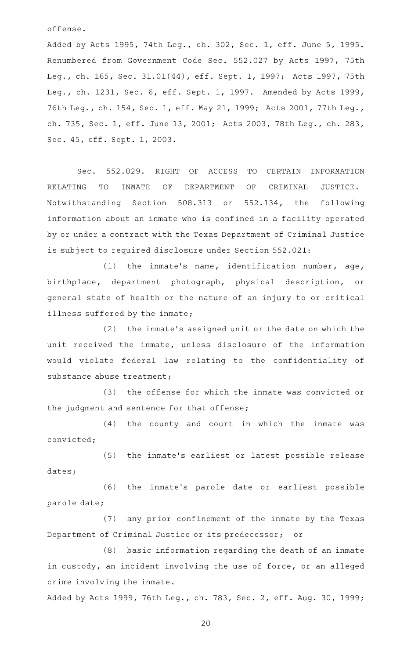offense.

Added by Acts 1995, 74th Leg., ch. 302, Sec. 1, eff. June 5, 1995. Renumbered from Government Code Sec. 552.027 by Acts 1997, 75th Leg., ch. 165, Sec. 31.01(44), eff. Sept. 1, 1997; Acts 1997, 75th Leg., ch. 1231, Sec. 6, eff. Sept. 1, 1997. Amended by Acts 1999, 76th Leg., ch. 154, Sec. 1, eff. May 21, 1999; Acts 2001, 77th Leg., ch. 735, Sec. 1, eff. June 13, 2001; Acts 2003, 78th Leg., ch. 283, Sec. 45, eff. Sept. 1, 2003.

Sec. 552.029. RIGHT OF ACCESS TO CERTAIN INFORMATION RELATING TO INMATE OF DEPARTMENT OF CRIMINAL JUSTICE. Notwithstanding Section 508.313 or 552.134, the following information about an inmate who is confined in a facility operated by or under a contract with the Texas Department of Criminal Justice is subject to required disclosure under Section 552.021:

(1) the inmate's name, identification number, age, birthplace, department photograph, physical description, or general state of health or the nature of an injury to or critical illness suffered by the inmate;

 $(2)$  the inmate's assigned unit or the date on which the unit received the inmate, unless disclosure of the information would violate federal law relating to the confidentiality of substance abuse treatment;

(3) the offense for which the inmate was convicted or the judgment and sentence for that offense;

(4) the county and court in which the inmate was convicted;

(5) the inmate's earliest or latest possible release dates;

(6) the inmate's parole date or earliest possible parole date;

(7) any prior confinement of the inmate by the Texas Department of Criminal Justice or its predecessor; or

(8) basic information regarding the death of an inmate in custody, an incident involving the use of force, or an alleged crime involving the inmate.

Added by Acts 1999, 76th Leg., ch. 783, Sec. 2, eff. Aug. 30, 1999;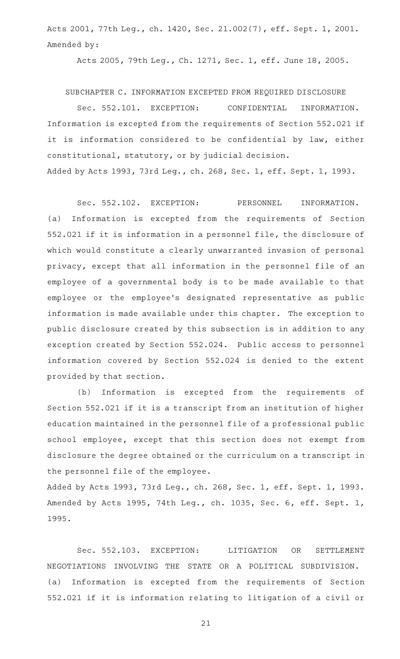Acts 2001, 77th Leg., ch. 1420, Sec. 21.002(7), eff. Sept. 1, 2001. Amended by:

Acts 2005, 79th Leg., Ch. 1271, Sec. 1, eff. June 18, 2005.

SUBCHAPTER C. INFORMATION EXCEPTED FROM REQUIRED DISCLOSURE

Sec. 552.101. EXCEPTION: CONFIDENTIAL INFORMATION. Information is excepted from the requirements of Section 552.021 if it is information considered to be confidential by law, either constitutional, statutory, or by judicial decision. Added by Acts 1993, 73rd Leg., ch. 268, Sec. 1, eff. Sept. 1, 1993.

Sec. 552.102. EXCEPTION: PERSONNEL INFORMATION. (a) Information is excepted from the requirements of Section 552.021 if it is information in a personnel file, the disclosure of which would constitute a clearly unwarranted invasion of personal privacy, except that all information in the personnel file of an employee of a governmental body is to be made available to that employee or the employee 's designated representative as public information is made available under this chapter. The exception to public disclosure created by this subsection is in addition to any exception created by Section 552.024. Public access to personnel information covered by Section 552.024 is denied to the extent provided by that section.

(b) Information is excepted from the requirements of Section 552.021 if it is a transcript from an institution of higher education maintained in the personnel file of a professional public school employee, except that this section does not exempt from disclosure the degree obtained or the curriculum on a transcript in the personnel file of the employee.

Added by Acts 1993, 73rd Leg., ch. 268, Sec. 1, eff. Sept. 1, 1993. Amended by Acts 1995, 74th Leg., ch. 1035, Sec. 6, eff. Sept. 1, 1995.

Sec. 552.103. EXCEPTION: LITIGATION OR SETTLEMENT NEGOTIATIONS INVOLVING THE STATE OR A POLITICAL SUBDIVISION. (a) Information is excepted from the requirements of Section 552.021 if it is information relating to litigation of a civil or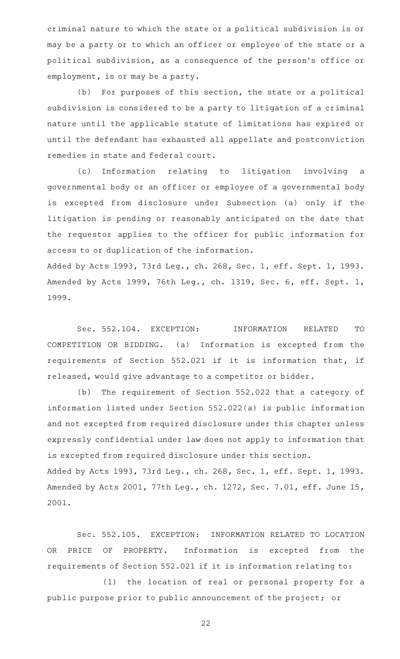criminal nature to which the state or a political subdivision is or may be a party or to which an officer or employee of the state or a political subdivision, as a consequence of the person 's office or employment, is or may be a party.

(b) For purposes of this section, the state or a political subdivision is considered to be a party to litigation of a criminal nature until the applicable statute of limitations has expired or until the defendant has exhausted all appellate and postconviction remedies in state and federal court.

(c) Information relating to litigation involving a governmental body or an officer or employee of a governmental body is excepted from disclosure under Subsection (a) only if the litigation is pending or reasonably anticipated on the date that the requestor applies to the officer for public information for access to or duplication of the information.

Added by Acts 1993, 73rd Leg., ch. 268, Sec. 1, eff. Sept. 1, 1993. Amended by Acts 1999, 76th Leg., ch. 1319, Sec. 6, eff. Sept. 1, 1999.

Sec. 552.104. EXCEPTION: INFORMATION RELATED TO COMPETITION OR BIDDING. (a) Information is excepted from the requirements of Section 552.021 if it is information that, if released, would give advantage to a competitor or bidder.

(b) The requirement of Section 552.022 that a category of information listed under Section 552.022(a) is public information and not excepted from required disclosure under this chapter unless expressly confidential under law does not apply to information that is excepted from required disclosure under this section. Added by Acts 1993, 73rd Leg., ch. 268, Sec. 1, eff. Sept. 1, 1993. Amended by Acts 2001, 77th Leg., ch. 1272, Sec. 7.01, eff. June 15, 2001.

Sec. 552.105. EXCEPTION: INFORMATION RELATED TO LOCATION OR PRICE OF PROPERTY. Information is excepted from the requirements of Section 552.021 if it is information relating to:

(1) the location of real or personal property for a public purpose prior to public announcement of the project; or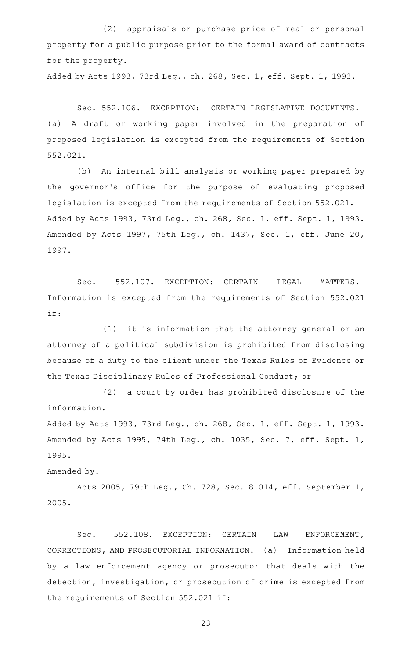(2) appraisals or purchase price of real or personal property for a public purpose prior to the formal award of contracts for the property.

Added by Acts 1993, 73rd Leg., ch. 268, Sec. 1, eff. Sept. 1, 1993.

Sec. 552.106. EXCEPTION: CERTAIN LEGISLATIVE DOCUMENTS. (a) A draft or working paper involved in the preparation of proposed legislation is excepted from the requirements of Section 552.021.

(b) An internal bill analysis or working paper prepared by the governor 's office for the purpose of evaluating proposed legislation is excepted from the requirements of Section 552.021. Added by Acts 1993, 73rd Leg., ch. 268, Sec. 1, eff. Sept. 1, 1993. Amended by Acts 1997, 75th Leg., ch. 1437, Sec. 1, eff. June 20, 1997.

Sec. 552.107. EXCEPTION: CERTAIN LEGAL MATTERS. Information is excepted from the requirements of Section 552.021 if:

 $(1)$  it is information that the attorney general or an attorney of a political subdivision is prohibited from disclosing because of a duty to the client under the Texas Rules of Evidence or the Texas Disciplinary Rules of Professional Conduct; or

(2) a court by order has prohibited disclosure of the information.

Added by Acts 1993, 73rd Leg., ch. 268, Sec. 1, eff. Sept. 1, 1993. Amended by Acts 1995, 74th Leg., ch. 1035, Sec. 7, eff. Sept. 1, 1995.

Amended by:

Acts 2005, 79th Leg., Ch. 728, Sec. 8.014, eff. September 1, 2005.

Sec. 552.108. EXCEPTION: CERTAIN LAW ENFORCEMENT, CORRECTIONS, AND PROSECUTORIAL INFORMATION. (a) Information held by a law enforcement agency or prosecutor that deals with the detection, investigation, or prosecution of crime is excepted from the requirements of Section 552.021 if: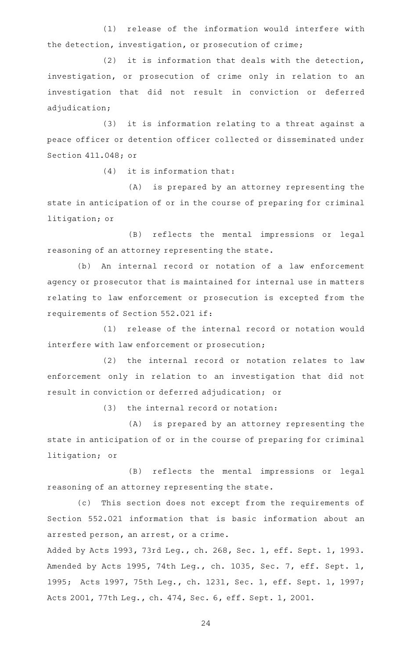(1) release of the information would interfere with the detection, investigation, or prosecution of crime;

(2) it is information that deals with the detection, investigation, or prosecution of crime only in relation to an investigation that did not result in conviction or deferred adjudication;

(3) it is information relating to a threat against a peace officer or detention officer collected or disseminated under Section 411.048; or

 $(4)$  it is information that:

(A) is prepared by an attorney representing the state in anticipation of or in the course of preparing for criminal litigation; or

(B) reflects the mental impressions or legal reasoning of an attorney representing the state.

(b) An internal record or notation of a law enforcement agency or prosecutor that is maintained for internal use in matters relating to law enforcement or prosecution is excepted from the requirements of Section 552.021 if:

(1) release of the internal record or notation would interfere with law enforcement or prosecution;

(2) the internal record or notation relates to law enforcement only in relation to an investigation that did not result in conviction or deferred adjudication; or

 $(3)$  the internal record or notation:

(A) is prepared by an attorney representing the state in anticipation of or in the course of preparing for criminal litigation; or

(B) reflects the mental impressions or legal reasoning of an attorney representing the state.

(c) This section does not except from the requirements of Section 552.021 information that is basic information about an arrested person, an arrest, or a crime.

Added by Acts 1993, 73rd Leg., ch. 268, Sec. 1, eff. Sept. 1, 1993. Amended by Acts 1995, 74th Leg., ch. 1035, Sec. 7, eff. Sept. 1, 1995; Acts 1997, 75th Leg., ch. 1231, Sec. 1, eff. Sept. 1, 1997; Acts 2001, 77th Leg., ch. 474, Sec. 6, eff. Sept. 1, 2001.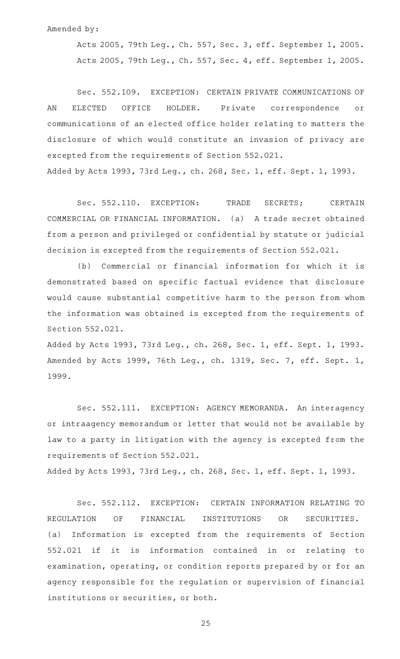## Amended by:

Acts 2005, 79th Leg., Ch. 557, Sec. 3, eff. September 1, 2005. Acts 2005, 79th Leg., Ch. 557, Sec. 4, eff. September 1, 2005.

Sec. 552.109. EXCEPTION: CERTAIN PRIVATE COMMUNICATIONS OF AN ELECTED OFFICE HOLDER. Private correspondence or communications of an elected office holder relating to matters the disclosure of which would constitute an invasion of privacy are excepted from the requirements of Section 552.021. Added by Acts 1993, 73rd Leg., ch. 268, Sec. 1, eff. Sept. 1, 1993.

Sec. 552.110. EXCEPTION: TRADE SECRETS; CERTAIN COMMERCIAL OR FINANCIAL INFORMATION. (a) A trade secret obtained from a person and privileged or confidential by statute or judicial decision is excepted from the requirements of Section 552.021.

(b) Commercial or financial information for which it is demonstrated based on specific factual evidence that disclosure would cause substantial competitive harm to the person from whom the information was obtained is excepted from the requirements of Section 552.021.

Added by Acts 1993, 73rd Leg., ch. 268, Sec. 1, eff. Sept. 1, 1993. Amended by Acts 1999, 76th Leg., ch. 1319, Sec. 7, eff. Sept. 1, 1999.

Sec. 552.111. EXCEPTION: AGENCY MEMORANDA. An interagency or intraagency memorandum or letter that would not be available by law to a party in litigation with the agency is excepted from the requirements of Section 552.021.

Added by Acts 1993, 73rd Leg., ch. 268, Sec. 1, eff. Sept. 1, 1993.

Sec. 552.112. EXCEPTION: CERTAIN INFORMATION RELATING TO REGULATION OF FINANCIAL INSTITUTIONS OR SECURITIES. (a) Information is excepted from the requirements of Section 552.021 if it is information contained in or relating to examination, operating, or condition reports prepared by or for an agency responsible for the regulation or supervision of financial institutions or securities, or both.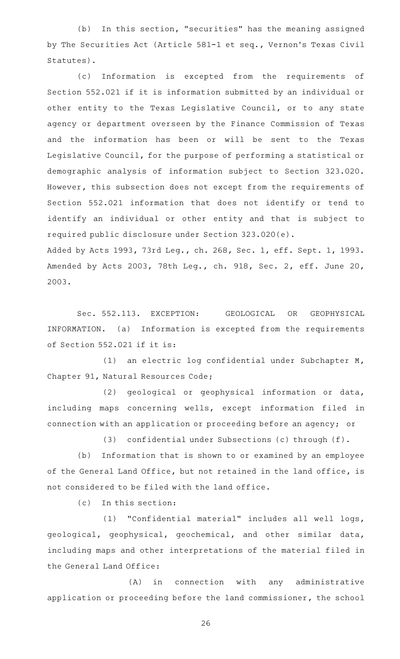(b) In this section, "securities" has the meaning assigned by The Securities Act (Article 581-1 et seq., Vernon 's Texas Civil Statutes).

(c) Information is excepted from the requirements of Section 552.021 if it is information submitted by an individual or other entity to the Texas Legislative Council, or to any state agency or department overseen by the Finance Commission of Texas and the information has been or will be sent to the Texas Legislative Council, for the purpose of performing a statistical or demographic analysis of information subject to Section 323.020. However, this subsection does not except from the requirements of Section 552.021 information that does not identify or tend to identify an individual or other entity and that is subject to required public disclosure under Section 323.020(e).

Added by Acts 1993, 73rd Leg., ch. 268, Sec. 1, eff. Sept. 1, 1993. Amended by Acts 2003, 78th Leg., ch. 918, Sec. 2, eff. June 20, 2003.

Sec. 552.113. EXCEPTION: GEOLOGICAL OR GEOPHYSICAL INFORMATION. (a) Information is excepted from the requirements of Section 552.021 if it is:

(1) an electric log confidential under Subchapter M, Chapter 91, Natural Resources Code;

(2) geological or geophysical information or data, including maps concerning wells, except information filed in connection with an application or proceeding before an agency; or

(3) confidential under Subsections (c) through  $(f)$ .

(b) Information that is shown to or examined by an employee of the General Land Office, but not retained in the land office, is not considered to be filed with the land office.

 $(c)$  In this section:

(1) "Confidential material" includes all well logs, geological, geophysical, geochemical, and other similar data, including maps and other interpretations of the material filed in the General Land Office:

 $(A)$  in connection with any administrative application or proceeding before the land commissioner, the school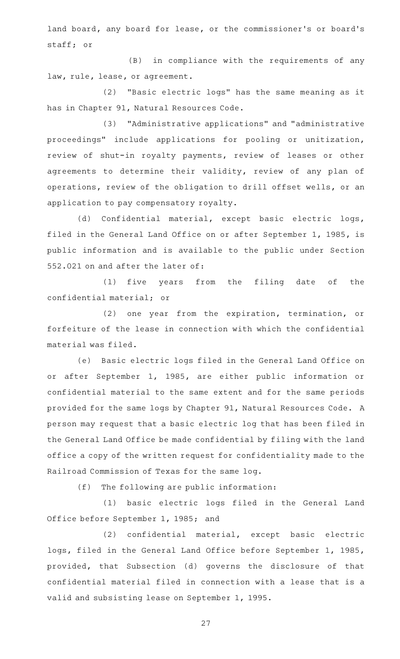land board, any board for lease, or the commissioner's or board's staff; or

(B) in compliance with the requirements of any law, rule, lease, or agreement.

(2) "Basic electric logs" has the same meaning as it has in Chapter 91, Natural Resources Code.

(3) "Administrative applications" and "administrative proceedings" include applications for pooling or unitization, review of shut-in royalty payments, review of leases or other agreements to determine their validity, review of any plan of operations, review of the obligation to drill offset wells, or an application to pay compensatory royalty.

(d) Confidential material, except basic electric logs, filed in the General Land Office on or after September 1, 1985, is public information and is available to the public under Section 552.021 on and after the later of:

(1) five years from the filing date of the confidential material; or

(2) one year from the expiration, termination, or forfeiture of the lease in connection with which the confidential material was filed.

(e) Basic electric logs filed in the General Land Office on or after September 1, 1985, are either public information or confidential material to the same extent and for the same periods provided for the same logs by Chapter 91, Natural Resources Code. A person may request that a basic electric log that has been filed in the General Land Office be made confidential by filing with the land office a copy of the written request for confidentiality made to the Railroad Commission of Texas for the same log.

 $(f)$  The following are public information:

(1) basic electric logs filed in the General Land Office before September 1, 1985; and

(2) confidential material, except basic electric logs, filed in the General Land Office before September 1, 1985, provided, that Subsection (d) governs the disclosure of that confidential material filed in connection with a lease that is a valid and subsisting lease on September 1, 1995.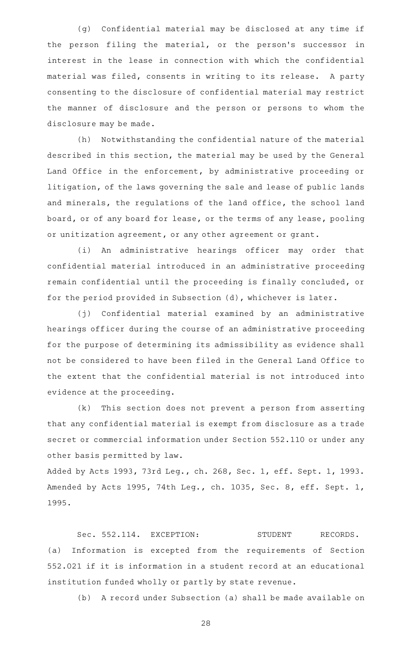(g) Confidential material may be disclosed at any time if the person filing the material, or the person's successor in interest in the lease in connection with which the confidential material was filed, consents in writing to its release. A party consenting to the disclosure of confidential material may restrict the manner of disclosure and the person or persons to whom the disclosure may be made.

(h) Notwithstanding the confidential nature of the material described in this section, the material may be used by the General Land Office in the enforcement, by administrative proceeding or litigation, of the laws governing the sale and lease of public lands and minerals, the regulations of the land office, the school land board, or of any board for lease, or the terms of any lease, pooling or unitization agreement, or any other agreement or grant.

(i) An administrative hearings officer may order that confidential material introduced in an administrative proceeding remain confidential until the proceeding is finally concluded, or for the period provided in Subsection (d), whichever is later.

(j) Confidential material examined by an administrative hearings officer during the course of an administrative proceeding for the purpose of determining its admissibility as evidence shall not be considered to have been filed in the General Land Office to the extent that the confidential material is not introduced into evidence at the proceeding.

(k) This section does not prevent a person from asserting that any confidential material is exempt from disclosure as a trade secret or commercial information under Section 552.110 or under any other basis permitted by law.

Added by Acts 1993, 73rd Leg., ch. 268, Sec. 1, eff. Sept. 1, 1993. Amended by Acts 1995, 74th Leg., ch. 1035, Sec. 8, eff. Sept. 1, 1995.

Sec. 552.114. EXCEPTION: STUDENT RECORDS. (a) Information is excepted from the requirements of Section 552.021 if it is information in a student record at an educational institution funded wholly or partly by state revenue.

(b) A record under Subsection (a) shall be made available on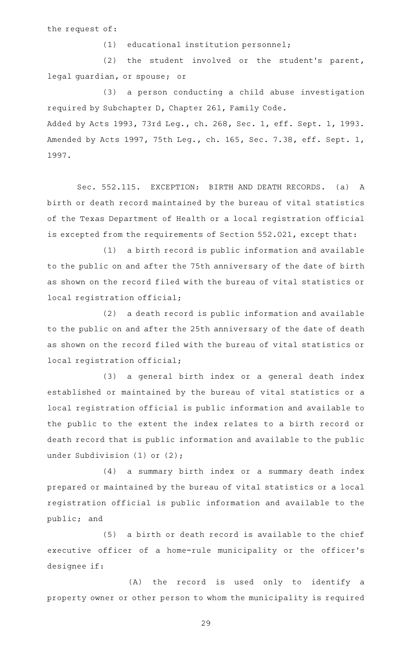the request of:

 $(1)$  educational institution personnel;

(2) the student involved or the student's parent, legal guardian, or spouse; or

(3) a person conducting a child abuse investigation required by Subchapter D, Chapter 261, Family Code. Added by Acts 1993, 73rd Leg., ch. 268, Sec. 1, eff. Sept. 1, 1993. Amended by Acts 1997, 75th Leg., ch. 165, Sec. 7.38, eff. Sept. 1, 1997.

Sec. 552.115. EXCEPTION: BIRTH AND DEATH RECORDS. (a) A birth or death record maintained by the bureau of vital statistics of the Texas Department of Health or a local registration official is excepted from the requirements of Section 552.021, except that:

 $(1)$  a birth record is public information and available to the public on and after the 75th anniversary of the date of birth as shown on the record filed with the bureau of vital statistics or local registration official;

(2) a death record is public information and available to the public on and after the 25th anniversary of the date of death as shown on the record filed with the bureau of vital statistics or local registration official;

(3) a general birth index or a general death index established or maintained by the bureau of vital statistics or a local registration official is public information and available to the public to the extent the index relates to a birth record or death record that is public information and available to the public under Subdivision (1) or (2);

(4) a summary birth index or a summary death index prepared or maintained by the bureau of vital statistics or a local registration official is public information and available to the public; and

 $(5)$  a birth or death record is available to the chief executive officer of a home-rule municipality or the officer's designee if:

(A) the record is used only to identify a property owner or other person to whom the municipality is required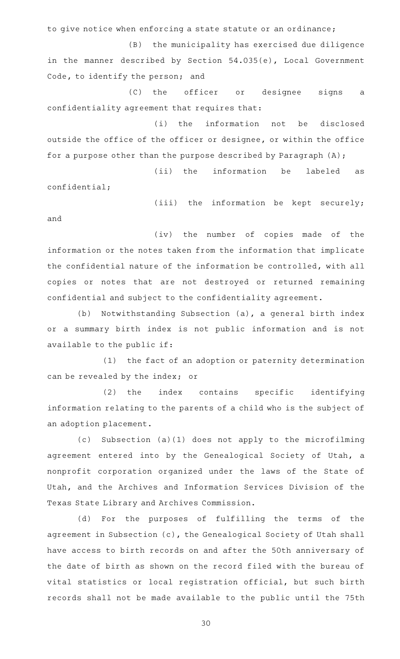to give notice when enforcing a state statute or an ordinance;

(B) the municipality has exercised due diligence in the manner described by Section 54.035(e), Local Government Code, to identify the person; and

(C) the officer or designee signs a confidentiality agreement that requires that:

(i) the information not be disclosed outside the office of the officer or designee, or within the office for a purpose other than the purpose described by Paragraph (A);

(ii) the information be labeled as confidential;

(iii) the information be kept securely;

(iv) the number of copies made of the information or the notes taken from the information that implicate the confidential nature of the information be controlled, with all copies or notes that are not destroyed or returned remaining confidential and subject to the confidentiality agreement.

and

(b) Notwithstanding Subsection (a), a general birth index or a summary birth index is not public information and is not available to the public if:

(1) the fact of an adoption or paternity determination can be revealed by the index; or

(2) the index contains specific identifying information relating to the parents of a child who is the subject of an adoption placement.

(c) Subsection (a)(1) does not apply to the microfilming agreement entered into by the Genealogical Society of Utah, a nonprofit corporation organized under the laws of the State of Utah, and the Archives and Information Services Division of the Texas State Library and Archives Commission.

(d) For the purposes of fulfilling the terms of the agreement in Subsection (c), the Genealogical Society of Utah shall have access to birth records on and after the 50th anniversary of the date of birth as shown on the record filed with the bureau of vital statistics or local registration official, but such birth records shall not be made available to the public until the 75th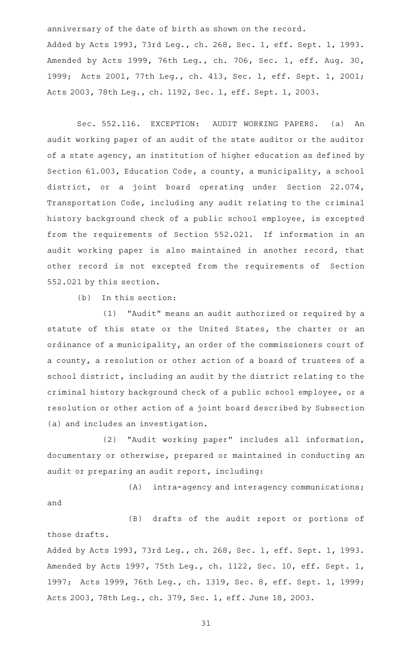anniversary of the date of birth as shown on the record.

Added by Acts 1993, 73rd Leg., ch. 268, Sec. 1, eff. Sept. 1, 1993. Amended by Acts 1999, 76th Leg., ch. 706, Sec. 1, eff. Aug. 30, 1999; Acts 2001, 77th Leg., ch. 413, Sec. 1, eff. Sept. 1, 2001; Acts 2003, 78th Leg., ch. 1192, Sec. 1, eff. Sept. 1, 2003.

Sec. 552.116. EXCEPTION: AUDIT WORKING PAPERS. (a) An audit working paper of an audit of the state auditor or the auditor of a state agency, an institution of higher education as defined by Section 61.003, Education Code, a county, a municipality, a school district, or a joint board operating under Section 22.074, Transportation Code, including any audit relating to the criminal history background check of a public school employee, is excepted from the requirements of Section 552.021. If information in an audit working paper is also maintained in another record, that other record is not excepted from the requirements of Section 552.021 by this section.

 $(b)$  In this section:

(1) "Audit" means an audit authorized or required by a statute of this state or the United States, the charter or an ordinance of a municipality, an order of the commissioners court of a county, a resolution or other action of a board of trustees of a school district, including an audit by the district relating to the criminal history background check of a public school employee, or a resolution or other action of a joint board described by Subsection (a) and includes an investigation.

(2) "Audit working paper" includes all information, documentary or otherwise, prepared or maintained in conducting an audit or preparing an audit report, including:

 $(A)$  intra-agency and interagency communications; and

(B) drafts of the audit report or portions of those drafts.

Added by Acts 1993, 73rd Leg., ch. 268, Sec. 1, eff. Sept. 1, 1993. Amended by Acts 1997, 75th Leg., ch. 1122, Sec. 10, eff. Sept. 1, 1997; Acts 1999, 76th Leg., ch. 1319, Sec. 8, eff. Sept. 1, 1999; Acts 2003, 78th Leg., ch. 379, Sec. 1, eff. June 18, 2003.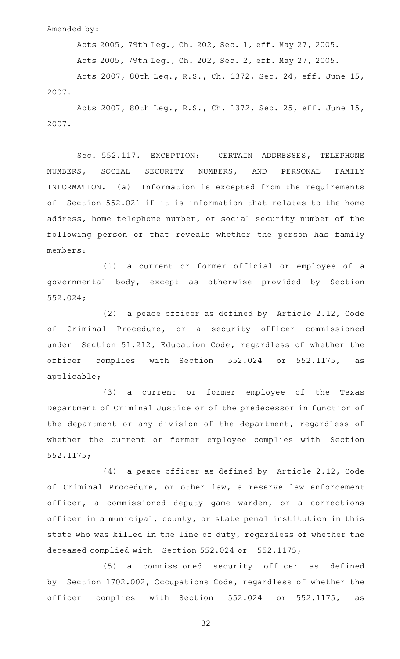Amended by:

Acts 2005, 79th Leg., Ch. 202, Sec. 1, eff. May 27, 2005.

Acts 2005, 79th Leg., Ch. 202, Sec. 2, eff. May 27, 2005.

Acts 2007, 80th Leg., R.S., Ch. 1372, Sec. 24, eff. June 15, 2007.

Acts 2007, 80th Leg., R.S., Ch. 1372, Sec. 25, eff. June 15, 2007.

Sec. 552.117. EXCEPTION: CERTAIN ADDRESSES, TELEPHONE NUMBERS, SOCIAL SECURITY NUMBERS, AND PERSONAL FAMILY INFORMATION. (a) Information is excepted from the requirements of Section 552.021 if it is information that relates to the home address, home telephone number, or social security number of the following person or that reveals whether the person has family members:

(1) a current or former official or employee of a governmental body, except as otherwise provided by Section 552.024;

(2) a peace officer as defined by Article  $2.12$ , Code of Criminal Procedure, or a security officer commissioned under Section 51.212, Education Code, regardless of whether the officer complies with Section 552.024 or 552.1175, as applicable;

(3) a current or former employee of the Texas Department of Criminal Justice or of the predecessor in function of the department or any division of the department, regardless of whether the current or former employee complies with Section 552.1175;

 $(4)$  a peace officer as defined by Article 2.12, Code of Criminal Procedure, or other law, a reserve law enforcement officer, a commissioned deputy game warden, or a corrections officer in a municipal, county, or state penal institution in this state who was killed in the line of duty, regardless of whether the deceased complied with Section 552.024 or 552.1175;

(5) a commissioned security officer as defined by Section 1702.002, Occupations Code, regardless of whether the officer complies with Section 552.024 or 552.1175, as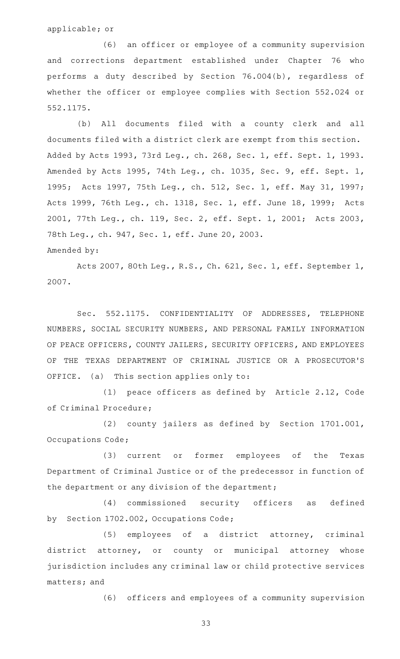applicable; or

(6) an officer or employee of a community supervision and corrections department established under Chapter 76 who performs a duty described by Section 76.004(b), regardless of whether the officer or employee complies with Section 552.024 or 552.1175.

(b) All documents filed with a county clerk and all documents filed with a district clerk are exempt from this section. Added by Acts 1993, 73rd Leg., ch. 268, Sec. 1, eff. Sept. 1, 1993. Amended by Acts 1995, 74th Leg., ch. 1035, Sec. 9, eff. Sept. 1, 1995; Acts 1997, 75th Leg., ch. 512, Sec. 1, eff. May 31, 1997; Acts 1999, 76th Leg., ch. 1318, Sec. 1, eff. June 18, 1999; Acts 2001, 77th Leg., ch. 119, Sec. 2, eff. Sept. 1, 2001; Acts 2003, 78th Leg., ch. 947, Sec. 1, eff. June 20, 2003. Amended by:

Acts 2007, 80th Leg., R.S., Ch. 621, Sec. 1, eff. September 1, 2007.

Sec. 552.1175. CONFIDENTIALITY OF ADDRESSES, TELEPHONE NUMBERS, SOCIAL SECURITY NUMBERS, AND PERSONAL FAMILY INFORMATION OF PEACE OFFICERS, COUNTY JAILERS, SECURITY OFFICERS, AND EMPLOYEES OF THE TEXAS DEPARTMENT OF CRIMINAL JUSTICE OR A PROSECUTOR 'S OFFICE. (a) This section applies only to:

(1) peace officers as defined by Article 2.12, Code of Criminal Procedure;

(2) county jailers as defined by Section 1701.001, Occupations Code;

(3) current or former employees of the Texas Department of Criminal Justice or of the predecessor in function of the department or any division of the department;

(4) commissioned security officers as defined by Section 1702.002, Occupations Code;

(5) employees of a district attorney, criminal district attorney, or county or municipal attorney whose jurisdiction includes any criminal law or child protective services matters; and

(6) officers and employees of a community supervision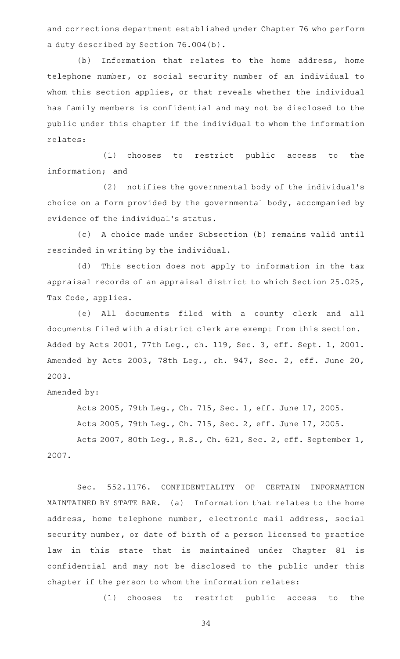and corrections department established under Chapter 76 who perform a duty described by Section 76.004(b).

(b) Information that relates to the home address, home telephone number, or social security number of an individual to whom this section applies, or that reveals whether the individual has family members is confidential and may not be disclosed to the public under this chapter if the individual to whom the information relates:

(1) chooses to restrict public access to the information; and

(2) notifies the governmental body of the individual's choice on a form provided by the governmental body, accompanied by evidence of the individual 's status.

(c)AAA choice made under Subsection (b) remains valid until rescinded in writing by the individual.

(d) This section does not apply to information in the tax appraisal records of an appraisal district to which Section 25.025, Tax Code, applies.

(e) All documents filed with a county clerk and all documents filed with a district clerk are exempt from this section. Added by Acts 2001, 77th Leg., ch. 119, Sec. 3, eff. Sept. 1, 2001. Amended by Acts 2003, 78th Leg., ch. 947, Sec. 2, eff. June 20, 2003.

Amended by:

Acts 2005, 79th Leg., Ch. 715, Sec. 1, eff. June 17, 2005. Acts 2005, 79th Leg., Ch. 715, Sec. 2, eff. June 17, 2005.

Acts 2007, 80th Leg., R.S., Ch. 621, Sec. 2, eff. September 1, 2007.

Sec. 552.1176. CONFIDENTIALITY OF CERTAIN INFORMATION MAINTAINED BY STATE BAR. (a) Information that relates to the home address, home telephone number, electronic mail address, social security number, or date of birth of a person licensed to practice law in this state that is maintained under Chapter 81 is confidential and may not be disclosed to the public under this chapter if the person to whom the information relates:

(1) chooses to restrict public access to the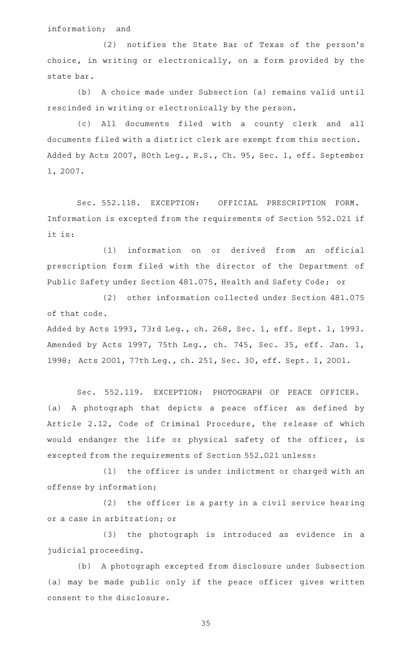## information; and

(2) notifies the State Bar of Texas of the person's choice, in writing or electronically, on a form provided by the state bar.

(b) A choice made under Subsection (a) remains valid until rescinded in writing or electronically by the person.

(c) All documents filed with a county clerk and all documents filed with a district clerk are exempt from this section. Added by Acts 2007, 80th Leg., R.S., Ch. 95, Sec. 1, eff. September 1, 2007.

Sec. 552.118. EXCEPTION: OFFICIAL PRESCRIPTION FORM. Information is excepted from the requirements of Section 552.021 if it is:

(1) information on or derived from an official prescription form filed with the director of the Department of Public Safety under Section 481.075, Health and Safety Code; or

(2) other information collected under Section 481.075 of that code.

Added by Acts 1993, 73rd Leg., ch. 268, Sec. 1, eff. Sept. 1, 1993. Amended by Acts 1997, 75th Leg., ch. 745, Sec. 35, eff. Jan. 1, 1998; Acts 2001, 77th Leg., ch. 251, Sec. 30, eff. Sept. 1, 2001.

Sec. 552.119. EXCEPTION: PHOTOGRAPH OF PEACE OFFICER. (a) A photograph that depicts a peace officer as defined by Article 2.12, Code of Criminal Procedure, the release of which would endanger the life or physical safety of the officer, is excepted from the requirements of Section 552.021 unless:

(1) the officer is under indictment or charged with an offense by information;

 $(2)$  the officer is a party in a civil service hearing or a case in arbitration; or

(3) the photograph is introduced as evidence in a judicial proceeding.

(b) A photograph excepted from disclosure under Subsection (a) may be made public only if the peace officer gives written consent to the disclosure.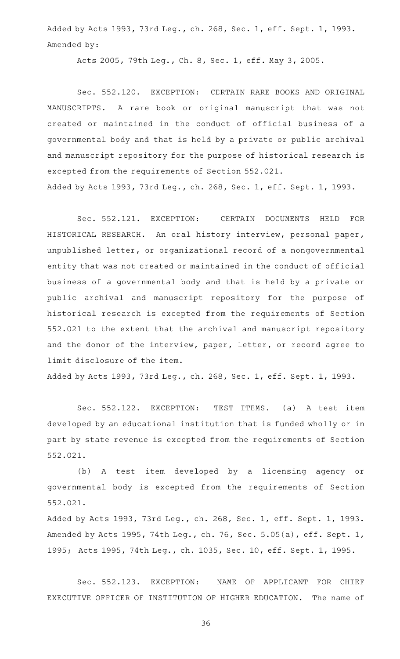Added by Acts 1993, 73rd Leg., ch. 268, Sec. 1, eff. Sept. 1, 1993. Amended by:

Acts 2005, 79th Leg., Ch. 8, Sec. 1, eff. May 3, 2005.

Sec. 552.120. EXCEPTION: CERTAIN RARE BOOKS AND ORIGINAL MANUSCRIPTS. A rare book or original manuscript that was not created or maintained in the conduct of official business of a governmental body and that is held by a private or public archival and manuscript repository for the purpose of historical research is excepted from the requirements of Section 552.021. Added by Acts 1993, 73rd Leg., ch. 268, Sec. 1, eff. Sept. 1, 1993.

Sec. 552.121. EXCEPTION: CERTAIN DOCUMENTS HELD FOR HISTORICAL RESEARCH. An oral history interview, personal paper, unpublished letter, or organizational record of a nongovernmental entity that was not created or maintained in the conduct of official business of a governmental body and that is held by a private or public archival and manuscript repository for the purpose of historical research is excepted from the requirements of Section 552.021 to the extent that the archival and manuscript repository and the donor of the interview, paper, letter, or record agree to limit disclosure of the item.

Added by Acts 1993, 73rd Leg., ch. 268, Sec. 1, eff. Sept. 1, 1993.

Sec. 552.122. EXCEPTION: TEST ITEMS. (a) A test item developed by an educational institution that is funded wholly or in part by state revenue is excepted from the requirements of Section 552.021.

(b) A test item developed by a licensing agency or governmental body is excepted from the requirements of Section 552.021.

Added by Acts 1993, 73rd Leg., ch. 268, Sec. 1, eff. Sept. 1, 1993. Amended by Acts 1995, 74th Leg., ch. 76, Sec. 5.05(a), eff. Sept. 1, 1995; Acts 1995, 74th Leg., ch. 1035, Sec. 10, eff. Sept. 1, 1995.

Sec. 552.123. EXCEPTION: NAME OF APPLICANT FOR CHIEF EXECUTIVE OFFICER OF INSTITUTION OF HIGHER EDUCATION. The name of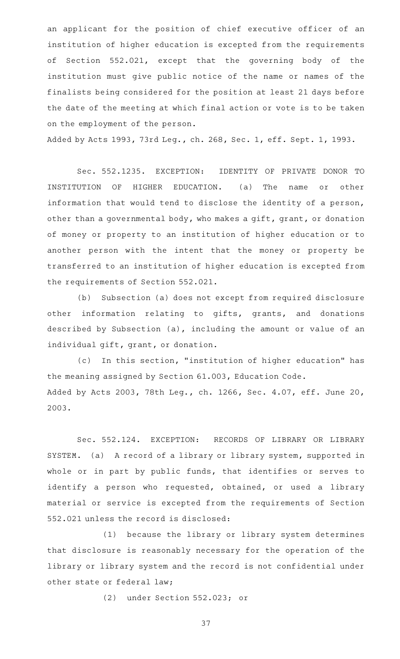an applicant for the position of chief executive officer of an institution of higher education is excepted from the requirements of Section 552.021, except that the governing body of the institution must give public notice of the name or names of the finalists being considered for the position at least 21 days before the date of the meeting at which final action or vote is to be taken on the employment of the person.

Added by Acts 1993, 73rd Leg., ch. 268, Sec. 1, eff. Sept. 1, 1993.

Sec. 552.1235. EXCEPTION: IDENTITY OF PRIVATE DONOR TO INSTITUTION OF HIGHER EDUCATION. (a) The name or other information that would tend to disclose the identity of a person, other than a governmental body, who makes a gift, grant, or donation of money or property to an institution of higher education or to another person with the intent that the money or property be transferred to an institution of higher education is excepted from the requirements of Section 552.021.

(b) Subsection (a) does not except from required disclosure other information relating to gifts, grants, and donations described by Subsection (a), including the amount or value of an individual gift, grant, or donation.

(c) In this section, "institution of higher education" has the meaning assigned by Section 61.003, Education Code. Added by Acts 2003, 78th Leg., ch. 1266, Sec. 4.07, eff. June 20, 2003.

Sec. 552.124. EXCEPTION: RECORDS OF LIBRARY OR LIBRARY SYSTEM. (a) A record of a library or library system, supported in whole or in part by public funds, that identifies or serves to identify a person who requested, obtained, or used a library material or service is excepted from the requirements of Section 552.021 unless the record is disclosed:

(1) because the library or library system determines that disclosure is reasonably necessary for the operation of the library or library system and the record is not confidential under other state or federal law;

(2) under Section 552.023; or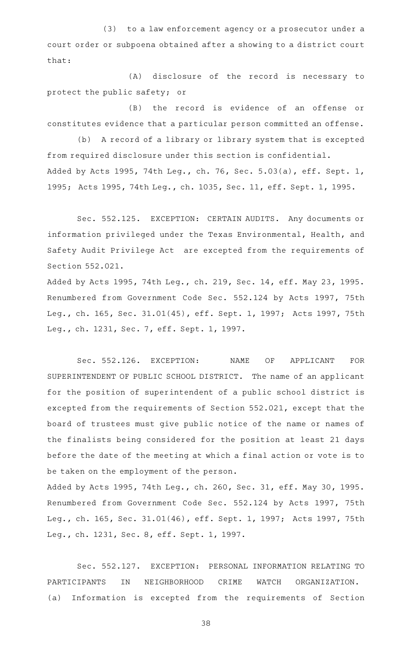(3) to a law enforcement agency or a prosecutor under a court order or subpoena obtained after a showing to a district court that:

(A) disclosure of the record is necessary to protect the public safety; or

(B) the record is evidence of an offense or constitutes evidence that a particular person committed an offense.

(b) A record of a library or library system that is excepted from required disclosure under this section is confidential. Added by Acts 1995, 74th Leg., ch. 76, Sec. 5.03(a), eff. Sept. 1, 1995; Acts 1995, 74th Leg., ch. 1035, Sec. 11, eff. Sept. 1, 1995.

Sec. 552.125. EXCEPTION: CERTAIN AUDITS. Any documents or information privileged under the Texas Environmental, Health, and Safety Audit Privilege Act are excepted from the requirements of Section 552.021.

Added by Acts 1995, 74th Leg., ch. 219, Sec. 14, eff. May 23, 1995. Renumbered from Government Code Sec. 552.124 by Acts 1997, 75th Leg., ch. 165, Sec. 31.01(45), eff. Sept. 1, 1997; Acts 1997, 75th Leg., ch. 1231, Sec. 7, eff. Sept. 1, 1997.

Sec. 552.126. EXCEPTION: NAME OF APPLICANT FOR SUPERINTENDENT OF PUBLIC SCHOOL DISTRICT. The name of an applicant for the position of superintendent of a public school district is excepted from the requirements of Section 552.021, except that the board of trustees must give public notice of the name or names of the finalists being considered for the position at least 21 days before the date of the meeting at which a final action or vote is to be taken on the employment of the person.

Added by Acts 1995, 74th Leg., ch. 260, Sec. 31, eff. May 30, 1995. Renumbered from Government Code Sec. 552.124 by Acts 1997, 75th Leg., ch. 165, Sec. 31.01(46), eff. Sept. 1, 1997; Acts 1997, 75th Leg., ch. 1231, Sec. 8, eff. Sept. 1, 1997.

Sec. 552.127. EXCEPTION: PERSONAL INFORMATION RELATING TO PARTICIPANTS IN NEIGHBORHOOD CRIME WATCH ORGANIZATION. (a) Information is excepted from the requirements of Section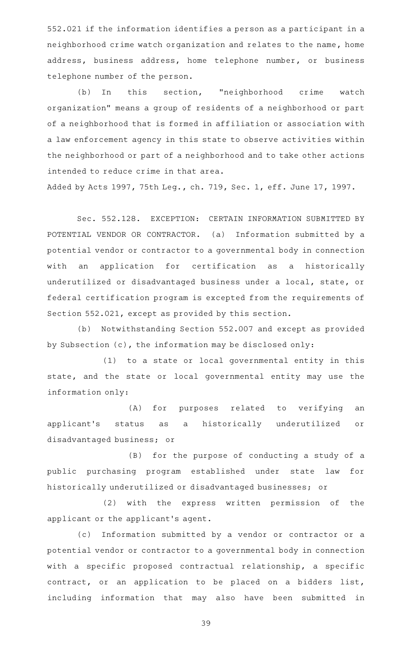552.021 if the information identifies a person as a participant in a neighborhood crime watch organization and relates to the name, home address, business address, home telephone number, or business telephone number of the person.

(b) In this section, "neighborhood crime watch organization" means a group of residents of a neighborhood or part of a neighborhood that is formed in affiliation or association with a law enforcement agency in this state to observe activities within the neighborhood or part of a neighborhood and to take other actions intended to reduce crime in that area.

Added by Acts 1997, 75th Leg., ch. 719, Sec. 1, eff. June 17, 1997.

Sec. 552.128. EXCEPTION: CERTAIN INFORMATION SUBMITTED BY POTENTIAL VENDOR OR CONTRACTOR. (a) Information submitted by a potential vendor or contractor to a governmental body in connection with an application for certification as a historically underutilized or disadvantaged business under a local, state, or federal certification program is excepted from the requirements of Section 552.021, except as provided by this section.

(b) Notwithstanding Section 552.007 and except as provided by Subsection (c), the information may be disclosed only:

(1) to a state or local governmental entity in this state, and the state or local governmental entity may use the information only:

(A) for purposes related to verifying an applicant 's status as a historically underutilized or disadvantaged business; or

(B) for the purpose of conducting a study of a public purchasing program established under state law for historically underutilized or disadvantaged businesses; or

(2) with the express written permission of the applicant or the applicant 's agent.

(c) Information submitted by a vendor or contractor or a potential vendor or contractor to a governmental body in connection with a specific proposed contractual relationship, a specific contract, or an application to be placed on a bidders list, including information that may also have been submitted in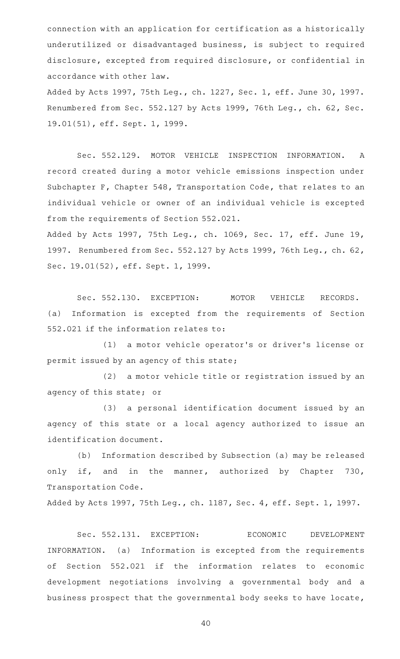connection with an application for certification as a historically underutilized or disadvantaged business, is subject to required disclosure, excepted from required disclosure, or confidential in accordance with other law.

Added by Acts 1997, 75th Leg., ch. 1227, Sec. 1, eff. June 30, 1997. Renumbered from Sec. 552.127 by Acts 1999, 76th Leg., ch. 62, Sec. 19.01(51), eff. Sept. 1, 1999.

Sec. 552.129. MOTOR VEHICLE INSPECTION INFORMATION. A record created during a motor vehicle emissions inspection under Subchapter F, Chapter 548, Transportation Code, that relates to an individual vehicle or owner of an individual vehicle is excepted from the requirements of Section 552.021.

Added by Acts 1997, 75th Leg., ch. 1069, Sec. 17, eff. June 19, 1997. Renumbered from Sec. 552.127 by Acts 1999, 76th Leg., ch. 62, Sec. 19.01(52), eff. Sept. 1, 1999.

Sec. 552.130. EXCEPTION: MOTOR VEHICLE RECORDS. (a) Information is excepted from the requirements of Section 552.021 if the information relates to:

(1) a motor vehicle operator's or driver's license or permit issued by an agency of this state;

(2) a motor vehicle title or registration issued by an agency of this state; or

(3) a personal identification document issued by an agency of this state or a local agency authorized to issue an identification document.

(b) Information described by Subsection (a) may be released only if, and in the manner, authorized by Chapter 730, Transportation Code.

Added by Acts 1997, 75th Leg., ch. 1187, Sec. 4, eff. Sept. 1, 1997.

Sec. 552.131. EXCEPTION: ECONOMIC DEVELOPMENT INFORMATION. (a) Information is excepted from the requirements of Section 552.021 if the information relates to economic development negotiations involving a governmental body and a business prospect that the governmental body seeks to have locate,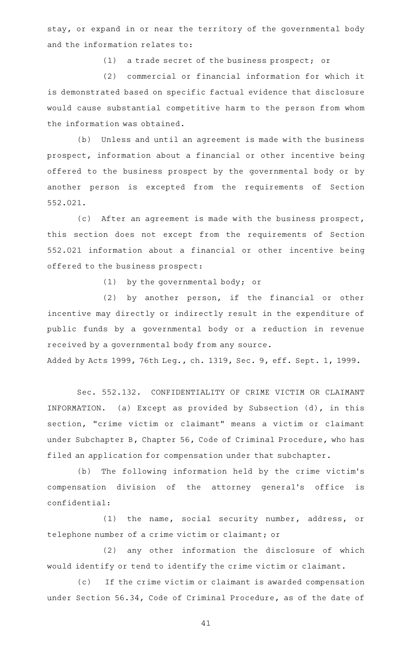stay, or expand in or near the territory of the governmental body and the information relates to:

 $(1)$  a trade secret of the business prospect; or

(2) commercial or financial information for which it is demonstrated based on specific factual evidence that disclosure would cause substantial competitive harm to the person from whom the information was obtained.

(b) Unless and until an agreement is made with the business prospect, information about a financial or other incentive being offered to the business prospect by the governmental body or by another person is excepted from the requirements of Section 552.021.

(c) After an agreement is made with the business prospect, this section does not except from the requirements of Section 552.021 information about a financial or other incentive being offered to the business prospect:

 $(1)$  by the governmental body; or

 $(2)$  by another person, if the financial or other incentive may directly or indirectly result in the expenditure of public funds by a governmental body or a reduction in revenue received by a governmental body from any source.

Added by Acts 1999, 76th Leg., ch. 1319, Sec. 9, eff. Sept. 1, 1999.

Sec. 552.132. CONFIDENTIALITY OF CRIME VICTIM OR CLAIMANT INFORMATION. (a) Except as provided by Subsection (d), in this section, "crime victim or claimant" means a victim or claimant under Subchapter B, Chapter 56, Code of Criminal Procedure, who has filed an application for compensation under that subchapter.

(b) The following information held by the crime victim's compensation division of the attorney general 's office is confidential:

(1) the name, social security number, address, or telephone number of a crime victim or claimant; or

(2) any other information the disclosure of which would identify or tend to identify the crime victim or claimant.

(c) If the crime victim or claimant is awarded compensation under Section 56.34, Code of Criminal Procedure, as of the date of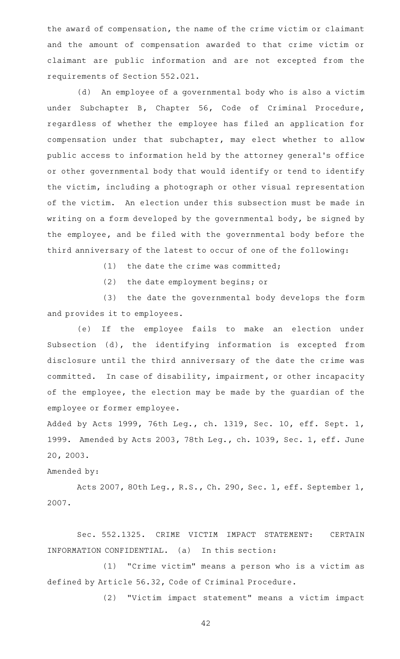the award of compensation, the name of the crime victim or claimant and the amount of compensation awarded to that crime victim or claimant are public information and are not excepted from the requirements of Section 552.021.

(d) An employee of a governmental body who is also a victim under Subchapter B, Chapter 56, Code of Criminal Procedure, regardless of whether the employee has filed an application for compensation under that subchapter, may elect whether to allow public access to information held by the attorney general 's office or other governmental body that would identify or tend to identify the victim, including a photograph or other visual representation of the victim. An election under this subsection must be made in writing on a form developed by the governmental body, be signed by the employee, and be filed with the governmental body before the third anniversary of the latest to occur of one of the following:

 $(1)$  the date the crime was committed;

(2) the date employment begins; or

(3) the date the governmental body develops the form and provides it to employees.

(e) If the employee fails to make an election under Subsection (d), the identifying information is excepted from disclosure until the third anniversary of the date the crime was committed. In case of disability, impairment, or other incapacity of the employee, the election may be made by the guardian of the employee or former employee.

Added by Acts 1999, 76th Leg., ch. 1319, Sec. 10, eff. Sept. 1, 1999. Amended by Acts 2003, 78th Leg., ch. 1039, Sec. 1, eff. June 20, 2003.

## Amended by:

Acts 2007, 80th Leg., R.S., Ch. 290, Sec. 1, eff. September 1, 2007.

Sec. 552.1325. CRIME VICTIM IMPACT STATEMENT: CERTAIN INFORMATION CONFIDENTIAL. (a) In this section:

 $(1)$  "Crime victim" means a person who is a victim as defined by Article 56.32, Code of Criminal Procedure.

(2) "Victim impact statement" means a victim impact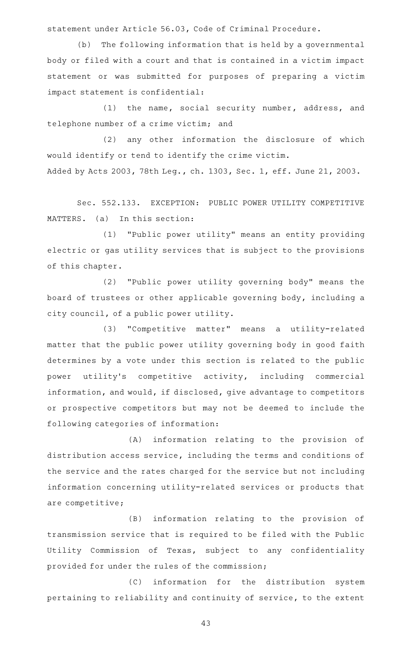statement under Article 56.03, Code of Criminal Procedure.

(b) The following information that is held by a governmental body or filed with a court and that is contained in a victim impact statement or was submitted for purposes of preparing a victim impact statement is confidential:

(1) the name, social security number, address, and telephone number of a crime victim; and

(2) any other information the disclosure of which would identify or tend to identify the crime victim. Added by Acts 2003, 78th Leg., ch. 1303, Sec. 1, eff. June 21, 2003.

Sec. 552.133. EXCEPTION: PUBLIC POWER UTILITY COMPETITIVE MATTERS. (a) In this section:

(1) "Public power utility" means an entity providing electric or gas utility services that is subject to the provisions of this chapter.

(2) "Public power utility governing body" means the board of trustees or other applicable governing body, including a city council, of a public power utility.

(3) "Competitive matter" means a utility-related matter that the public power utility governing body in good faith determines by a vote under this section is related to the public power utility's competitive activity, including commercial information, and would, if disclosed, give advantage to competitors or prospective competitors but may not be deemed to include the following categories of information:

(A) information relating to the provision of distribution access service, including the terms and conditions of the service and the rates charged for the service but not including information concerning utility-related services or products that are competitive;

(B) information relating to the provision of transmission service that is required to be filed with the Public Utility Commission of Texas, subject to any confidentiality provided for under the rules of the commission;

(C) information for the distribution system pertaining to reliability and continuity of service, to the extent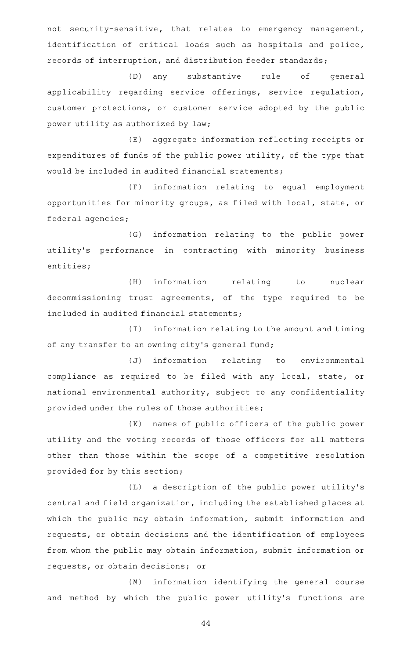not security-sensitive, that relates to emergency management, identification of critical loads such as hospitals and police, records of interruption, and distribution feeder standards;

(D) any substantive rule of general applicability regarding service offerings, service regulation, customer protections, or customer service adopted by the public power utility as authorized by law;

(E) aggregate information reflecting receipts or expenditures of funds of the public power utility, of the type that would be included in audited financial statements;

(F) information relating to equal employment opportunities for minority groups, as filed with local, state, or federal agencies;

(G) information relating to the public power utility's performance in contracting with minority business entities;

(H) information relating to nuclear decommissioning trust agreements, of the type required to be included in audited financial statements;

(I) information relating to the amount and timing of any transfer to an owning city 's general fund;

(J) information relating to environmental compliance as required to be filed with any local, state, or national environmental authority, subject to any confidentiality provided under the rules of those authorities;

(K) names of public officers of the public power utility and the voting records of those officers for all matters other than those within the scope of a competitive resolution provided for by this section;

(L) a description of the public power utility's central and field organization, including the established places at which the public may obtain information, submit information and requests, or obtain decisions and the identification of employees from whom the public may obtain information, submit information or requests, or obtain decisions; or

(M) information identifying the general course and method by which the public power utility's functions are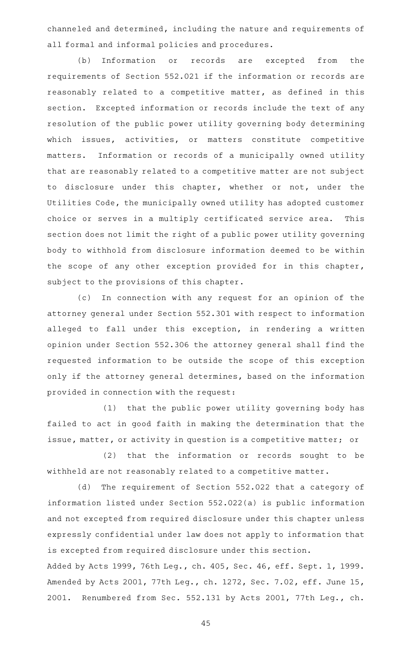channeled and determined, including the nature and requirements of all formal and informal policies and procedures.

(b) Information or records are excepted from the requirements of Section 552.021 if the information or records are reasonably related to a competitive matter, as defined in this section. Excepted information or records include the text of any resolution of the public power utility governing body determining which issues, activities, or matters constitute competitive matters. Information or records of a municipally owned utility that are reasonably related to a competitive matter are not subject to disclosure under this chapter, whether or not, under the Utilities Code, the municipally owned utility has adopted customer choice or serves in a multiply certificated service area. This section does not limit the right of a public power utility governing body to withhold from disclosure information deemed to be within the scope of any other exception provided for in this chapter, subject to the provisions of this chapter.

(c) In connection with any request for an opinion of the attorney general under Section 552.301 with respect to information alleged to fall under this exception, in rendering a written opinion under Section 552.306 the attorney general shall find the requested information to be outside the scope of this exception only if the attorney general determines, based on the information provided in connection with the request:

(1) that the public power utility governing body has failed to act in good faith in making the determination that the issue, matter, or activity in question is a competitive matter; or

(2) that the information or records sought to be withheld are not reasonably related to a competitive matter.

(d) The requirement of Section 552.022 that a category of information listed under Section 552.022(a) is public information and not excepted from required disclosure under this chapter unless expressly confidential under law does not apply to information that is excepted from required disclosure under this section.

Added by Acts 1999, 76th Leg., ch. 405, Sec. 46, eff. Sept. 1, 1999. Amended by Acts 2001, 77th Leg., ch. 1272, Sec. 7.02, eff. June 15, 2001. Renumbered from Sec. 552.131 by Acts 2001, 77th Leg., ch.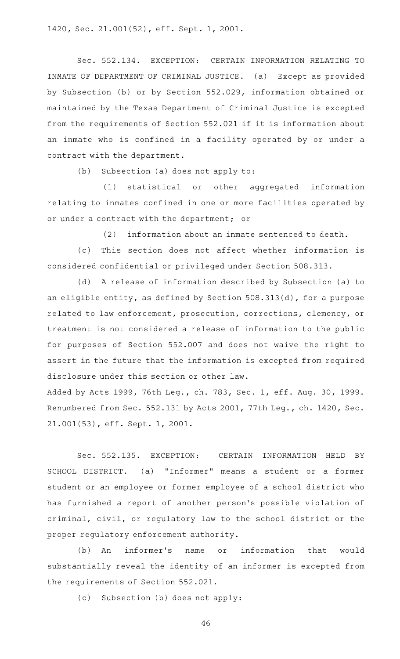1420, Sec. 21.001(52), eff. Sept. 1, 2001.

Sec. 552.134. EXCEPTION: CERTAIN INFORMATION RELATING TO INMATE OF DEPARTMENT OF CRIMINAL JUSTICE. (a) Except as provided by Subsection (b) or by Section 552.029, information obtained or maintained by the Texas Department of Criminal Justice is excepted from the requirements of Section 552.021 if it is information about an inmate who is confined in a facility operated by or under a contract with the department.

 $(b)$  Subsection (a) does not apply to:

(1) statistical or other aggregated information relating to inmates confined in one or more facilities operated by or under a contract with the department; or

(2) information about an inmate sentenced to death.

(c) This section does not affect whether information is considered confidential or privileged under Section 508.313.

(d) A release of information described by Subsection (a) to an eligible entity, as defined by Section 508.313(d), for a purpose related to law enforcement, prosecution, corrections, clemency, or treatment is not considered a release of information to the public for purposes of Section 552.007 and does not waive the right to assert in the future that the information is excepted from required disclosure under this section or other law.

Added by Acts 1999, 76th Leg., ch. 783, Sec. 1, eff. Aug. 30, 1999. Renumbered from Sec. 552.131 by Acts 2001, 77th Leg., ch. 1420, Sec. 21.001(53), eff. Sept. 1, 2001.

Sec. 552.135. EXCEPTION: CERTAIN INFORMATION HELD BY SCHOOL DISTRICT. (a) "Informer" means a student or a former student or an employee or former employee of a school district who has furnished a report of another person 's possible violation of criminal, civil, or regulatory law to the school district or the proper regulatory enforcement authority.

(b) An informer's name or information that would substantially reveal the identity of an informer is excepted from the requirements of Section 552.021.

(c) Subsection (b) does not apply: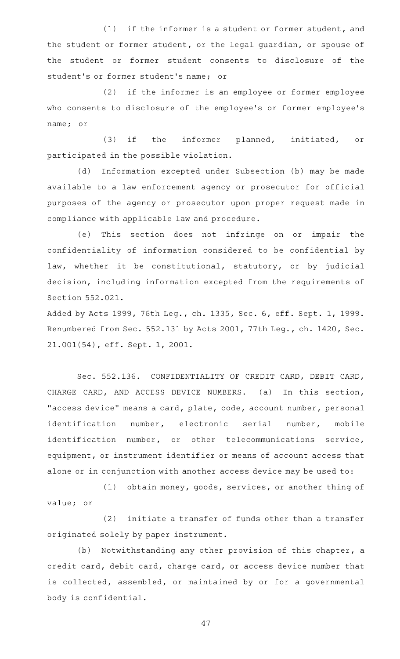$(1)$  if the informer is a student or former student, and the student or former student, or the legal guardian, or spouse of the student or former student consents to disclosure of the student's or former student's name; or

(2) if the informer is an employee or former employee who consents to disclosure of the employee 's or former employee 's name; or

(3) if the informer planned, initiated, or participated in the possible violation.

(d) Information excepted under Subsection (b) may be made available to a law enforcement agency or prosecutor for official purposes of the agency or prosecutor upon proper request made in compliance with applicable law and procedure.

(e) This section does not infringe on or impair the confidentiality of information considered to be confidential by law, whether it be constitutional, statutory, or by judicial decision, including information excepted from the requirements of Section 552.021.

Added by Acts 1999, 76th Leg., ch. 1335, Sec. 6, eff. Sept. 1, 1999. Renumbered from Sec. 552.131 by Acts 2001, 77th Leg., ch. 1420, Sec. 21.001(54), eff. Sept. 1, 2001.

Sec. 552.136. CONFIDENTIALITY OF CREDIT CARD, DEBIT CARD, CHARGE CARD, AND ACCESS DEVICE NUMBERS. (a) In this section, "access device" means a card, plate, code, account number, personal identification number, electronic serial number, mobile identification number, or other telecommunications service, equipment, or instrument identifier or means of account access that alone or in conjunction with another access device may be used to:

(1) obtain money, goods, services, or another thing of value; or

(2) initiate a transfer of funds other than a transfer originated solely by paper instrument.

(b) Notwithstanding any other provision of this chapter, a credit card, debit card, charge card, or access device number that is collected, assembled, or maintained by or for a governmental body is confidential.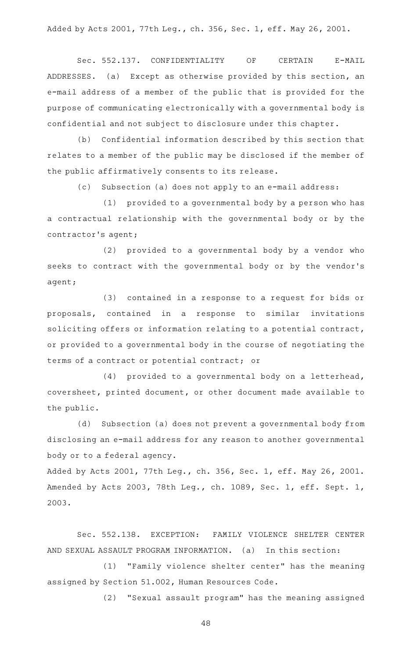Added by Acts 2001, 77th Leg., ch. 356, Sec. 1, eff. May 26, 2001.

Sec. 552.137. CONFIDENTIALITY OF CERTAIN E-MAIL ADDRESSES. (a) Except as otherwise provided by this section, an e-mail address of a member of the public that is provided for the purpose of communicating electronically with a governmental body is confidential and not subject to disclosure under this chapter.

(b) Confidential information described by this section that relates to a member of the public may be disclosed if the member of the public affirmatively consents to its release.

(c) Subsection (a) does not apply to an e-mail address:

 $(1)$  provided to a governmental body by a person who has a contractual relationship with the governmental body or by the contractor 's agent;

 $(2)$  provided to a governmental body by a vendor who seeks to contract with the governmental body or by the vendor 's agent;

(3) contained in a response to a request for bids or proposals, contained in a response to similar invitations soliciting offers or information relating to a potential contract, or provided to a governmental body in the course of negotiating the terms of a contract or potential contract; or

 $(4)$  provided to a governmental body on a letterhead, coversheet, printed document, or other document made available to the public.

(d) Subsection (a) does not prevent a governmental body from disclosing an e-mail address for any reason to another governmental body or to a federal agency.

Added by Acts 2001, 77th Leg., ch. 356, Sec. 1, eff. May 26, 2001. Amended by Acts 2003, 78th Leg., ch. 1089, Sec. 1, eff. Sept. 1, 2003.

Sec. 552.138. EXCEPTION: FAMILY VIOLENCE SHELTER CENTER AND SEXUAL ASSAULT PROGRAM INFORMATION. (a) In this section:

(1) "Family violence shelter center" has the meaning assigned by Section 51.002, Human Resources Code.

(2) "Sexual assault program" has the meaning assigned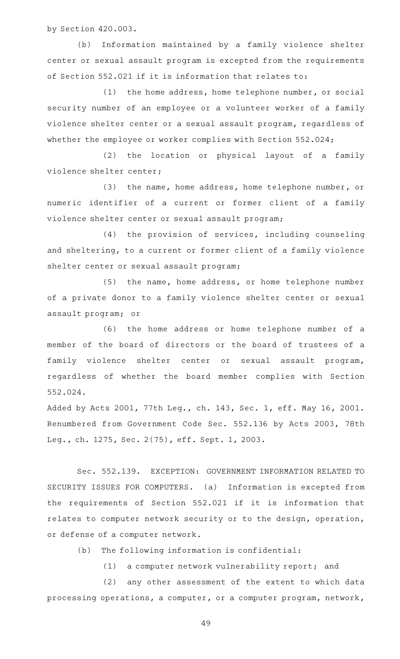by Section 420.003.

(b) Information maintained by a family violence shelter center or sexual assault program is excepted from the requirements of Section 552.021 if it is information that relates to:

 $(1)$  the home address, home telephone number, or social security number of an employee or a volunteer worker of a family violence shelter center or a sexual assault program, regardless of whether the employee or worker complies with Section 552.024;

(2) the location or physical layout of a family violence shelter center;

(3) the name, home address, home telephone number, or numeric identifier of a current or former client of a family violence shelter center or sexual assault program;

(4) the provision of services, including counseling and sheltering, to a current or former client of a family violence shelter center or sexual assault program;

(5) the name, home address, or home telephone number of a private donor to a family violence shelter center or sexual assault program; or

(6) the home address or home telephone number of a member of the board of directors or the board of trustees of a family violence shelter center or sexual assault program, regardless of whether the board member complies with Section 552.024.

Added by Acts 2001, 77th Leg., ch. 143, Sec. 1, eff. May 16, 2001. Renumbered from Government Code Sec. 552.136 by Acts 2003, 78th Leg., ch. 1275, Sec. 2(75), eff. Sept. 1, 2003.

Sec. 552.139. EXCEPTION: GOVERNMENT INFORMATION RELATED TO SECURITY ISSUES FOR COMPUTERS. (a) Information is excepted from the requirements of Section 552.021 if it is information that relates to computer network security or to the design, operation, or defense of a computer network.

(b) The following information is confidential:

(1) a computer network vulnerability report; and

(2) any other assessment of the extent to which data processing operations, a computer, or a computer program, network,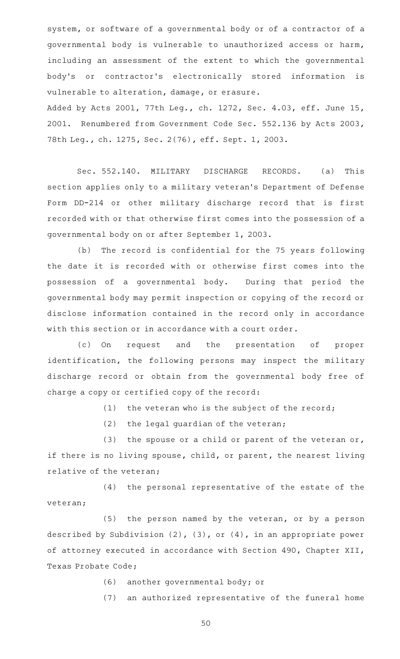system, or software of a governmental body or of a contractor of a governmental body is vulnerable to unauthorized access or harm, including an assessment of the extent to which the governmental body 's or contractor 's electronically stored information is vulnerable to alteration, damage, or erasure.

Added by Acts 2001, 77th Leg., ch. 1272, Sec. 4.03, eff. June 15, 2001. Renumbered from Government Code Sec. 552.136 by Acts 2003, 78th Leg., ch. 1275, Sec. 2(76), eff. Sept. 1, 2003.

Sec. 552.140. MILITARY DISCHARGE RECORDS. (a) This section applies only to a military veteran 's Department of Defense Form DD-214 or other military discharge record that is first recorded with or that otherwise first comes into the possession of a governmental body on or after September 1, 2003.

(b) The record is confidential for the 75 years following the date it is recorded with or otherwise first comes into the possession of a governmental body. During that period the governmental body may permit inspection or copying of the record or disclose information contained in the record only in accordance with this section or in accordance with a court order.

(c) On request and the presentation of proper identification, the following persons may inspect the military discharge record or obtain from the governmental body free of charge a copy or certified copy of the record:

 $(1)$  the veteran who is the subject of the record;

 $(2)$  the legal guardian of the veteran;

(3) the spouse or a child or parent of the veteran or, if there is no living spouse, child, or parent, the nearest living relative of the veteran;

 $(4)$  the personal representative of the estate of the veteran;

(5) the person named by the veteran, or by a person described by Subdivision (2), (3), or (4), in an appropriate power of attorney executed in accordance with Section 490, Chapter XII, Texas Probate Code;

(6) another governmental body; or

(7) an authorized representative of the funeral home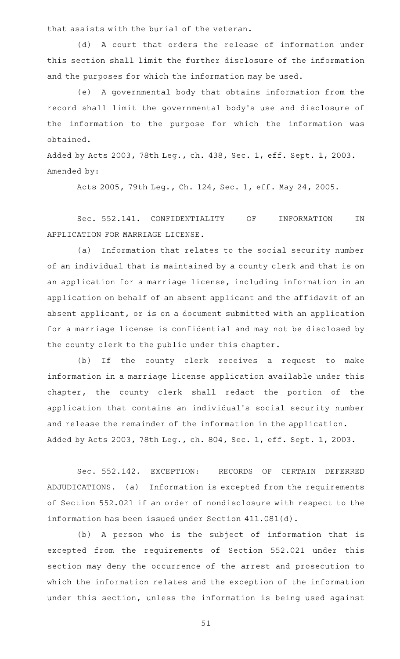that assists with the burial of the veteran.

(d) A court that orders the release of information under this section shall limit the further disclosure of the information and the purposes for which the information may be used.

(e) A governmental body that obtains information from the record shall limit the governmental body 's use and disclosure of the information to the purpose for which the information was obtained.

Added by Acts 2003, 78th Leg., ch. 438, Sec. 1, eff. Sept. 1, 2003. Amended by:

Acts 2005, 79th Leg., Ch. 124, Sec. 1, eff. May 24, 2005.

Sec. 552.141. CONFIDENTIALITY OF INFORMATION IN APPLICATION FOR MARRIAGE LICENSE.

(a) Information that relates to the social security number of an individual that is maintained by a county clerk and that is on an application for a marriage license, including information in an application on behalf of an absent applicant and the affidavit of an absent applicant, or is on a document submitted with an application for a marriage license is confidential and may not be disclosed by the county clerk to the public under this chapter.

(b) If the county clerk receives a request to make information in a marriage license application available under this chapter, the county clerk shall redact the portion of the application that contains an individual's social security number and release the remainder of the information in the application. Added by Acts 2003, 78th Leg., ch. 804, Sec. 1, eff. Sept. 1, 2003.

Sec. 552.142. EXCEPTION: RECORDS OF CERTAIN DEFERRED ADJUDICATIONS. (a) Information is excepted from the requirements of Section 552.021 if an order of nondisclosure with respect to the information has been issued under Section 411.081(d).

(b) A person who is the subject of information that is excepted from the requirements of Section 552.021 under this section may deny the occurrence of the arrest and prosecution to which the information relates and the exception of the information under this section, unless the information is being used against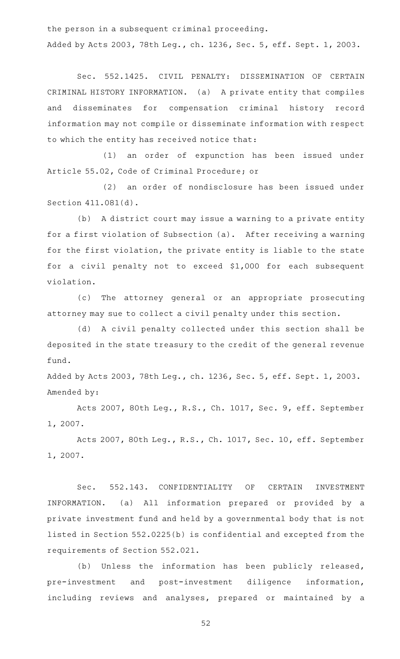the person in a subsequent criminal proceeding. Added by Acts 2003, 78th Leg., ch. 1236, Sec. 5, eff. Sept. 1, 2003.

Sec. 552.1425. CIVIL PENALTY: DISSEMINATION OF CERTAIN CRIMINAL HISTORY INFORMATION. (a) A private entity that compiles and disseminates for compensation criminal history record information may not compile or disseminate information with respect to which the entity has received notice that:

(1) an order of expunction has been issued under Article 55.02, Code of Criminal Procedure; or

(2) an order of nondisclosure has been issued under Section 411.081(d).

(b) A district court may issue a warning to a private entity for a first violation of Subsection (a). After receiving a warning for the first violation, the private entity is liable to the state for a civil penalty not to exceed \$1,000 for each subsequent violation.

(c) The attorney general or an appropriate prosecuting attorney may sue to collect a civil penalty under this section.

(d) A civil penalty collected under this section shall be deposited in the state treasury to the credit of the general revenue fund.

Added by Acts 2003, 78th Leg., ch. 1236, Sec. 5, eff. Sept. 1, 2003. Amended by:

Acts 2007, 80th Leg., R.S., Ch. 1017, Sec. 9, eff. September 1, 2007.

Acts 2007, 80th Leg., R.S., Ch. 1017, Sec. 10, eff. September 1, 2007.

Sec. 552.143. CONFIDENTIALITY OF CERTAIN INVESTMENT INFORMATION. (a) All information prepared or provided by a private investment fund and held by a governmental body that is not listed in Section 552.0225(b) is confidential and excepted from the requirements of Section 552.021.

(b) Unless the information has been publicly released, pre-investment and post-investment diligence information, including reviews and analyses, prepared or maintained by a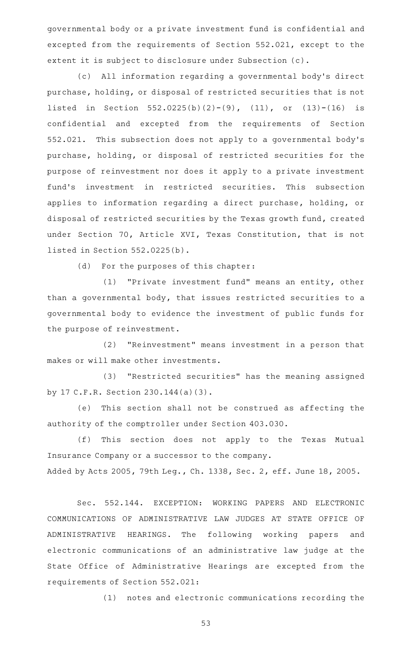governmental body or a private investment fund is confidential and excepted from the requirements of Section 552.021, except to the extent it is subject to disclosure under Subsection (c).

(c) All information regarding a governmental body's direct purchase, holding, or disposal of restricted securities that is not listed in Section 552.0225(b)(2)-(9), (11), or (13)-(16) is confidential and excepted from the requirements of Section 552.021. This subsection does not apply to a governmental body's purchase, holding, or disposal of restricted securities for the purpose of reinvestment nor does it apply to a private investment fund's investment in restricted securities. This subsection applies to information regarding a direct purchase, holding, or disposal of restricted securities by the Texas growth fund, created under Section 70, Article XVI, Texas Constitution, that is not listed in Section 552.0225(b).

(d) For the purposes of this chapter:

(1) "Private investment fund" means an entity, other than a governmental body, that issues restricted securities to a governmental body to evidence the investment of public funds for the purpose of reinvestment.

(2) "Reinvestment" means investment in a person that makes or will make other investments.

(3) "Restricted securities" has the meaning assigned by 17 C.F.R. Section 230.144(a)(3).

(e) This section shall not be construed as affecting the authority of the comptroller under Section 403.030.

(f) This section does not apply to the Texas Mutual Insurance Company or a successor to the company. Added by Acts 2005, 79th Leg., Ch. 1338, Sec. 2, eff. June 18, 2005.

Sec. 552.144. EXCEPTION: WORKING PAPERS AND ELECTRONIC COMMUNICATIONS OF ADMINISTRATIVE LAW JUDGES AT STATE OFFICE OF ADMINISTRATIVE HEARINGS. The following working papers and electronic communications of an administrative law judge at the State Office of Administrative Hearings are excepted from the requirements of Section 552.021:

(1) notes and electronic communications recording the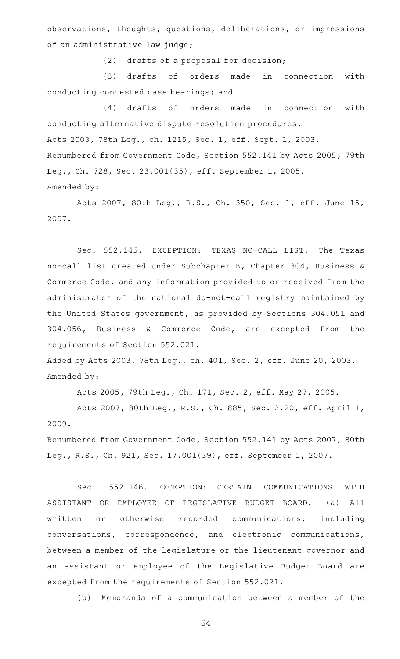observations, thoughts, questions, deliberations, or impressions of an administrative law judge;

(2) drafts of a proposal for decision;

(3) drafts of orders made in connection with conducting contested case hearings; and

(4) drafts of orders made in connection with conducting alternative dispute resolution procedures. Acts 2003, 78th Leg., ch. 1215, Sec. 1, eff. Sept. 1, 2003. Renumbered from Government Code, Section 552.141 by Acts 2005, 79th Leg., Ch. 728, Sec. 23.001(35), eff. September 1, 2005. Amended by:

Acts 2007, 80th Leg., R.S., Ch. 350, Sec. 1, eff. June 15, 2007.

Sec. 552.145. EXCEPTION: TEXAS NO-CALL LIST. The Texas no-call list created under Subchapter B, Chapter 304, Business & Commerce Code, and any information provided to or received from the administrator of the national do-not-call registry maintained by the United States government, as provided by Sections 304.051 and 304.056, Business & Commerce Code, are excepted from the requirements of Section 552.021.

Added by Acts 2003, 78th Leg., ch. 401, Sec. 2, eff. June 20, 2003. Amended by:

Acts 2005, 79th Leg., Ch. 171, Sec. 2, eff. May 27, 2005.

Acts 2007, 80th Leg., R.S., Ch. 885, Sec. 2.20, eff. April 1, 2009.

Renumbered from Government Code, Section 552.141 by Acts 2007, 80th Leg., R.S., Ch. 921, Sec. 17.001(39), eff. September 1, 2007.

Sec. 552.146. EXCEPTION: CERTAIN COMMUNICATIONS WITH ASSISTANT OR EMPLOYEE OF LEGISLATIVE BUDGET BOARD. (a) All written or otherwise recorded communications, including conversations, correspondence, and electronic communications, between a member of the legislature or the lieutenant governor and an assistant or employee of the Legislative Budget Board are excepted from the requirements of Section 552.021.

(b) Memoranda of a communication between a member of the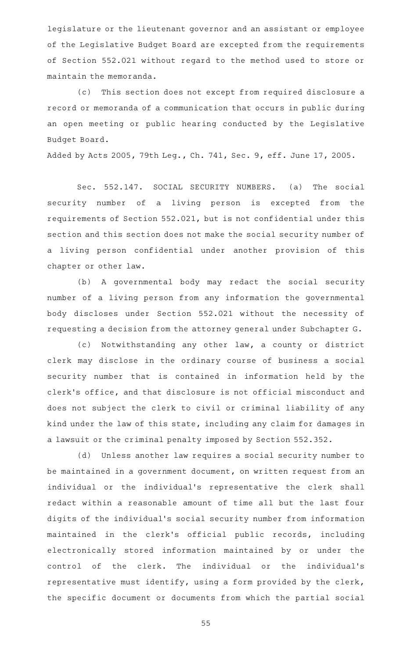legislature or the lieutenant governor and an assistant or employee of the Legislative Budget Board are excepted from the requirements of Section 552.021 without regard to the method used to store or maintain the memoranda.

(c) This section does not except from required disclosure a record or memoranda of a communication that occurs in public during an open meeting or public hearing conducted by the Legislative Budget Board.

Added by Acts 2005, 79th Leg., Ch. 741, Sec. 9, eff. June 17, 2005.

Sec. 552.147. SOCIAL SECURITY NUMBERS. (a) The social security number of a living person is excepted from the requirements of Section 552.021, but is not confidential under this section and this section does not make the social security number of a living person confidential under another provision of this chapter or other law.

(b) A governmental body may redact the social security number of a living person from any information the governmental body discloses under Section 552.021 without the necessity of requesting a decision from the attorney general under Subchapter G.

(c) Notwithstanding any other law, a county or district clerk may disclose in the ordinary course of business a social security number that is contained in information held by the clerk 's office, and that disclosure is not official misconduct and does not subject the clerk to civil or criminal liability of any kind under the law of this state, including any claim for damages in a lawsuit or the criminal penalty imposed by Section 552.352.

(d) Unless another law requires a social security number to be maintained in a government document, on written request from an individual or the individual 's representative the clerk shall redact within a reasonable amount of time all but the last four digits of the individual 's social security number from information maintained in the clerk's official public records, including electronically stored information maintained by or under the control of the clerk. The individual or the individual's representative must identify, using a form provided by the clerk, the specific document or documents from which the partial social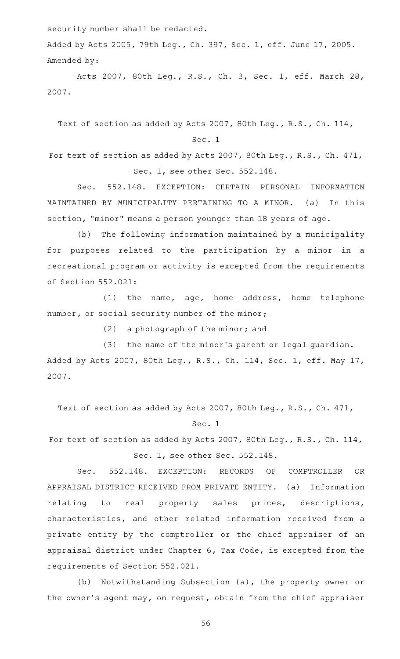security number shall be redacted.

Added by Acts 2005, 79th Leg., Ch. 397, Sec. 1, eff. June 17, 2005. Amended by:

Acts 2007, 80th Leg., R.S., Ch. 3, Sec. 1, eff. March 28, 2007.

Text of section as added by Acts 2007, 80th Leg., R.S., Ch. 114,

## Sec. 1

For text of section as added by Acts 2007, 80th Leg., R.S., Ch. 471, Sec. 1, see other Sec. 552.148.

Sec. 552.148. EXCEPTION: CERTAIN PERSONAL INFORMATION MAINTAINED BY MUNICIPALITY PERTAINING TO A MINOR. (a) In this section, "minor" means a person younger than 18 years of age.

(b) The following information maintained by a municipality for purposes related to the participation by a minor in a recreational program or activity is excepted from the requirements of Section 552.021:

(1) the name, age, home address, home telephone number, or social security number of the minor;

 $(2)$  a photograph of the minor; and

(3) the name of the minor's parent or legal guardian. Added by Acts 2007, 80th Leg., R.S., Ch. 114, Sec. 1, eff. May 17, 2007.

Text of section as added by Acts 2007, 80th Leg., R.S., Ch. 471,

#### Sec. 1

For text of section as added by Acts 2007, 80th Leg., R.S., Ch. 114, Sec. 1, see other Sec. 552.148.

Sec. 552.148. EXCEPTION: RECORDS OF COMPTROLLER OR APPRAISAL DISTRICT RECEIVED FROM PRIVATE ENTITY. (a) Information relating to real property sales prices, descriptions, characteristics, and other related information received from a private entity by the comptroller or the chief appraiser of an appraisal district under Chapter 6, Tax Code, is excepted from the requirements of Section 552.021.

(b) Notwithstanding Subsection (a), the property owner or the owner 's agent may, on request, obtain from the chief appraiser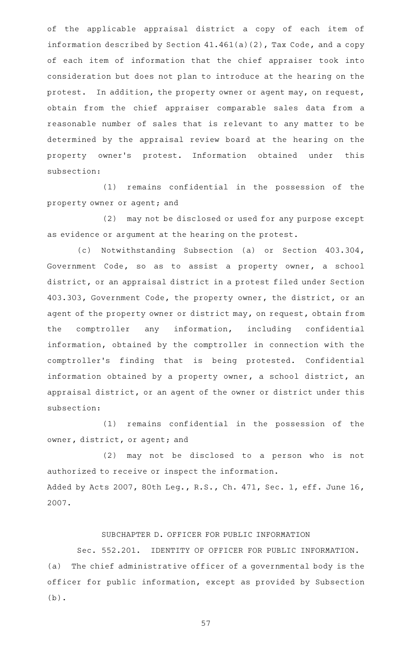of the applicable appraisal district a copy of each item of information described by Section 41.461(a)(2), Tax Code, and a copy of each item of information that the chief appraiser took into consideration but does not plan to introduce at the hearing on the protest. In addition, the property owner or agent may, on request, obtain from the chief appraiser comparable sales data from a reasonable number of sales that is relevant to any matter to be determined by the appraisal review board at the hearing on the property owner's protest. Information obtained under this subsection:

 $(1)$  remains confidential in the possession of the property owner or agent; and

(2) may not be disclosed or used for any purpose except as evidence or argument at the hearing on the protest.

(c) Notwithstanding Subsection (a) or Section 403.304, Government Code, so as to assist a property owner, a school district, or an appraisal district in a protest filed under Section 403.303, Government Code, the property owner, the district, or an agent of the property owner or district may, on request, obtain from the comptroller any information, including confidential information, obtained by the comptroller in connection with the comptroller's finding that is being protested. Confidential information obtained by a property owner, a school district, an appraisal district, or an agent of the owner or district under this subsection:

(1) remains confidential in the possession of the owner, district, or agent; and

(2) may not be disclosed to a person who is not authorized to receive or inspect the information. Added by Acts 2007, 80th Leg., R.S., Ch. 471, Sec. 1, eff. June 16, 2007.

# SUBCHAPTER D. OFFICER FOR PUBLIC INFORMATION

Sec. 552.201. IDENTITY OF OFFICER FOR PUBLIC INFORMATION. (a) The chief administrative officer of a governmental body is the officer for public information, except as provided by Subsection (b).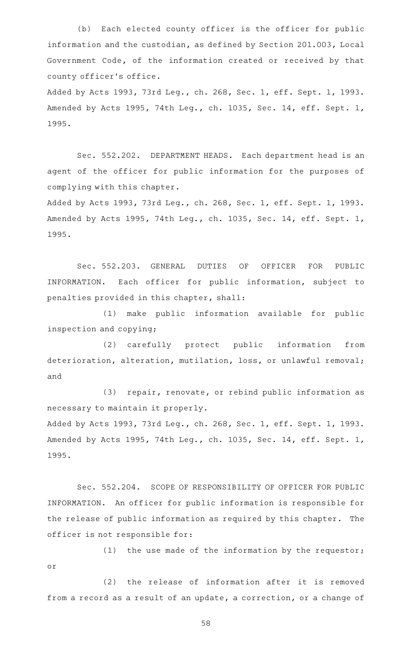(b) Each elected county officer is the officer for public information and the custodian, as defined by Section 201.003, Local Government Code, of the information created or received by that county officer 's office.

Added by Acts 1993, 73rd Leg., ch. 268, Sec. 1, eff. Sept. 1, 1993. Amended by Acts 1995, 74th Leg., ch. 1035, Sec. 14, eff. Sept. 1, 1995.

Sec. 552.202. DEPARTMENT HEADS. Each department head is an agent of the officer for public information for the purposes of complying with this chapter.

Added by Acts 1993, 73rd Leg., ch. 268, Sec. 1, eff. Sept. 1, 1993. Amended by Acts 1995, 74th Leg., ch. 1035, Sec. 14, eff. Sept. 1, 1995.

Sec. 552.203. GENERAL DUTIES OF OFFICER FOR PUBLIC INFORMATION. Each officer for public information, subject to penalties provided in this chapter, shall:

(1) make public information available for public inspection and copying;

(2) carefully protect public information from deterioration, alteration, mutilation, loss, or unlawful removal; and

(3) repair, renovate, or rebind public information as necessary to maintain it properly.

Added by Acts 1993, 73rd Leg., ch. 268, Sec. 1, eff. Sept. 1, 1993. Amended by Acts 1995, 74th Leg., ch. 1035, Sec. 14, eff. Sept. 1, 1995.

Sec. 552.204. SCOPE OF RESPONSIBILITY OF OFFICER FOR PUBLIC INFORMATION. An officer for public information is responsible for the release of public information as required by this chapter. The officer is not responsible for:

(1) the use made of the information by the requestor; or

(2) the release of information after it is removed from a record as a result of an update, a correction, or a change of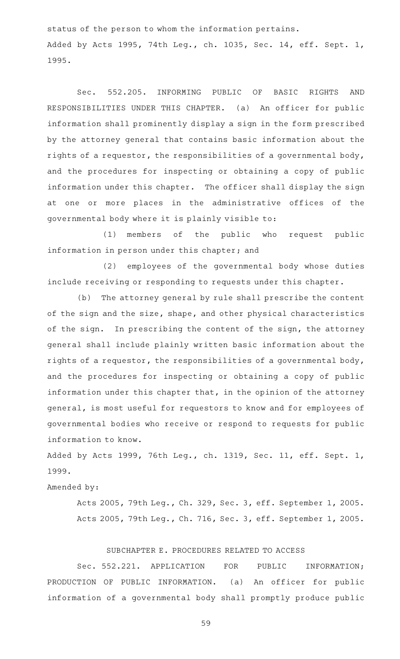status of the person to whom the information pertains. Added by Acts 1995, 74th Leg., ch. 1035, Sec. 14, eff. Sept. 1, 1995.

Sec. 552.205. INFORMING PUBLIC OF BASIC RIGHTS AND RESPONSIBILITIES UNDER THIS CHAPTER. (a) An officer for public information shall prominently display a sign in the form prescribed by the attorney general that contains basic information about the rights of a requestor, the responsibilities of a governmental body, and the procedures for inspecting or obtaining a copy of public information under this chapter. The officer shall display the sign at one or more places in the administrative offices of the governmental body where it is plainly visible to:

(1) members of the public who request public information in person under this chapter; and

(2) employees of the governmental body whose duties include receiving or responding to requests under this chapter.

(b) The attorney general by rule shall prescribe the content of the sign and the size, shape, and other physical characteristics of the sign. In prescribing the content of the sign, the attorney general shall include plainly written basic information about the rights of a requestor, the responsibilities of a governmental body, and the procedures for inspecting or obtaining a copy of public information under this chapter that, in the opinion of the attorney general, is most useful for requestors to know and for employees of governmental bodies who receive or respond to requests for public information to know.

Added by Acts 1999, 76th Leg., ch. 1319, Sec. 11, eff. Sept. 1, 1999.

# Amended by:

Acts 2005, 79th Leg., Ch. 329, Sec. 3, eff. September 1, 2005. Acts 2005, 79th Leg., Ch. 716, Sec. 3, eff. September 1, 2005.

### SUBCHAPTER E. PROCEDURES RELATED TO ACCESS

Sec. 552.221. APPLICATION FOR PUBLIC INFORMATION; PRODUCTION OF PUBLIC INFORMATION. (a) An officer for public information of a governmental body shall promptly produce public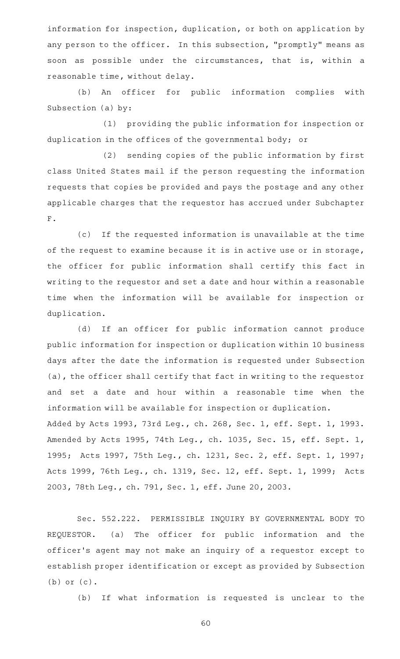information for inspection, duplication, or both on application by any person to the officer. In this subsection, "promptly" means as soon as possible under the circumstances, that is, within a reasonable time, without delay.

(b) An officer for public information complies with Subsection (a) by:

(1) providing the public information for inspection or duplication in the offices of the governmental body; or

(2) sending copies of the public information by first class United States mail if the person requesting the information requests that copies be provided and pays the postage and any other applicable charges that the requestor has accrued under Subchapter  ${\bf F}$  .

(c) If the requested information is unavailable at the time of the request to examine because it is in active use or in storage, the officer for public information shall certify this fact in writing to the requestor and set a date and hour within a reasonable time when the information will be available for inspection or duplication.

(d) If an officer for public information cannot produce public information for inspection or duplication within 10 business days after the date the information is requested under Subsection (a), the officer shall certify that fact in writing to the requestor and set a date and hour within a reasonable time when the information will be available for inspection or duplication. Added by Acts 1993, 73rd Leg., ch. 268, Sec. 1, eff. Sept. 1, 1993. Amended by Acts 1995, 74th Leg., ch. 1035, Sec. 15, eff. Sept. 1, 1995; Acts 1997, 75th Leg., ch. 1231, Sec. 2, eff. Sept. 1, 1997; Acts 1999, 76th Leg., ch. 1319, Sec. 12, eff. Sept. 1, 1999; Acts 2003, 78th Leg., ch. 791, Sec. 1, eff. June 20, 2003.

Sec. 552.222. PERMISSIBLE INQUIRY BY GOVERNMENTAL BODY TO REQUESTOR. (a) The officer for public information and the officer 's agent may not make an inquiry of a requestor except to establish proper identification or except as provided by Subsection (b) or (c).

(b) If what information is requested is unclear to the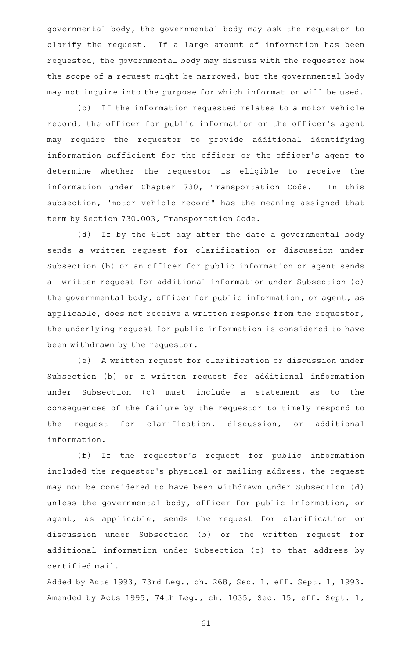governmental body, the governmental body may ask the requestor to clarify the request. If a large amount of information has been requested, the governmental body may discuss with the requestor how the scope of a request might be narrowed, but the governmental body may not inquire into the purpose for which information will be used.

(c) If the information requested relates to a motor vehicle record, the officer for public information or the officer 's agent may require the requestor to provide additional identifying information sufficient for the officer or the officer 's agent to determine whether the requestor is eligible to receive the information under Chapter 730, Transportation Code. In this subsection, "motor vehicle record" has the meaning assigned that term by Section 730.003, Transportation Code.

(d) If by the 61st day after the date a governmental body sends a written request for clarification or discussion under Subsection (b) or an officer for public information or agent sends a written request for additional information under Subsection (c) the governmental body, officer for public information, or agent, as applicable, does not receive a written response from the requestor, the underlying request for public information is considered to have been withdrawn by the requestor.

(e) A written request for clarification or discussion under Subsection (b) or a written request for additional information under Subsection (c) must include a statement as to the consequences of the failure by the requestor to timely respond to the request for clarification, discussion, or additional information.

(f) If the requestor's request for public information included the requestor 's physical or mailing address, the request may not be considered to have been withdrawn under Subsection (d) unless the governmental body, officer for public information, or agent, as applicable, sends the request for clarification or discussion under Subsection (b) or the written request for additional information under Subsection (c) to that address by certified mail.

Added by Acts 1993, 73rd Leg., ch. 268, Sec. 1, eff. Sept. 1, 1993. Amended by Acts 1995, 74th Leg., ch. 1035, Sec. 15, eff. Sept. 1,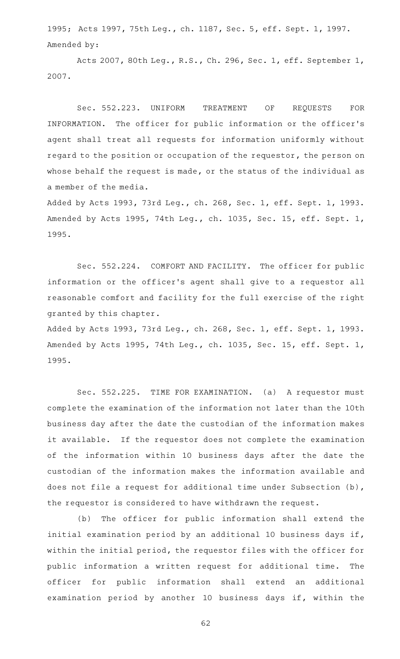1995; Acts 1997, 75th Leg., ch. 1187, Sec. 5, eff. Sept. 1, 1997. Amended by:

Acts 2007, 80th Leg., R.S., Ch. 296, Sec. 1, eff. September 1, 2007.

Sec. 552.223. UNIFORM TREATMENT OF REQUESTS FOR INFORMATION. The officer for public information or the officer's agent shall treat all requests for information uniformly without regard to the position or occupation of the requestor, the person on whose behalf the request is made, or the status of the individual as a member of the media.

Added by Acts 1993, 73rd Leg., ch. 268, Sec. 1, eff. Sept. 1, 1993. Amended by Acts 1995, 74th Leg., ch. 1035, Sec. 15, eff. Sept. 1, 1995.

Sec. 552.224. COMFORT AND FACILITY. The officer for public information or the officer 's agent shall give to a requestor all reasonable comfort and facility for the full exercise of the right granted by this chapter.

Added by Acts 1993, 73rd Leg., ch. 268, Sec. 1, eff. Sept. 1, 1993. Amended by Acts 1995, 74th Leg., ch. 1035, Sec. 15, eff. Sept. 1, 1995.

Sec. 552.225. TIME FOR EXAMINATION. (a) A requestor must complete the examination of the information not later than the 10th business day after the date the custodian of the information makes it available. If the requestor does not complete the examination of the information within 10 business days after the date the custodian of the information makes the information available and does not file a request for additional time under Subsection (b), the requestor is considered to have withdrawn the request.

(b) The officer for public information shall extend the initial examination period by an additional 10 business days if, within the initial period, the requestor files with the officer for public information a written request for additional time. The officer for public information shall extend an additional examination period by another 10 business days if, within the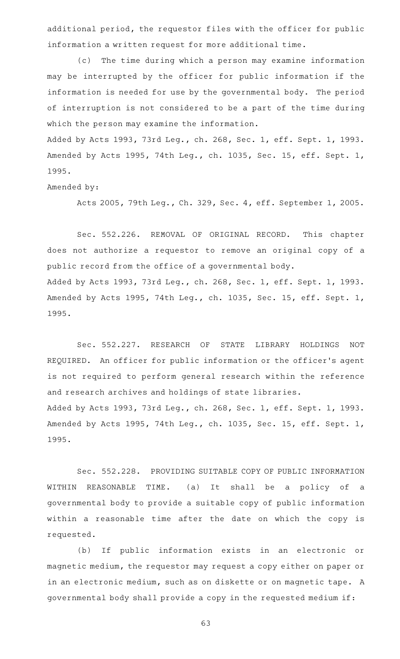additional period, the requestor files with the officer for public information a written request for more additional time.

(c) The time during which a person may examine information may be interrupted by the officer for public information if the information is needed for use by the governmental body. The period of interruption is not considered to be a part of the time during which the person may examine the information.

Added by Acts 1993, 73rd Leg., ch. 268, Sec. 1, eff. Sept. 1, 1993. Amended by Acts 1995, 74th Leg., ch. 1035, Sec. 15, eff. Sept. 1, 1995.

Amended by:

Acts 2005, 79th Leg., Ch. 329, Sec. 4, eff. September 1, 2005.

Sec. 552.226. REMOVAL OF ORIGINAL RECORD. This chapter does not authorize a requestor to remove an original copy of a public record from the office of a governmental body. Added by Acts 1993, 73rd Leg., ch. 268, Sec. 1, eff. Sept. 1, 1993. Amended by Acts 1995, 74th Leg., ch. 1035, Sec. 15, eff. Sept. 1, 1995.

Sec. 552.227. RESEARCH OF STATE LIBRARY HOLDINGS NOT REQUIRED. An officer for public information or the officer's agent is not required to perform general research within the reference and research archives and holdings of state libraries. Added by Acts 1993, 73rd Leg., ch. 268, Sec. 1, eff. Sept. 1, 1993. Amended by Acts 1995, 74th Leg., ch. 1035, Sec. 15, eff. Sept. 1, 1995.

Sec. 552.228. PROVIDING SUITABLE COPY OF PUBLIC INFORMATION WITHIN REASONABLE TIME. (a) It shall be a policy of a governmental body to provide a suitable copy of public information within a reasonable time after the date on which the copy is requested.

(b) If public information exists in an electronic or magnetic medium, the requestor may request a copy either on paper or in an electronic medium, such as on diskette or on magnetic tape. A governmental body shall provide a copy in the requested medium if: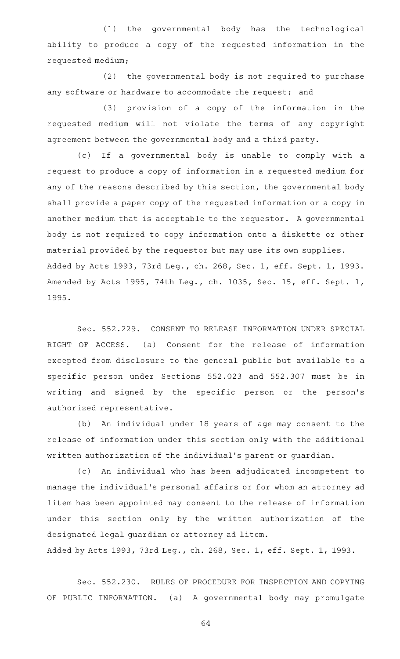(1) the governmental body has the technological ability to produce a copy of the requested information in the requested medium;

 $(2)$  the governmental body is not required to purchase any software or hardware to accommodate the request; and

(3) provision of a copy of the information in the requested medium will not violate the terms of any copyright agreement between the governmental body and a third party.

(c) If a governmental body is unable to comply with a request to produce a copy of information in a requested medium for any of the reasons described by this section, the governmental body shall provide a paper copy of the requested information or a copy in another medium that is acceptable to the requestor. A governmental body is not required to copy information onto a diskette or other material provided by the requestor but may use its own supplies. Added by Acts 1993, 73rd Leg., ch. 268, Sec. 1, eff. Sept. 1, 1993. Amended by Acts 1995, 74th Leg., ch. 1035, Sec. 15, eff. Sept. 1, 1995.

Sec. 552.229. CONSENT TO RELEASE INFORMATION UNDER SPECIAL RIGHT OF ACCESS. (a) Consent for the release of information excepted from disclosure to the general public but available to a specific person under Sections 552.023 and 552.307 must be in writing and signed by the specific person or the person's authorized representative.

(b) An individual under 18 years of age may consent to the release of information under this section only with the additional written authorization of the individual 's parent or guardian.

(c) An individual who has been adjudicated incompetent to manage the individual 's personal affairs or for whom an attorney ad litem has been appointed may consent to the release of information under this section only by the written authorization of the designated legal guardian or attorney ad litem.

Added by Acts 1993, 73rd Leg., ch. 268, Sec. 1, eff. Sept. 1, 1993.

Sec. 552.230. RULES OF PROCEDURE FOR INSPECTION AND COPYING OF PUBLIC INFORMATION. (a) A governmental body may promulgate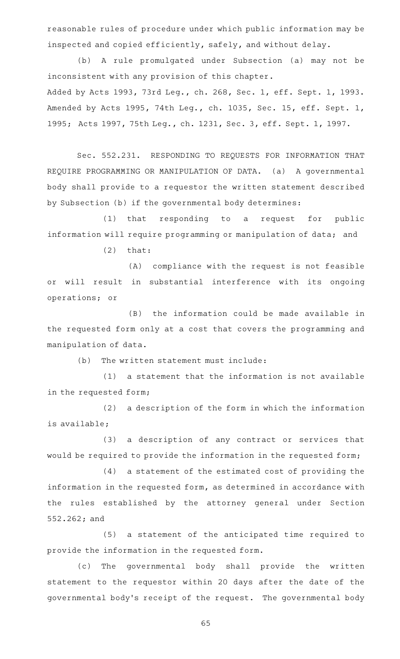reasonable rules of procedure under which public information may be inspected and copied efficiently, safely, and without delay.

(b) A rule promulgated under Subsection (a) may not be inconsistent with any provision of this chapter.

Added by Acts 1993, 73rd Leg., ch. 268, Sec. 1, eff. Sept. 1, 1993. Amended by Acts 1995, 74th Leg., ch. 1035, Sec. 15, eff. Sept. 1, 1995; Acts 1997, 75th Leg., ch. 1231, Sec. 3, eff. Sept. 1, 1997.

Sec. 552.231. RESPONDING TO REQUESTS FOR INFORMATION THAT REQUIRE PROGRAMMING OR MANIPULATION OF DATA. (a) A governmental body shall provide to a requestor the written statement described by Subsection (b) if the governmental body determines:

(1) that responding to a request for public information will require programming or manipulation of data; and

 $(2)$  that:

(A) compliance with the request is not feasible or will result in substantial interference with its ongoing operations; or

(B) the information could be made available in the requested form only at a cost that covers the programming and manipulation of data.

 $(b)$  The written statement must include:

 $(1)$  a statement that the information is not available in the requested form;

(2) a description of the form in which the information is available;

(3) a description of any contract or services that would be required to provide the information in the requested form;

 $(4)$  a statement of the estimated cost of providing the information in the requested form, as determined in accordance with the rules established by the attorney general under Section 552.262; and

(5) a statement of the anticipated time required to provide the information in the requested form.

(c) The governmental body shall provide the written statement to the requestor within 20 days after the date of the governmental body 's receipt of the request. The governmental body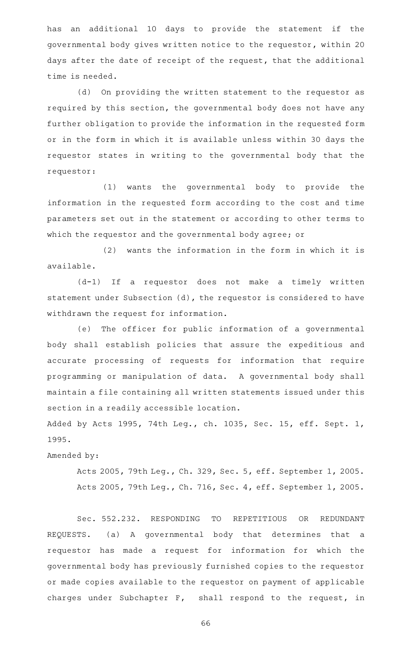has an additional 10 days to provide the statement if the governmental body gives written notice to the requestor, within 20 days after the date of receipt of the request, that the additional time is needed.

(d) On providing the written statement to the requestor as required by this section, the governmental body does not have any further obligation to provide the information in the requested form or in the form in which it is available unless within 30 days the requestor states in writing to the governmental body that the requestor:

(1) wants the governmental body to provide the information in the requested form according to the cost and time parameters set out in the statement or according to other terms to which the requestor and the governmental body agree; or

 $(2)$  wants the information in the form in which it is available.

(d-1) If a requestor does not make a timely written statement under Subsection (d), the requestor is considered to have withdrawn the request for information.

(e) The officer for public information of a governmental body shall establish policies that assure the expeditious and accurate processing of requests for information that require programming or manipulation of data. A governmental body shall maintain a file containing all written statements issued under this section in a readily accessible location.

Added by Acts 1995, 74th Leg., ch. 1035, Sec. 15, eff. Sept. 1, 1995.

Amended by:

Acts 2005, 79th Leg., Ch. 329, Sec. 5, eff. September 1, 2005. Acts 2005, 79th Leg., Ch. 716, Sec. 4, eff. September 1, 2005.

Sec. 552.232. RESPONDING TO REPETITIOUS OR REDUNDANT REQUESTS. (a) A governmental body that determines that a requestor has made a request for information for which the governmental body has previously furnished copies to the requestor or made copies available to the requestor on payment of applicable charges under Subchapter F, shall respond to the request, in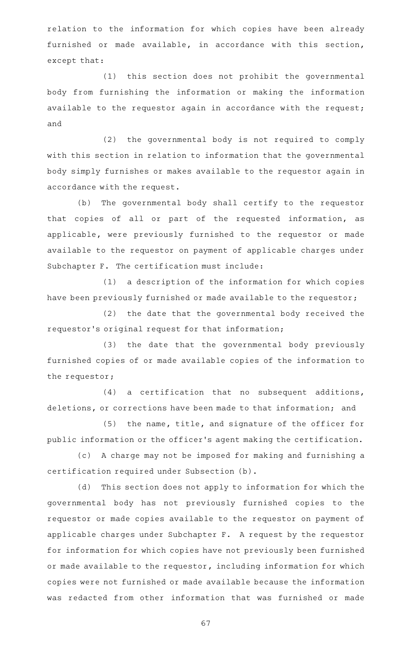relation to the information for which copies have been already furnished or made available, in accordance with this section, except that:

(1) this section does not prohibit the governmental body from furnishing the information or making the information available to the requestor again in accordance with the request; and

(2) the governmental body is not required to comply with this section in relation to information that the governmental body simply furnishes or makes available to the requestor again in accordance with the request.

(b) The governmental body shall certify to the requestor that copies of all or part of the requested information, as applicable, were previously furnished to the requestor or made available to the requestor on payment of applicable charges under Subchapter F. The certification must include:

(1) a description of the information for which copies have been previously furnished or made available to the requestor;

(2) the date that the governmental body received the requestor 's original request for that information;

(3) the date that the governmental body previously furnished copies of or made available copies of the information to the requestor;

 $(4)$  a certification that no subsequent additions, deletions, or corrections have been made to that information; and

(5) the name, title, and signature of the officer for public information or the officer 's agent making the certification.

(c) A charge may not be imposed for making and furnishing a certification required under Subsection (b).

(d) This section does not apply to information for which the governmental body has not previously furnished copies to the requestor or made copies available to the requestor on payment of applicable charges under Subchapter F. A request by the requestor for information for which copies have not previously been furnished or made available to the requestor, including information for which copies were not furnished or made available because the information was redacted from other information that was furnished or made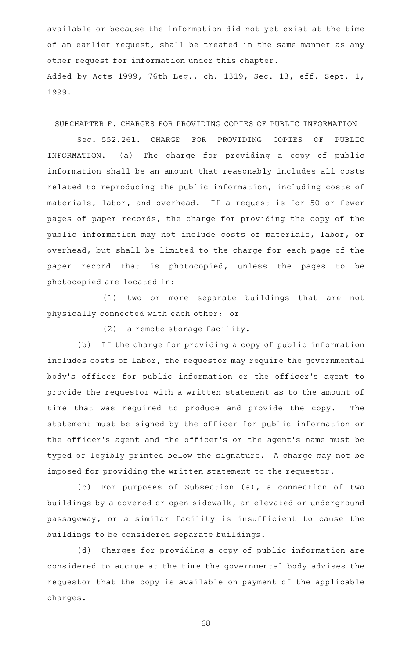available or because the information did not yet exist at the time of an earlier request, shall be treated in the same manner as any other request for information under this chapter. Added by Acts 1999, 76th Leg., ch. 1319, Sec. 13, eff. Sept. 1, 1999.

SUBCHAPTER F. CHARGES FOR PROVIDING COPIES OF PUBLIC INFORMATION

Sec. 552.261. CHARGE FOR PROVIDING COPIES OF PUBLIC INFORMATION. (a) The charge for providing a copy of public information shall be an amount that reasonably includes all costs related to reproducing the public information, including costs of materials, labor, and overhead. If a request is for 50 or fewer pages of paper records, the charge for providing the copy of the public information may not include costs of materials, labor, or overhead, but shall be limited to the charge for each page of the paper record that is photocopied, unless the pages to be photocopied are located in:

(1) two or more separate buildings that are not physically connected with each other; or

 $(2)$  a remote storage facility.

(b) If the charge for providing a copy of public information includes costs of labor, the requestor may require the governmental body 's officer for public information or the officer 's agent to provide the requestor with a written statement as to the amount of time that was required to produce and provide the copy. The statement must be signed by the officer for public information or the officer 's agent and the officer 's or the agent 's name must be typed or legibly printed below the signature. A charge may not be imposed for providing the written statement to the requestor.

(c) For purposes of Subsection (a), a connection of two buildings by a covered or open sidewalk, an elevated or underground passageway, or a similar facility is insufficient to cause the buildings to be considered separate buildings.

(d) Charges for providing a copy of public information are considered to accrue at the time the governmental body advises the requestor that the copy is available on payment of the applicable charges.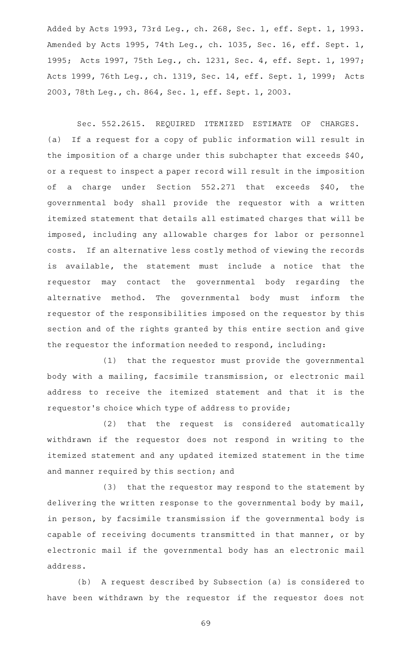Added by Acts 1993, 73rd Leg., ch. 268, Sec. 1, eff. Sept. 1, 1993. Amended by Acts 1995, 74th Leg., ch. 1035, Sec. 16, eff. Sept. 1, 1995; Acts 1997, 75th Leg., ch. 1231, Sec. 4, eff. Sept. 1, 1997; Acts 1999, 76th Leg., ch. 1319, Sec. 14, eff. Sept. 1, 1999; Acts 2003, 78th Leg., ch. 864, Sec. 1, eff. Sept. 1, 2003.

Sec. 552.2615. REQUIRED ITEMIZED ESTIMATE OF CHARGES. (a) If a request for a copy of public information will result in the imposition of a charge under this subchapter that exceeds \$40, or a request to inspect a paper record will result in the imposition of a charge under Section 552.271 that exceeds \$40, the governmental body shall provide the requestor with a written itemized statement that details all estimated charges that will be imposed, including any allowable charges for labor or personnel costs. If an alternative less costly method of viewing the records is available, the statement must include a notice that the requestor may contact the governmental body regarding the alternative method. The governmental body must inform the requestor of the responsibilities imposed on the requestor by this section and of the rights granted by this entire section and give the requestor the information needed to respond, including:

(1) that the requestor must provide the governmental body with a mailing, facsimile transmission, or electronic mail address to receive the itemized statement and that it is the requestor 's choice which type of address to provide;

(2) that the request is considered automatically withdrawn if the requestor does not respond in writing to the itemized statement and any updated itemized statement in the time and manner required by this section; and

(3) that the requestor may respond to the statement by delivering the written response to the governmental body by mail, in person, by facsimile transmission if the governmental body is capable of receiving documents transmitted in that manner, or by electronic mail if the governmental body has an electronic mail address.

(b) A request described by Subsection (a) is considered to have been withdrawn by the requestor if the requestor does not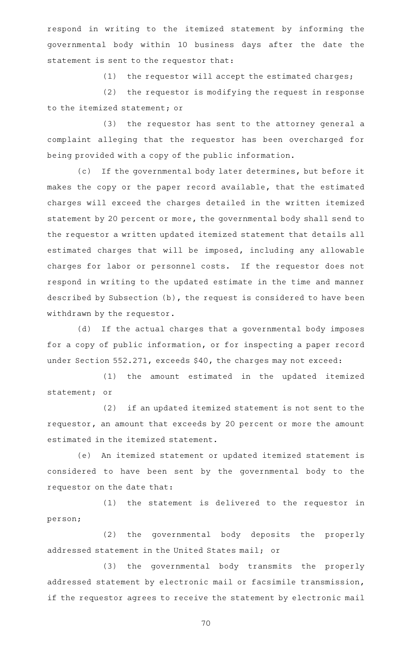respond in writing to the itemized statement by informing the governmental body within 10 business days after the date the statement is sent to the requestor that:

(1) the requestor will accept the estimated charges;

 $(2)$  the requestor is modifying the request in response to the itemized statement; or

(3) the requestor has sent to the attorney general a complaint alleging that the requestor has been overcharged for being provided with a copy of the public information.

(c) If the governmental body later determines, but before it makes the copy or the paper record available, that the estimated charges will exceed the charges detailed in the written itemized statement by 20 percent or more, the governmental body shall send to the requestor a written updated itemized statement that details all estimated charges that will be imposed, including any allowable charges for labor or personnel costs. If the requestor does not respond in writing to the updated estimate in the time and manner described by Subsection (b), the request is considered to have been withdrawn by the requestor.

(d) If the actual charges that a governmental body imposes for a copy of public information, or for inspecting a paper record under Section 552.271, exceeds \$40, the charges may not exceed:

(1) the amount estimated in the updated itemized statement; or

(2) if an updated itemized statement is not sent to the requestor, an amount that exceeds by 20 percent or more the amount estimated in the itemized statement.

(e) An itemized statement or updated itemized statement is considered to have been sent by the governmental body to the requestor on the date that:

 $(1)$  the statement is delivered to the requestor in person;

(2) the governmental body deposits the properly addressed statement in the United States mail; or

(3) the governmental body transmits the properly addressed statement by electronic mail or facsimile transmission, if the requestor agrees to receive the statement by electronic mail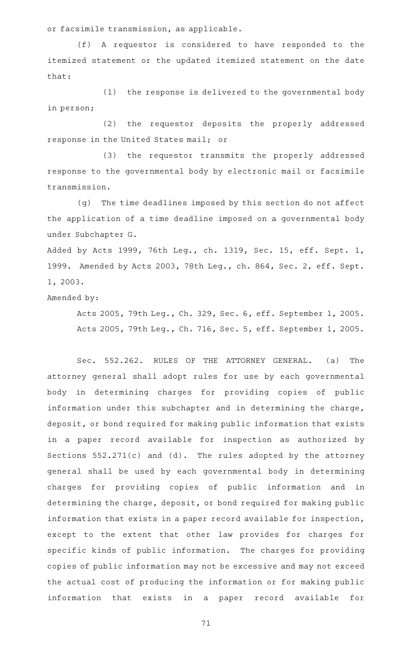or facsimile transmission, as applicable.

(f)AAA requestor is considered to have responded to the itemized statement or the updated itemized statement on the date that:

 $(1)$  the response is delivered to the governmental body in person;

(2) the requestor deposits the properly addressed response in the United States mail; or

(3) the requestor transmits the properly addressed response to the governmental body by electronic mail or facsimile transmission.

(g) The time deadlines imposed by this section do not affect the application of a time deadline imposed on a governmental body under Subchapter G.

Added by Acts 1999, 76th Leg., ch. 1319, Sec. 15, eff. Sept. 1, 1999. Amended by Acts 2003, 78th Leg., ch. 864, Sec. 2, eff. Sept. 1, 2003.

Amended by:

Acts 2005, 79th Leg., Ch. 329, Sec. 6, eff. September 1, 2005. Acts 2005, 79th Leg., Ch. 716, Sec. 5, eff. September 1, 2005.

Sec. 552.262. RULES OF THE ATTORNEY GENERAL. (a) The attorney general shall adopt rules for use by each governmental body in determining charges for providing copies of public information under this subchapter and in determining the charge, deposit, or bond required for making public information that exists in a paper record available for inspection as authorized by Sections  $552.271(c)$  and (d). The rules adopted by the attorney general shall be used by each governmental body in determining charges for providing copies of public information and in determining the charge, deposit, or bond required for making public information that exists in a paper record available for inspection, except to the extent that other law provides for charges for specific kinds of public information. The charges for providing copies of public information may not be excessive and may not exceed the actual cost of producing the information or for making public information that exists in a paper record available for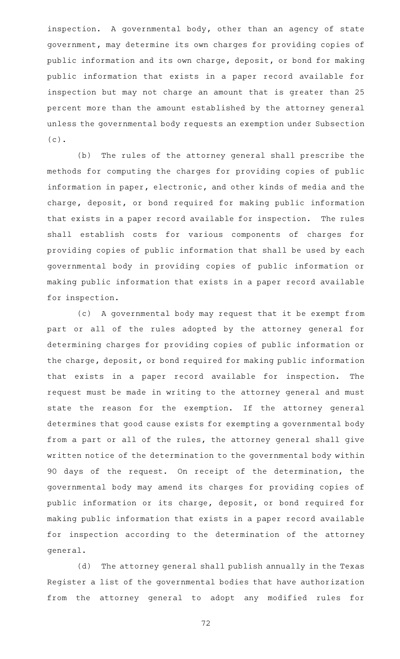inspection. A governmental body, other than an agency of state government, may determine its own charges for providing copies of public information and its own charge, deposit, or bond for making public information that exists in a paper record available for inspection but may not charge an amount that is greater than 25 percent more than the amount established by the attorney general unless the governmental body requests an exemption under Subsection (c).

(b) The rules of the attorney general shall prescribe the methods for computing the charges for providing copies of public information in paper, electronic, and other kinds of media and the charge, deposit, or bond required for making public information that exists in a paper record available for inspection. The rules shall establish costs for various components of charges for providing copies of public information that shall be used by each governmental body in providing copies of public information or making public information that exists in a paper record available for inspection.

(c)AAA governmental body may request that it be exempt from part or all of the rules adopted by the attorney general for determining charges for providing copies of public information or the charge, deposit, or bond required for making public information that exists in a paper record available for inspection. The request must be made in writing to the attorney general and must state the reason for the exemption. If the attorney general determines that good cause exists for exempting a governmental body from a part or all of the rules, the attorney general shall give written notice of the determination to the governmental body within 90 days of the request. On receipt of the determination, the governmental body may amend its charges for providing copies of public information or its charge, deposit, or bond required for making public information that exists in a paper record available for inspection according to the determination of the attorney general.

(d) The attorney general shall publish annually in the Texas Register a list of the governmental bodies that have authorization from the attorney general to adopt any modified rules for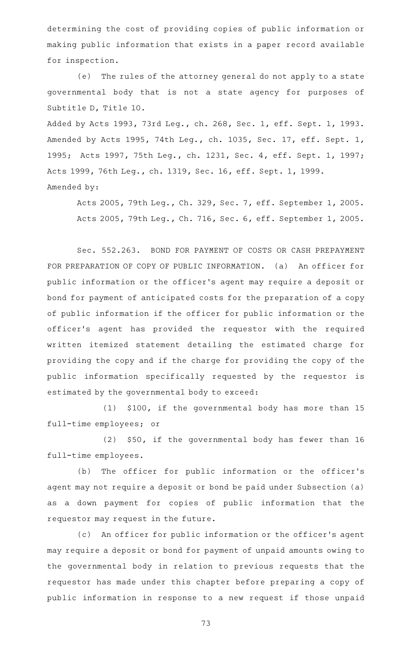determining the cost of providing copies of public information or making public information that exists in a paper record available for inspection.

(e) The rules of the attorney general do not apply to a state governmental body that is not a state agency for purposes of Subtitle D, Title 10.

Added by Acts 1993, 73rd Leg., ch. 268, Sec. 1, eff. Sept. 1, 1993. Amended by Acts 1995, 74th Leg., ch. 1035, Sec. 17, eff. Sept. 1, 1995; Acts 1997, 75th Leg., ch. 1231, Sec. 4, eff. Sept. 1, 1997; Acts 1999, 76th Leg., ch. 1319, Sec. 16, eff. Sept. 1, 1999. Amended by:

Acts 2005, 79th Leg., Ch. 329, Sec. 7, eff. September 1, 2005. Acts 2005, 79th Leg., Ch. 716, Sec. 6, eff. September 1, 2005.

Sec. 552.263. BOND FOR PAYMENT OF COSTS OR CASH PREPAYMENT FOR PREPARATION OF COPY OF PUBLIC INFORMATION. (a) An officer for public information or the officer 's agent may require a deposit or bond for payment of anticipated costs for the preparation of a copy of public information if the officer for public information or the officer 's agent has provided the requestor with the required written itemized statement detailing the estimated charge for providing the copy and if the charge for providing the copy of the public information specifically requested by the requestor is estimated by the governmental body to exceed:

 $(1)$  \$100, if the governmental body has more than 15 full-time employees; or

(2) \$50, if the governmental body has fewer than 16 full-time employees.

(b) The officer for public information or the officer's agent may not require a deposit or bond be paid under Subsection (a) as a down payment for copies of public information that the requestor may request in the future.

(c) An officer for public information or the officer's agent may require a deposit or bond for payment of unpaid amounts owing to the governmental body in relation to previous requests that the requestor has made under this chapter before preparing a copy of public information in response to a new request if those unpaid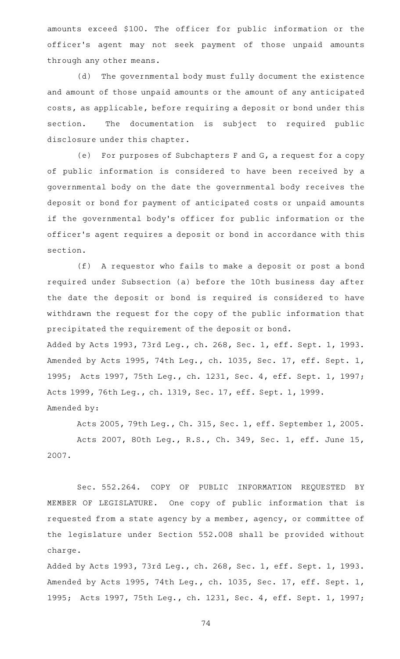amounts exceed \$100. The officer for public information or the officer 's agent may not seek payment of those unpaid amounts through any other means.

(d) The governmental body must fully document the existence and amount of those unpaid amounts or the amount of any anticipated costs, as applicable, before requiring a deposit or bond under this section. The documentation is subject to required public disclosure under this chapter.

(e) For purposes of Subchapters F and G, a request for a copy of public information is considered to have been received by a governmental body on the date the governmental body receives the deposit or bond for payment of anticipated costs or unpaid amounts if the governmental body 's officer for public information or the officer 's agent requires a deposit or bond in accordance with this section.

(f) A requestor who fails to make a deposit or post a bond required under Subsection (a) before the 10th business day after the date the deposit or bond is required is considered to have withdrawn the request for the copy of the public information that precipitated the requirement of the deposit or bond. Added by Acts 1993, 73rd Leg., ch. 268, Sec. 1, eff. Sept. 1, 1993. Amended by Acts 1995, 74th Leg., ch. 1035, Sec. 17, eff. Sept. 1, 1995; Acts 1997, 75th Leg., ch. 1231, Sec. 4, eff. Sept. 1, 1997; Acts 1999, 76th Leg., ch. 1319, Sec. 17, eff. Sept. 1, 1999. Amended by:

Acts 2005, 79th Leg., Ch. 315, Sec. 1, eff. September 1, 2005. Acts 2007, 80th Leg., R.S., Ch. 349, Sec. 1, eff. June 15, 2007.

Sec. 552.264. COPY OF PUBLIC INFORMATION REQUESTED BY MEMBER OF LEGISLATURE. One copy of public information that is requested from a state agency by a member, agency, or committee of the legislature under Section 552.008 shall be provided without charge.

Added by Acts 1993, 73rd Leg., ch. 268, Sec. 1, eff. Sept. 1, 1993. Amended by Acts 1995, 74th Leg., ch. 1035, Sec. 17, eff. Sept. 1, 1995; Acts 1997, 75th Leg., ch. 1231, Sec. 4, eff. Sept. 1, 1997;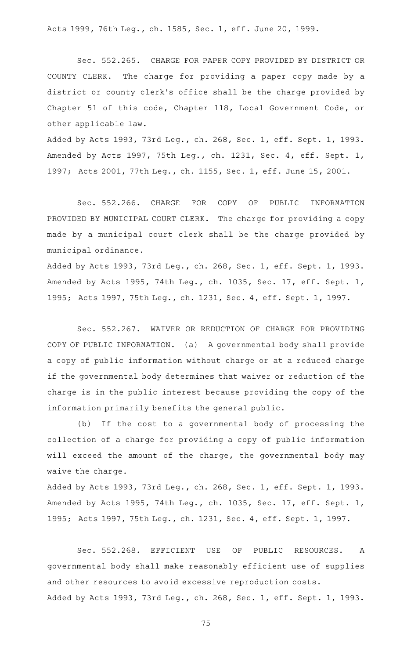Acts 1999, 76th Leg., ch. 1585, Sec. 1, eff. June 20, 1999.

Sec. 552.265. CHARGE FOR PAPER COPY PROVIDED BY DISTRICT OR COUNTY CLERK. The charge for providing a paper copy made by a district or county clerk 's office shall be the charge provided by Chapter 51 of this code, Chapter 118, Local Government Code, or other applicable law.

Added by Acts 1993, 73rd Leg., ch. 268, Sec. 1, eff. Sept. 1, 1993. Amended by Acts 1997, 75th Leg., ch. 1231, Sec. 4, eff. Sept. 1, 1997; Acts 2001, 77th Leg., ch. 1155, Sec. 1, eff. June 15, 2001.

Sec. 552.266. CHARGE FOR COPY OF PUBLIC INFORMATION PROVIDED BY MUNICIPAL COURT CLERK. The charge for providing a copy made by a municipal court clerk shall be the charge provided by municipal ordinance.

Added by Acts 1993, 73rd Leg., ch. 268, Sec. 1, eff. Sept. 1, 1993. Amended by Acts 1995, 74th Leg., ch. 1035, Sec. 17, eff. Sept. 1, 1995; Acts 1997, 75th Leg., ch. 1231, Sec. 4, eff. Sept. 1, 1997.

Sec. 552.267. WAIVER OR REDUCTION OF CHARGE FOR PROVIDING COPY OF PUBLIC INFORMATION. (a) A governmental body shall provide a copy of public information without charge or at a reduced charge if the governmental body determines that waiver or reduction of the charge is in the public interest because providing the copy of the information primarily benefits the general public.

(b) If the cost to a governmental body of processing the collection of a charge for providing a copy of public information will exceed the amount of the charge, the governmental body may waive the charge.

Added by Acts 1993, 73rd Leg., ch. 268, Sec. 1, eff. Sept. 1, 1993. Amended by Acts 1995, 74th Leg., ch. 1035, Sec. 17, eff. Sept. 1, 1995; Acts 1997, 75th Leg., ch. 1231, Sec. 4, eff. Sept. 1, 1997.

Sec. 552.268. EFFICIENT USE OF PUBLIC RESOURCES. A governmental body shall make reasonably efficient use of supplies and other resources to avoid excessive reproduction costs. Added by Acts 1993, 73rd Leg., ch. 268, Sec. 1, eff. Sept. 1, 1993.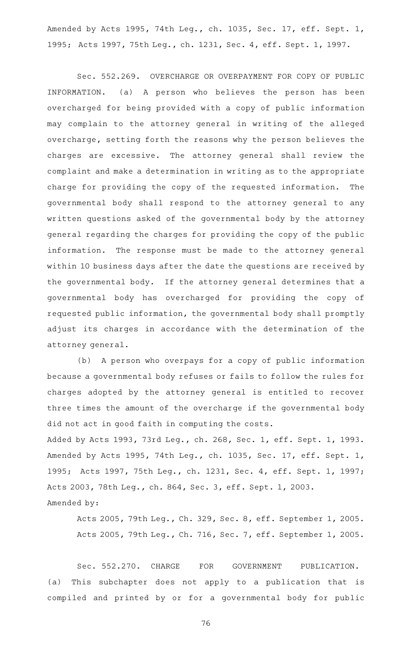Amended by Acts 1995, 74th Leg., ch. 1035, Sec. 17, eff. Sept. 1, 1995; Acts 1997, 75th Leg., ch. 1231, Sec. 4, eff. Sept. 1, 1997.

Sec. 552.269. OVERCHARGE OR OVERPAYMENT FOR COPY OF PUBLIC INFORMATION. (a) A person who believes the person has been overcharged for being provided with a copy of public information may complain to the attorney general in writing of the alleged overcharge, setting forth the reasons why the person believes the charges are excessive. The attorney general shall review the complaint and make a determination in writing as to the appropriate charge for providing the copy of the requested information. The governmental body shall respond to the attorney general to any written questions asked of the governmental body by the attorney general regarding the charges for providing the copy of the public information. The response must be made to the attorney general within 10 business days after the date the questions are received by the governmental body. If the attorney general determines that a governmental body has overcharged for providing the copy of requested public information, the governmental body shall promptly adjust its charges in accordance with the determination of the attorney general.

(b) A person who overpays for a copy of public information because a governmental body refuses or fails to follow the rules for charges adopted by the attorney general is entitled to recover three times the amount of the overcharge if the governmental body did not act in good faith in computing the costs. Added by Acts 1993, 73rd Leg., ch. 268, Sec. 1, eff. Sept. 1, 1993. Amended by Acts 1995, 74th Leg., ch. 1035, Sec. 17, eff. Sept. 1, 1995; Acts 1997, 75th Leg., ch. 1231, Sec. 4, eff. Sept. 1, 1997; Acts 2003, 78th Leg., ch. 864, Sec. 3, eff. Sept. 1, 2003.

Amended by:

Acts 2005, 79th Leg., Ch. 329, Sec. 8, eff. September 1, 2005. Acts 2005, 79th Leg., Ch. 716, Sec. 7, eff. September 1, 2005.

Sec. 552.270. CHARGE FOR GOVERNMENT PUBLICATION. (a) This subchapter does not apply to a publication that is compiled and printed by or for a governmental body for public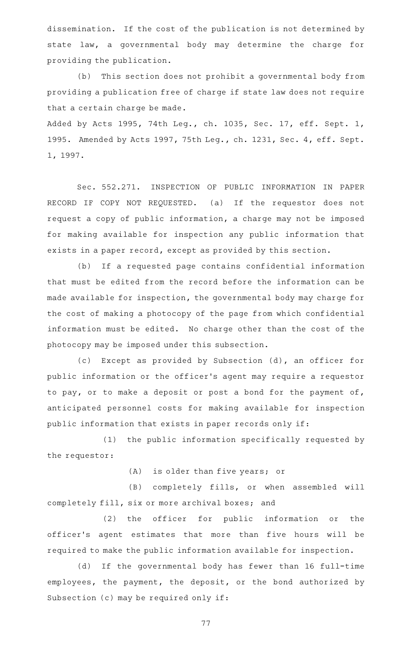dissemination. If the cost of the publication is not determined by state law, a governmental body may determine the charge for providing the publication.

(b) This section does not prohibit a governmental body from providing a publication free of charge if state law does not require that a certain charge be made.

Added by Acts 1995, 74th Leg., ch. 1035, Sec. 17, eff. Sept. 1, 1995. Amended by Acts 1997, 75th Leg., ch. 1231, Sec. 4, eff. Sept. 1, 1997.

Sec. 552.271. INSPECTION OF PUBLIC INFORMATION IN PAPER RECORD IF COPY NOT REQUESTED. (a) If the requestor does not request a copy of public information, a charge may not be imposed for making available for inspection any public information that exists in a paper record, except as provided by this section.

(b) If a requested page contains confidential information that must be edited from the record before the information can be made available for inspection, the governmental body may charge for the cost of making a photocopy of the page from which confidential information must be edited. No charge other than the cost of the photocopy may be imposed under this subsection.

(c) Except as provided by Subsection (d), an officer for public information or the officer 's agent may require a requestor to pay, or to make a deposit or post a bond for the payment of, anticipated personnel costs for making available for inspection public information that exists in paper records only if:

(1) the public information specifically requested by the requestor:

(A) is older than five years; or

(B) completely fills, or when assembled will completely fill, six or more archival boxes; and

(2) the officer for public information or the officer 's agent estimates that more than five hours will be required to make the public information available for inspection.

(d) If the governmental body has fewer than 16 full-time employees, the payment, the deposit, or the bond authorized by Subsection (c) may be required only if: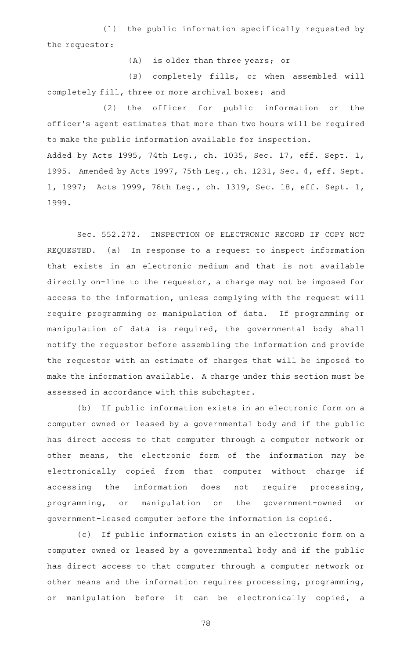(1) the public information specifically requested by the requestor:

(A) is older than three years; or

(B) completely fills, or when assembled will completely fill, three or more archival boxes; and

(2) the officer for public information or the officer 's agent estimates that more than two hours will be required to make the public information available for inspection. Added by Acts 1995, 74th Leg., ch. 1035, Sec. 17, eff. Sept. 1, 1995. Amended by Acts 1997, 75th Leg., ch. 1231, Sec. 4, eff. Sept. 1, 1997; Acts 1999, 76th Leg., ch. 1319, Sec. 18, eff. Sept. 1, 1999.

Sec. 552.272. INSPECTION OF ELECTRONIC RECORD IF COPY NOT REQUESTED. (a) In response to a request to inspect information that exists in an electronic medium and that is not available directly on-line to the requestor, a charge may not be imposed for access to the information, unless complying with the request will require programming or manipulation of data. If programming or manipulation of data is required, the governmental body shall notify the requestor before assembling the information and provide the requestor with an estimate of charges that will be imposed to make the information available. A charge under this section must be assessed in accordance with this subchapter.

(b) If public information exists in an electronic form on a computer owned or leased by a governmental body and if the public has direct access to that computer through a computer network or other means, the electronic form of the information may be electronically copied from that computer without charge if accessing the information does not require processing, programming, or manipulation on the government-owned or government-leased computer before the information is copied.

(c) If public information exists in an electronic form on a computer owned or leased by a governmental body and if the public has direct access to that computer through a computer network or other means and the information requires processing, programming, or manipulation before it can be electronically copied, a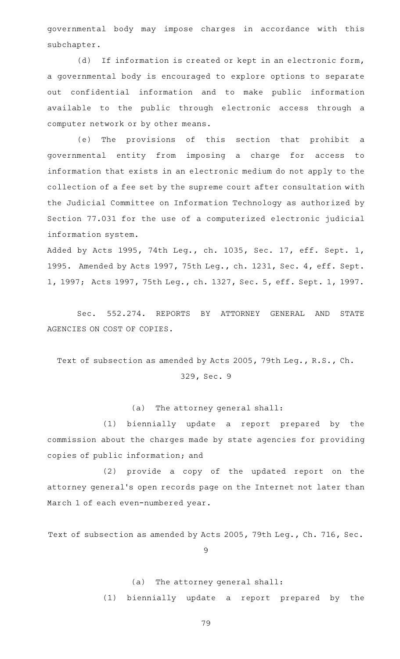governmental body may impose charges in accordance with this subchapter.

(d) If information is created or kept in an electronic form, a governmental body is encouraged to explore options to separate out confidential information and to make public information available to the public through electronic access through a computer network or by other means.

(e) The provisions of this section that prohibit a governmental entity from imposing a charge for access to information that exists in an electronic medium do not apply to the collection of a fee set by the supreme court after consultation with the Judicial Committee on Information Technology as authorized by Section 77.031 for the use of a computerized electronic judicial information system.

Added by Acts 1995, 74th Leg., ch. 1035, Sec. 17, eff. Sept. 1, 1995. Amended by Acts 1997, 75th Leg., ch. 1231, Sec. 4, eff. Sept. 1, 1997; Acts 1997, 75th Leg., ch. 1327, Sec. 5, eff. Sept. 1, 1997.

Sec. 552.274. REPORTS BY ATTORNEY GENERAL AND STATE AGENCIES ON COST OF COPIES.

Text of subsection as amended by Acts 2005, 79th Leg., R.S., Ch. 329, Sec. 9

### (a) The attorney general shall:

(1) biennially update a report prepared by the commission about the charges made by state agencies for providing copies of public information; and

(2) provide a copy of the updated report on the attorney general 's open records page on the Internet not later than March 1 of each even-numbered year.

Text of subsection as amended by Acts 2005, 79th Leg., Ch. 716, Sec.

9

### (a) The attorney general shall:

(1) biennially update a report prepared by the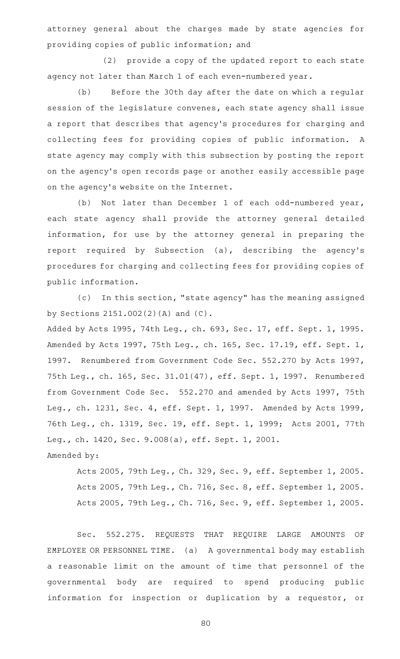attorney general about the charges made by state agencies for providing copies of public information; and

(2) provide a copy of the updated report to each state agency not later than March 1 of each even-numbered year.

(b) Before the 30th day after the date on which a regular session of the legislature convenes, each state agency shall issue a report that describes that agency 's procedures for charging and collecting fees for providing copies of public information. A state agency may comply with this subsection by posting the report on the agency 's open records page or another easily accessible page on the agency 's website on the Internet.

(b) Not later than December 1 of each odd-numbered year, each state agency shall provide the attorney general detailed information, for use by the attorney general in preparing the report required by Subsection (a), describing the agency 's procedures for charging and collecting fees for providing copies of public information.

(c) In this section, "state agency" has the meaning assigned by Sections 2151.002(2)(A) and (C).

Added by Acts 1995, 74th Leg., ch. 693, Sec. 17, eff. Sept. 1, 1995. Amended by Acts 1997, 75th Leg., ch. 165, Sec. 17.19, eff. Sept. 1, 1997. Renumbered from Government Code Sec. 552.270 by Acts 1997, 75th Leg., ch. 165, Sec. 31.01(47), eff. Sept. 1, 1997. Renumbered from Government Code Sec. 552.270 and amended by Acts 1997, 75th Leg., ch. 1231, Sec. 4, eff. Sept. 1, 1997. Amended by Acts 1999, 76th Leg., ch. 1319, Sec. 19, eff. Sept. 1, 1999; Acts 2001, 77th Leg., ch. 1420, Sec. 9.008(a), eff. Sept. 1, 2001. Amended by:

Acts 2005, 79th Leg., Ch. 329, Sec. 9, eff. September 1, 2005. Acts 2005, 79th Leg., Ch. 716, Sec. 8, eff. September 1, 2005. Acts 2005, 79th Leg., Ch. 716, Sec. 9, eff. September 1, 2005.

Sec. 552.275. REQUESTS THAT REQUIRE LARGE AMOUNTS OF EMPLOYEE OR PERSONNEL TIME. (a) A governmental body may establish a reasonable limit on the amount of time that personnel of the governmental body are required to spend producing public information for inspection or duplication by a requestor, or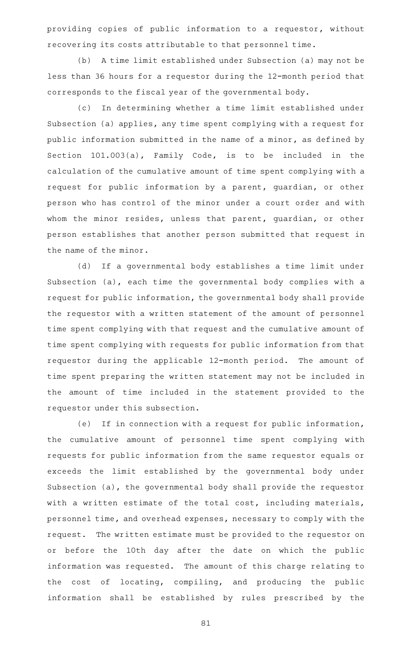providing copies of public information to a requestor, without recovering its costs attributable to that personnel time.

(b) A time limit established under Subsection (a) may not be less than 36 hours for a requestor during the 12-month period that corresponds to the fiscal year of the governmental body.

(c) In determining whether a time limit established under Subsection (a) applies, any time spent complying with a request for public information submitted in the name of a minor, as defined by Section 101.003(a), Family Code, is to be included in the calculation of the cumulative amount of time spent complying with a request for public information by a parent, guardian, or other person who has control of the minor under a court order and with whom the minor resides, unless that parent, guardian, or other person establishes that another person submitted that request in the name of the minor.

(d) If a governmental body establishes a time limit under Subsection (a), each time the governmental body complies with a request for public information, the governmental body shall provide the requestor with a written statement of the amount of personnel time spent complying with that request and the cumulative amount of time spent complying with requests for public information from that requestor during the applicable 12-month period. The amount of time spent preparing the written statement may not be included in the amount of time included in the statement provided to the requestor under this subsection.

(e) If in connection with a request for public information, the cumulative amount of personnel time spent complying with requests for public information from the same requestor equals or exceeds the limit established by the governmental body under Subsection (a), the governmental body shall provide the requestor with a written estimate of the total cost, including materials, personnel time, and overhead expenses, necessary to comply with the request. The written estimate must be provided to the requestor on or before the 10th day after the date on which the public information was requested. The amount of this charge relating to the cost of locating, compiling, and producing the public information shall be established by rules prescribed by the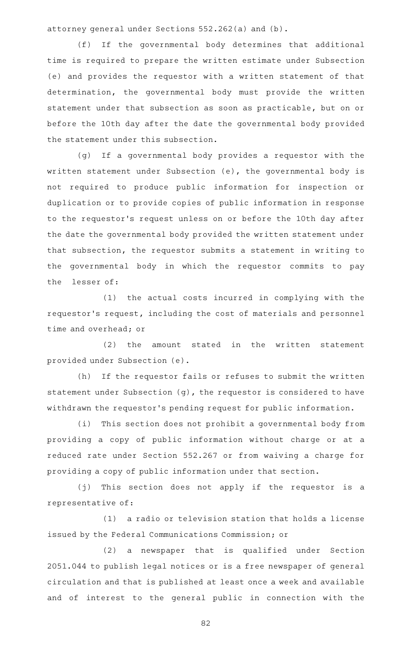attorney general under Sections 552.262(a) and (b).

(f) If the governmental body determines that additional time is required to prepare the written estimate under Subsection (e) and provides the requestor with a written statement of that determination, the governmental body must provide the written statement under that subsection as soon as practicable, but on or before the 10th day after the date the governmental body provided the statement under this subsection.

(g) If a governmental body provides a requestor with the written statement under Subsection (e), the governmental body is not required to produce public information for inspection or duplication or to provide copies of public information in response to the requestor 's request unless on or before the 10th day after the date the governmental body provided the written statement under that subsection, the requestor submits a statement in writing to the governmental body in which the requestor commits to pay the lesser of:

(1) the actual costs incurred in complying with the requestor 's request, including the cost of materials and personnel time and overhead; or

 $(2)$  the amount stated in the written statement provided under Subsection (e).

(h) If the requestor fails or refuses to submit the written statement under Subsection (g), the requestor is considered to have withdrawn the requestor 's pending request for public information.

(i) This section does not prohibit a governmental body from providing a copy of public information without charge or at a reduced rate under Section 552.267 or from waiving a charge for providing a copy of public information under that section.

(j) This section does not apply if the requestor is a representative of:

(1) a radio or television station that holds a license issued by the Federal Communications Commission; or

(2) a newspaper that is qualified under Section 2051.044 to publish legal notices or is a free newspaper of general circulation and that is published at least once a week and available and of interest to the general public in connection with the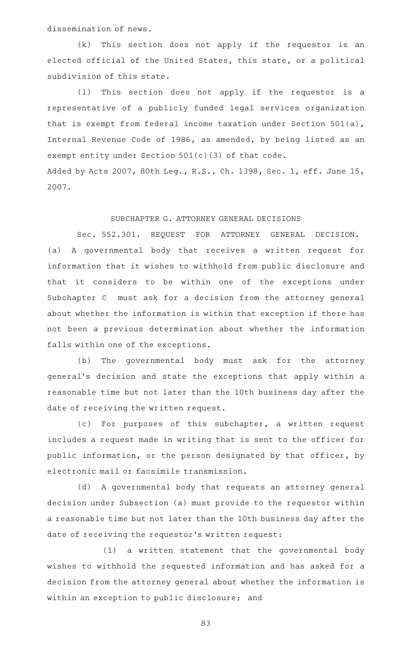dissemination of news.

 $(k)$  This section does not apply if the requestor is an elected official of the United States, this state, or a political subdivision of this state.

(1) This section does not apply if the requestor is a representative of a publicly funded legal services organization that is exempt from federal income taxation under Section 501(a), Internal Revenue Code of 1986, as amended, by being listed as an exempt entity under Section 501(c)(3) of that code. Added by Acts 2007, 80th Leg., R.S., Ch. 1398, Sec. 1, eff. June 15, 2007.

# SUBCHAPTER G. ATTORNEY GENERAL DECISIONS

Sec. 552.301. REQUEST FOR ATTORNEY GENERAL DECISION. (a) A governmental body that receives a written request for information that it wishes to withhold from public disclosure and that it considers to be within one of the exceptions under Subchapter C must ask for a decision from the attorney general about whether the information is within that exception if there has not been a previous determination about whether the information falls within one of the exceptions.

(b) The governmental body must ask for the attorney general's decision and state the exceptions that apply within a reasonable time but not later than the 10th business day after the date of receiving the written request.

(c) For purposes of this subchapter, a written request includes a request made in writing that is sent to the officer for public information, or the person designated by that officer, by electronic mail or facsimile transmission.

(d) A governmental body that requests an attorney general decision under Subsection (a) must provide to the requestor within a reasonable time but not later than the 10th business day after the date of receiving the requestor 's written request:

(1) a written statement that the governmental body wishes to withhold the requested information and has asked for a decision from the attorney general about whether the information is within an exception to public disclosure; and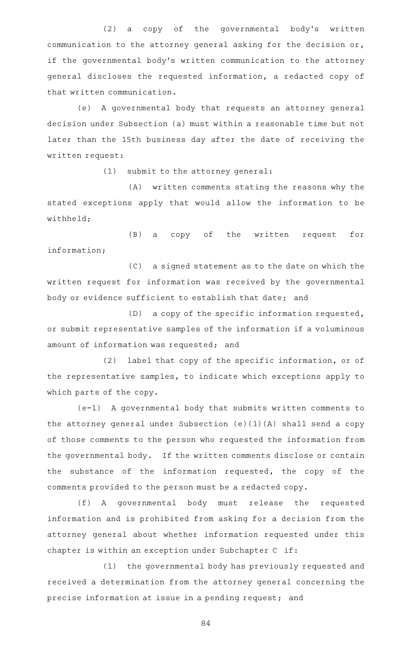(2) a copy of the governmental body's written communication to the attorney general asking for the decision or, if the governmental body's written communication to the attorney general discloses the requested information, a redacted copy of that written communication.

(e) A governmental body that requests an attorney general decision under Subsection (a) must within a reasonable time but not later than the 15th business day after the date of receiving the written request:

 $(1)$  submit to the attorney general:

(A) written comments stating the reasons why the stated exceptions apply that would allow the information to be withheld;

(B) a copy of the written request for information;

(C) a signed statement as to the date on which the written request for information was received by the governmental body or evidence sufficient to establish that date; and

 $(D)$  a copy of the specific information requested, or submit representative samples of the information if a voluminous amount of information was requested; and

(2) label that copy of the specific information, or of the representative samples, to indicate which exceptions apply to which parts of the copy.

 $(e-1)$  A governmental body that submits written comments to the attorney general under Subsection (e)(1)(A) shall send a copy of those comments to the person who requested the information from the governmental body. If the written comments disclose or contain the substance of the information requested, the copy of the comments provided to the person must be a redacted copy.

(f)AAA governmental body must release the requested information and is prohibited from asking for a decision from the attorney general about whether information requested under this chapter is within an exception under Subchapter C if:

(1) the governmental body has previously requested and received a determination from the attorney general concerning the precise information at issue in a pending request; and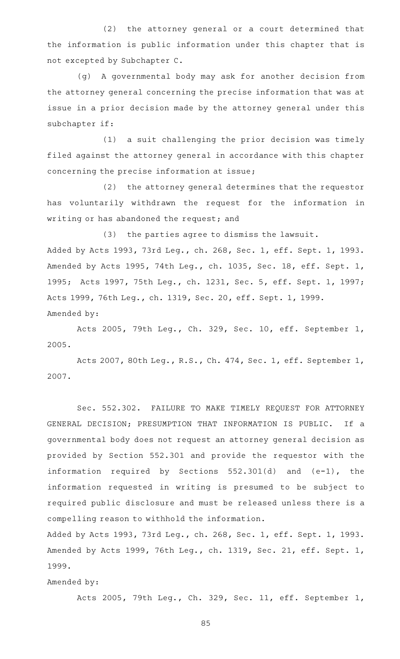(2) the attorney general or a court determined that the information is public information under this chapter that is not excepted by Subchapter C.

(g)AAA governmental body may ask for another decision from the attorney general concerning the precise information that was at issue in a prior decision made by the attorney general under this subchapter if:

(1) a suit challenging the prior decision was timely filed against the attorney general in accordance with this chapter concerning the precise information at issue;

(2) the attorney general determines that the requestor has voluntarily withdrawn the request for the information in writing or has abandoned the request; and

(3) the parties agree to dismiss the lawsuit. Added by Acts 1993, 73rd Leg., ch. 268, Sec. 1, eff. Sept. 1, 1993. Amended by Acts 1995, 74th Leg., ch. 1035, Sec. 18, eff. Sept. 1, 1995; Acts 1997, 75th Leg., ch. 1231, Sec. 5, eff. Sept. 1, 1997; Acts 1999, 76th Leg., ch. 1319, Sec. 20, eff. Sept. 1, 1999. Amended by:

Acts 2005, 79th Leg., Ch. 329, Sec. 10, eff. September 1, 2005.

Acts 2007, 80th Leg., R.S., Ch. 474, Sec. 1, eff. September 1, 2007.

Sec. 552.302. FAILURE TO MAKE TIMELY REQUEST FOR ATTORNEY GENERAL DECISION; PRESUMPTION THAT INFORMATION IS PUBLIC. If a governmental body does not request an attorney general decision as provided by Section 552.301 and provide the requestor with the information required by Sections 552.301(d) and (e-1), the information requested in writing is presumed to be subject to required public disclosure and must be released unless there is a compelling reason to withhold the information.

Added by Acts 1993, 73rd Leg., ch. 268, Sec. 1, eff. Sept. 1, 1993. Amended by Acts 1999, 76th Leg., ch. 1319, Sec. 21, eff. Sept. 1, 1999.

Amended by:

Acts 2005, 79th Leg., Ch. 329, Sec. 11, eff. September 1,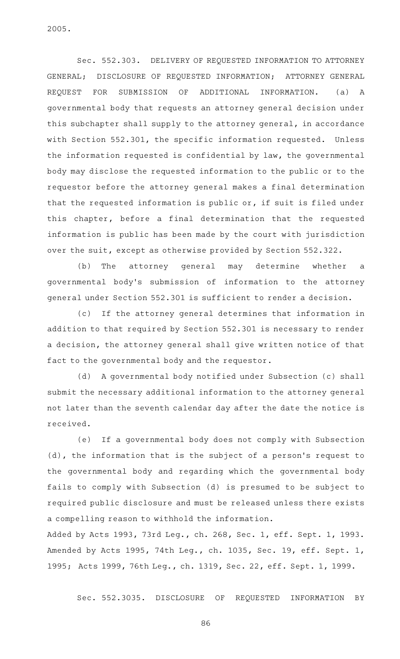2005.

Sec. 552.303. DELIVERY OF REQUESTED INFORMATION TO ATTORNEY GENERAL; DISCLOSURE OF REQUESTED INFORMATION; ATTORNEY GENERAL REQUEST FOR SUBMISSION OF ADDITIONAL INFORMATION. (a) A governmental body that requests an attorney general decision under this subchapter shall supply to the attorney general, in accordance with Section 552.301, the specific information requested. Unless the information requested is confidential by law, the governmental body may disclose the requested information to the public or to the requestor before the attorney general makes a final determination that the requested information is public or, if suit is filed under this chapter, before a final determination that the requested information is public has been made by the court with jurisdiction over the suit, except as otherwise provided by Section 552.322.

(b) The attorney general may determine whether a governmental body 's submission of information to the attorney general under Section 552.301 is sufficient to render a decision.

(c) If the attorney general determines that information in addition to that required by Section 552.301 is necessary to render a decision, the attorney general shall give written notice of that fact to the governmental body and the requestor.

(d) A governmental body notified under Subsection (c) shall submit the necessary additional information to the attorney general not later than the seventh calendar day after the date the notice is received.

(e) If a governmental body does not comply with Subsection (d), the information that is the subject of a person 's request to the governmental body and regarding which the governmental body fails to comply with Subsection (d) is presumed to be subject to required public disclosure and must be released unless there exists a compelling reason to withhold the information.

Added by Acts 1993, 73rd Leg., ch. 268, Sec. 1, eff. Sept. 1, 1993. Amended by Acts 1995, 74th Leg., ch. 1035, Sec. 19, eff. Sept. 1, 1995; Acts 1999, 76th Leg., ch. 1319, Sec. 22, eff. Sept. 1, 1999.

Sec. 552.3035. DISCLOSURE OF REQUESTED INFORMATION BY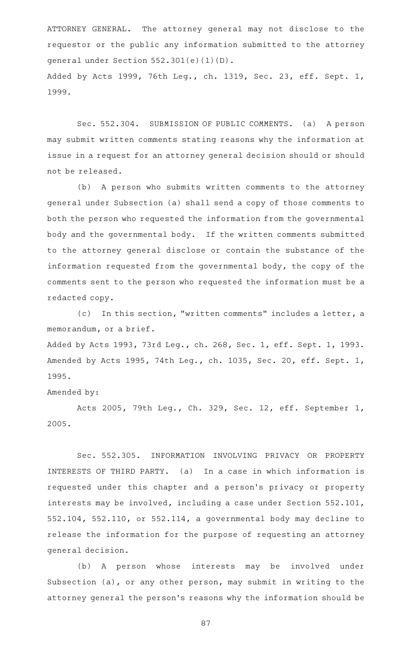ATTORNEY GENERAL. The attorney general may not disclose to the requestor or the public any information submitted to the attorney general under Section 552.301(e)(1)(D). Added by Acts 1999, 76th Leg., ch. 1319, Sec. 23, eff. Sept. 1, 1999.

Sec. 552.304. SUBMISSION OF PUBLIC COMMENTS. (a) A person may submit written comments stating reasons why the information at issue in a request for an attorney general decision should or should not be released.

(b) A person who submits written comments to the attorney general under Subsection (a) shall send a copy of those comments to both the person who requested the information from the governmental body and the governmental body. If the written comments submitted to the attorney general disclose or contain the substance of the information requested from the governmental body, the copy of the comments sent to the person who requested the information must be a redacted copy.

(c) In this section, "written comments" includes a letter, a memorandum, or a brief.

Added by Acts 1993, 73rd Leg., ch. 268, Sec. 1, eff. Sept. 1, 1993. Amended by Acts 1995, 74th Leg., ch. 1035, Sec. 20, eff. Sept. 1, 1995.

```
Amended by:
```
Acts 2005, 79th Leg., Ch. 329, Sec. 12, eff. September 1, 2005.

Sec. 552.305. INFORMATION INVOLVING PRIVACY OR PROPERTY INTERESTS OF THIRD PARTY. (a) In a case in which information is requested under this chapter and a person 's privacy or property interests may be involved, including a case under Section 552.101, 552.104, 552.110, or 552.114, a governmental body may decline to release the information for the purpose of requesting an attorney general decision.

(b) A person whose interests may be involved under Subsection (a), or any other person, may submit in writing to the attorney general the person's reasons why the information should be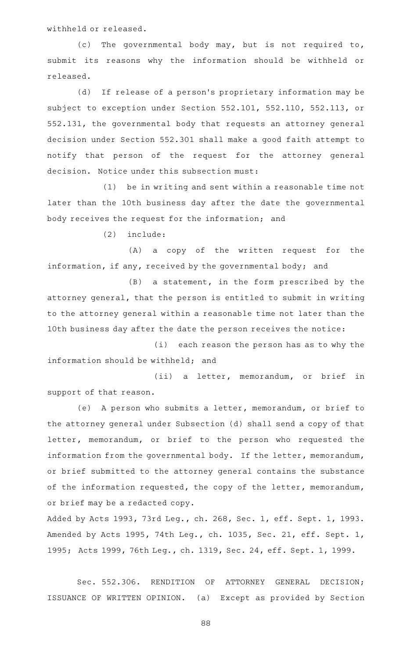withheld or released.

(c) The governmental body may, but is not required to, submit its reasons why the information should be withheld or released.

(d) If release of a person's proprietary information may be subject to exception under Section 552.101, 552.110, 552.113, or 552.131, the governmental body that requests an attorney general decision under Section 552.301 shall make a good faith attempt to notify that person of the request for the attorney general decision. Notice under this subsection must:

 $(1)$  be in writing and sent within a reasonable time not later than the 10th business day after the date the governmental body receives the request for the information; and

 $(2)$  include:

(A) a copy of the written request for the information, if any, received by the governmental body; and

 $(B)$  a statement, in the form prescribed by the attorney general, that the person is entitled to submit in writing to the attorney general within a reasonable time not later than the 10th business day after the date the person receives the notice:

(i) each reason the person has as to why the information should be withheld; and

(ii) a letter, memorandum, or brief in support of that reason.

(e) A person who submits a letter, memorandum, or brief to the attorney general under Subsection (d) shall send a copy of that letter, memorandum, or brief to the person who requested the information from the governmental body. If the letter, memorandum, or brief submitted to the attorney general contains the substance of the information requested, the copy of the letter, memorandum, or brief may be a redacted copy.

Added by Acts 1993, 73rd Leg., ch. 268, Sec. 1, eff. Sept. 1, 1993. Amended by Acts 1995, 74th Leg., ch. 1035, Sec. 21, eff. Sept. 1, 1995; Acts 1999, 76th Leg., ch. 1319, Sec. 24, eff. Sept. 1, 1999.

Sec. 552.306. RENDITION OF ATTORNEY GENERAL DECISION; ISSUANCE OF WRITTEN OPINION. (a) Except as provided by Section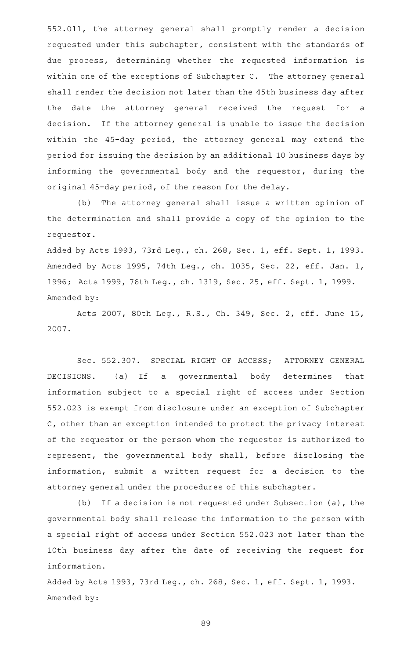552.011, the attorney general shall promptly render a decision requested under this subchapter, consistent with the standards of due process, determining whether the requested information is within one of the exceptions of Subchapter C. The attorney general shall render the decision not later than the 45th business day after the date the attorney general received the request for a decision. If the attorney general is unable to issue the decision within the 45-day period, the attorney general may extend the period for issuing the decision by an additional 10 business days by informing the governmental body and the requestor, during the original 45-day period, of the reason for the delay.

(b) The attorney general shall issue a written opinion of the determination and shall provide a copy of the opinion to the requestor.

Added by Acts 1993, 73rd Leg., ch. 268, Sec. 1, eff. Sept. 1, 1993. Amended by Acts 1995, 74th Leg., ch. 1035, Sec. 22, eff. Jan. 1, 1996; Acts 1999, 76th Leg., ch. 1319, Sec. 25, eff. Sept. 1, 1999. Amended by:

Acts 2007, 80th Leg., R.S., Ch. 349, Sec. 2, eff. June 15, 2007.

Sec. 552.307. SPECIAL RIGHT OF ACCESS; ATTORNEY GENERAL DECISIONS. (a) If a governmental body determines that information subject to a special right of access under Section 552.023 is exempt from disclosure under an exception of Subchapter C, other than an exception intended to protect the privacy interest of the requestor or the person whom the requestor is authorized to represent, the governmental body shall, before disclosing the information, submit a written request for a decision to the attorney general under the procedures of this subchapter.

(b) If a decision is not requested under Subsection  $(a)$ , the governmental body shall release the information to the person with a special right of access under Section 552.023 not later than the 10th business day after the date of receiving the request for information.

Added by Acts 1993, 73rd Leg., ch. 268, Sec. 1, eff. Sept. 1, 1993. Amended by: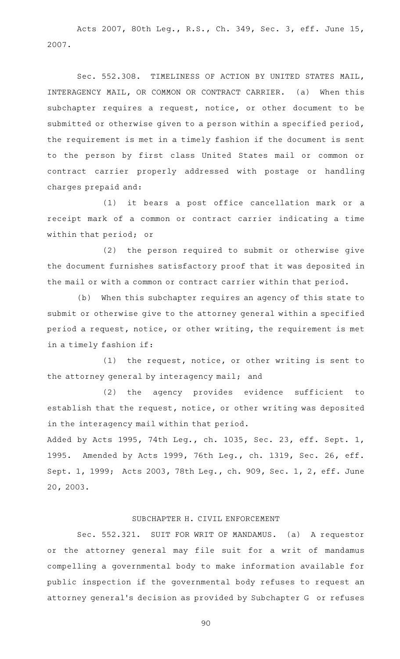Acts 2007, 80th Leg., R.S., Ch. 349, Sec. 3, eff. June 15, 2007.

Sec. 552.308. TIMELINESS OF ACTION BY UNITED STATES MAIL, INTERAGENCY MAIL, OR COMMON OR CONTRACT CARRIER. (a) When this subchapter requires a request, notice, or other document to be submitted or otherwise given to a person within a specified period, the requirement is met in a timely fashion if the document is sent to the person by first class United States mail or common or contract carrier properly addressed with postage or handling charges prepaid and:

(1) it bears a post office cancellation mark or a receipt mark of a common or contract carrier indicating a time within that period; or

(2) the person required to submit or otherwise give the document furnishes satisfactory proof that it was deposited in the mail or with a common or contract carrier within that period.

(b) When this subchapter requires an agency of this state to submit or otherwise give to the attorney general within a specified period a request, notice, or other writing, the requirement is met in a timely fashion if:

(1) the request, notice, or other writing is sent to the attorney general by interagency mail; and

(2) the agency provides evidence sufficient to establish that the request, notice, or other writing was deposited in the interagency mail within that period.

Added by Acts 1995, 74th Leg., ch. 1035, Sec. 23, eff. Sept. 1, 1995. Amended by Acts 1999, 76th Leg., ch. 1319, Sec. 26, eff. Sept. 1, 1999; Acts 2003, 78th Leg., ch. 909, Sec. 1, 2, eff. June 20, 2003.

## SUBCHAPTER H. CIVIL ENFORCEMENT

Sec. 552.321. SUIT FOR WRIT OF MANDAMUS. (a) A requestor or the attorney general may file suit for a writ of mandamus compelling a governmental body to make information available for public inspection if the governmental body refuses to request an attorney general 's decision as provided by Subchapter G or refuses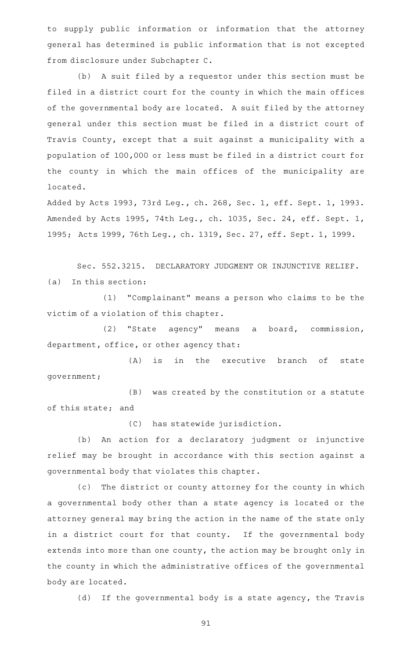to supply public information or information that the attorney general has determined is public information that is not excepted from disclosure under Subchapter C.

(b) A suit filed by a requestor under this section must be filed in a district court for the county in which the main offices of the governmental body are located. A suit filed by the attorney general under this section must be filed in a district court of Travis County, except that a suit against a municipality with a population of 100,000 or less must be filed in a district court for the county in which the main offices of the municipality are located.

Added by Acts 1993, 73rd Leg., ch. 268, Sec. 1, eff. Sept. 1, 1993. Amended by Acts 1995, 74th Leg., ch. 1035, Sec. 24, eff. Sept. 1, 1995; Acts 1999, 76th Leg., ch. 1319, Sec. 27, eff. Sept. 1, 1999.

Sec. 552.3215. DECLARATORY JUDGMENT OR INJUNCTIVE RELIEF.  $(a)$  In this section:

(1) "Complainant" means a person who claims to be the victim of a violation of this chapter.

(2) "State agency" means a board, commission, department, office, or other agency that:

(A) is in the executive branch of state government;

(B) was created by the constitution or a statute of this state; and

(C) has statewide jurisdiction.

(b) An action for a declaratory judgment or injunctive relief may be brought in accordance with this section against a governmental body that violates this chapter.

(c) The district or county attorney for the county in which a governmental body other than a state agency is located or the attorney general may bring the action in the name of the state only in a district court for that county. If the governmental body extends into more than one county, the action may be brought only in the county in which the administrative offices of the governmental body are located.

(d) If the governmental body is a state agency, the Travis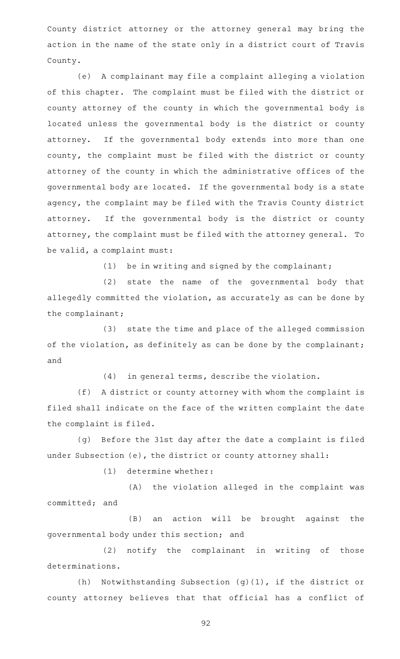County district attorney or the attorney general may bring the action in the name of the state only in a district court of Travis County.

(e) A complainant may file a complaint alleging a violation of this chapter. The complaint must be filed with the district or county attorney of the county in which the governmental body is located unless the governmental body is the district or county attorney. If the governmental body extends into more than one county, the complaint must be filed with the district or county attorney of the county in which the administrative offices of the governmental body are located. If the governmental body is a state agency, the complaint may be filed with the Travis County district attorney. If the governmental body is the district or county attorney, the complaint must be filed with the attorney general. To be valid, a complaint must:

(1) be in writing and signed by the complainant;

(2) state the name of the governmental body that allegedly committed the violation, as accurately as can be done by the complainant;

(3) state the time and place of the alleged commission of the violation, as definitely as can be done by the complainant; and

 $(4)$  in general terms, describe the violation.

(f) A district or county attorney with whom the complaint is filed shall indicate on the face of the written complaint the date the complaint is filed.

(g) Before the 31st day after the date a complaint is filed under Subsection (e), the district or county attorney shall:

 $(1)$  determine whether:

(A) the violation alleged in the complaint was committed; and

(B) an action will be brought against the governmental body under this section; and

(2) notify the complainant in writing of those determinations.

(h) Notwithstanding Subsection (g)(1), if the district or county attorney believes that that official has a conflict of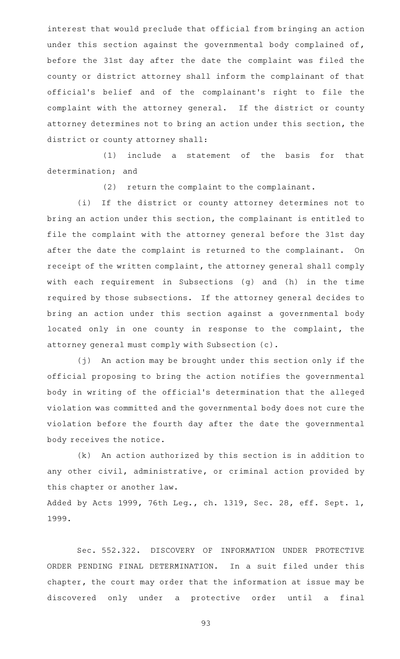interest that would preclude that official from bringing an action under this section against the governmental body complained of, before the 31st day after the date the complaint was filed the county or district attorney shall inform the complainant of that official 's belief and of the complainant 's right to file the complaint with the attorney general. If the district or county attorney determines not to bring an action under this section, the district or county attorney shall:

 $(1)$  include a statement of the basis for that determination; and

(2) return the complaint to the complainant.

(i) If the district or county attorney determines not to bring an action under this section, the complainant is entitled to file the complaint with the attorney general before the 31st day after the date the complaint is returned to the complainant. On receipt of the written complaint, the attorney general shall comply with each requirement in Subsections (g) and (h) in the time required by those subsections. If the attorney general decides to bring an action under this section against a governmental body located only in one county in response to the complaint, the attorney general must comply with Subsection (c).

(j) An action may be brought under this section only if the official proposing to bring the action notifies the governmental body in writing of the official 's determination that the alleged violation was committed and the governmental body does not cure the violation before the fourth day after the date the governmental body receives the notice.

(k) An action authorized by this section is in addition to any other civil, administrative, or criminal action provided by this chapter or another law.

Added by Acts 1999, 76th Leg., ch. 1319, Sec. 28, eff. Sept. 1, 1999.

Sec. 552.322. DISCOVERY OF INFORMATION UNDER PROTECTIVE ORDER PENDING FINAL DETERMINATION. In a suit filed under this chapter, the court may order that the information at issue may be discovered only under a protective order until a final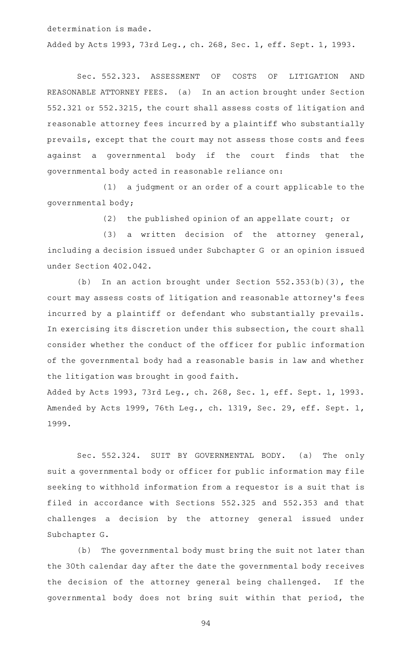determination is made. Added by Acts 1993, 73rd Leg., ch. 268, Sec. 1, eff. Sept. 1, 1993.

Sec. 552.323. ASSESSMENT OF COSTS OF LITIGATION AND REASONABLE ATTORNEY FEES. (a) In an action brought under Section 552.321 or 552.3215, the court shall assess costs of litigation and reasonable attorney fees incurred by a plaintiff who substantially prevails, except that the court may not assess those costs and fees against a governmental body if the court finds that the governmental body acted in reasonable reliance on:

 $(1)$  a judgment or an order of a court applicable to the governmental body;

 $(2)$  the published opinion of an appellate court; or

(3) a written decision of the attorney general, including a decision issued under Subchapter G or an opinion issued under Section 402.042.

(b) In an action brought under Section  $552.353(b)(3)$ , the court may assess costs of litigation and reasonable attorney 's fees incurred by a plaintiff or defendant who substantially prevails. In exercising its discretion under this subsection, the court shall consider whether the conduct of the officer for public information of the governmental body had a reasonable basis in law and whether the litigation was brought in good faith.

Added by Acts 1993, 73rd Leg., ch. 268, Sec. 1, eff. Sept. 1, 1993. Amended by Acts 1999, 76th Leg., ch. 1319, Sec. 29, eff. Sept. 1, 1999.

Sec. 552.324. SUIT BY GOVERNMENTAL BODY. (a) The only suit a governmental body or officer for public information may file seeking to withhold information from a requestor is a suit that is filed in accordance with Sections 552.325 and 552.353 and that challenges a decision by the attorney general issued under Subchapter G.

(b) The governmental body must bring the suit not later than the 30th calendar day after the date the governmental body receives the decision of the attorney general being challenged. If the governmental body does not bring suit within that period, the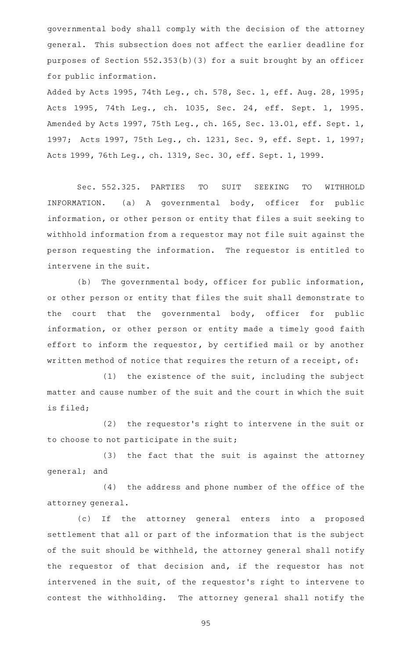governmental body shall comply with the decision of the attorney general. This subsection does not affect the earlier deadline for purposes of Section 552.353(b)(3) for a suit brought by an officer for public information.

Added by Acts 1995, 74th Leg., ch. 578, Sec. 1, eff. Aug. 28, 1995; Acts 1995, 74th Leg., ch. 1035, Sec. 24, eff. Sept. 1, 1995. Amended by Acts 1997, 75th Leg., ch. 165, Sec. 13.01, eff. Sept. 1, 1997; Acts 1997, 75th Leg., ch. 1231, Sec. 9, eff. Sept. 1, 1997; Acts 1999, 76th Leg., ch. 1319, Sec. 30, eff. Sept. 1, 1999.

Sec. 552.325. PARTIES TO SUIT SEEKING TO WITHHOLD INFORMATION. (a) A governmental body, officer for public information, or other person or entity that files a suit seeking to withhold information from a requestor may not file suit against the person requesting the information. The requestor is entitled to intervene in the suit.

(b) The governmental body, officer for public information, or other person or entity that files the suit shall demonstrate to the court that the governmental body, officer for public information, or other person or entity made a timely good faith effort to inform the requestor, by certified mail or by another written method of notice that requires the return of a receipt, of:

(1) the existence of the suit, including the subject matter and cause number of the suit and the court in which the suit is filed;

(2) the requestor's right to intervene in the suit or to choose to not participate in the suit;

(3) the fact that the suit is against the attorney general; and

(4) the address and phone number of the office of the attorney general.

(c) If the attorney general enters into a proposed settlement that all or part of the information that is the subject of the suit should be withheld, the attorney general shall notify the requestor of that decision and, if the requestor has not intervened in the suit, of the requestor 's right to intervene to contest the withholding. The attorney general shall notify the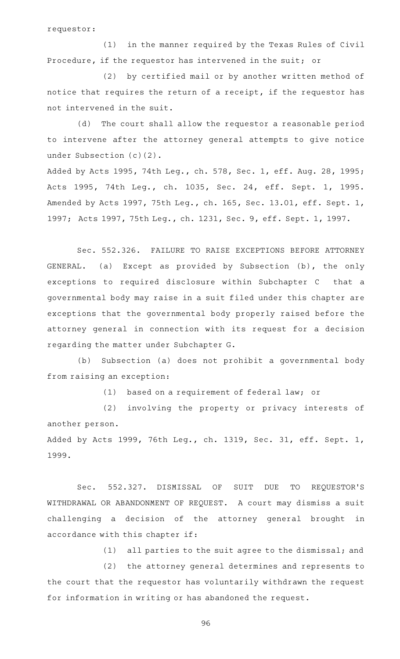requestor:

 $(1)$  in the manner required by the Texas Rules of Civil Procedure, if the requestor has intervened in the suit; or

(2) by certified mail or by another written method of notice that requires the return of a receipt, if the requestor has not intervened in the suit.

(d) The court shall allow the requestor a reasonable period to intervene after the attorney general attempts to give notice under Subsection (c)(2).

Added by Acts 1995, 74th Leg., ch. 578, Sec. 1, eff. Aug. 28, 1995; Acts 1995, 74th Leg., ch. 1035, Sec. 24, eff. Sept. 1, 1995. Amended by Acts 1997, 75th Leg., ch. 165, Sec. 13.01, eff. Sept. 1, 1997; Acts 1997, 75th Leg., ch. 1231, Sec. 9, eff. Sept. 1, 1997.

Sec. 552.326. FAILURE TO RAISE EXCEPTIONS BEFORE ATTORNEY GENERAL. (a) Except as provided by Subsection (b), the only exceptions to required disclosure within Subchapter C that a governmental body may raise in a suit filed under this chapter are exceptions that the governmental body properly raised before the attorney general in connection with its request for a decision regarding the matter under Subchapter G.

(b) Subsection (a) does not prohibit a governmental body from raising an exception:

(1) based on a requirement of federal law; or

(2) involving the property or privacy interests of another person. Added by Acts 1999, 76th Leg., ch. 1319, Sec. 31, eff. Sept. 1,

1999.

Sec. 552.327. DISMISSAL OF SUIT DUE TO REQUESTOR'S WITHDRAWAL OR ABANDONMENT OF REQUEST. A court may dismiss a suit challenging a decision of the attorney general brought in accordance with this chapter if:

(1) all parties to the suit agree to the dismissal; and

(2) the attorney general determines and represents to the court that the requestor has voluntarily withdrawn the request for information in writing or has abandoned the request.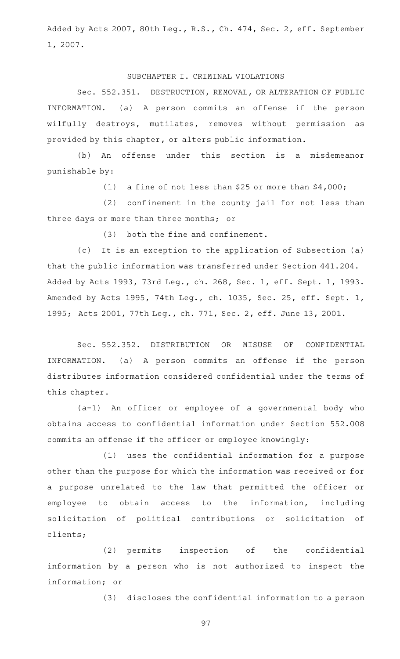Added by Acts 2007, 80th Leg., R.S., Ch. 474, Sec. 2, eff. September 1, 2007.

## SUBCHAPTER I. CRIMINAL VIOLATIONS

Sec. 552.351. DESTRUCTION, REMOVAL, OR ALTERATION OF PUBLIC INFORMATION. (a) A person commits an offense if the person wilfully destroys, mutilates, removes without permission as provided by this chapter, or alters public information.

(b) An offense under this section is a misdemeanor punishable by:

(1) a fine of not less than \$25 or more than  $$4,000$ ;

(2) confinement in the county jail for not less than three days or more than three months; or

 $(3)$  both the fine and confinement.

(c) It is an exception to the application of Subsection (a) that the public information was transferred under Section 441.204. Added by Acts 1993, 73rd Leg., ch. 268, Sec. 1, eff. Sept. 1, 1993. Amended by Acts 1995, 74th Leg., ch. 1035, Sec. 25, eff. Sept. 1, 1995; Acts 2001, 77th Leg., ch. 771, Sec. 2, eff. June 13, 2001.

Sec. 552.352. DISTRIBUTION OR MISUSE OF CONFIDENTIAL INFORMATION. (a) A person commits an offense if the person distributes information considered confidential under the terms of this chapter.

(a-1) An officer or employee of a governmental body who obtains access to confidential information under Section 552.008 commits an offense if the officer or employee knowingly:

(1) uses the confidential information for a purpose other than the purpose for which the information was received or for a purpose unrelated to the law that permitted the officer or employee to obtain access to the information, including solicitation of political contributions or solicitation of clients;

(2) permits inspection of the confidential information by a person who is not authorized to inspect the information; or

(3) discloses the confidential information to a person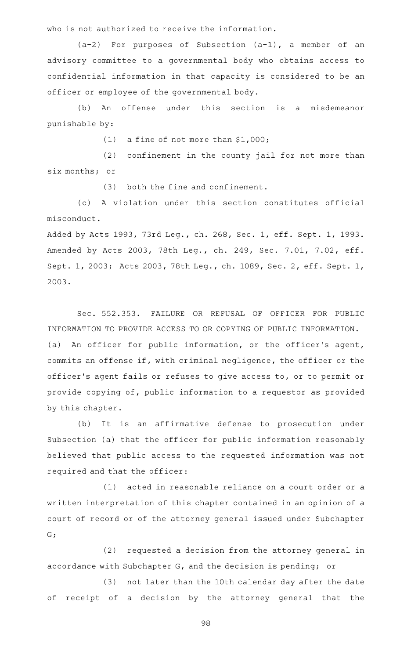who is not authorized to receive the information.

 $(a-2)$  For purposes of Subsection  $(a-1)$ , a member of an advisory committee to a governmental body who obtains access to confidential information in that capacity is considered to be an officer or employee of the governmental body.

(b) An offense under this section is a misdemeanor punishable by:

(1) a fine of not more than  $$1,000$ ;

 $(2)$  confinement in the county jail for not more than six months; or

 $(3)$  both the fine and confinement.

(c)AAA violation under this section constitutes official misconduct.

Added by Acts 1993, 73rd Leg., ch. 268, Sec. 1, eff. Sept. 1, 1993. Amended by Acts 2003, 78th Leg., ch. 249, Sec. 7.01, 7.02, eff. Sept. 1, 2003; Acts 2003, 78th Leg., ch. 1089, Sec. 2, eff. Sept. 1, 2003.

Sec. 552.353. FAILURE OR REFUSAL OF OFFICER FOR PUBLIC INFORMATION TO PROVIDE ACCESS TO OR COPYING OF PUBLIC INFORMATION. (a) An officer for public information, or the officer's agent, commits an offense if, with criminal negligence, the officer or the officer 's agent fails or refuses to give access to, or to permit or provide copying of, public information to a requestor as provided by this chapter.

(b) It is an affirmative defense to prosecution under Subsection (a) that the officer for public information reasonably believed that public access to the requested information was not required and that the officer:

(1) acted in reasonable reliance on a court order or a written interpretation of this chapter contained in an opinion of a court of record or of the attorney general issued under Subchapter G;

(2) requested a decision from the attorney general in accordance with Subchapter G, and the decision is pending; or

(3) not later than the 10th calendar day after the date of receipt of a decision by the attorney general that the